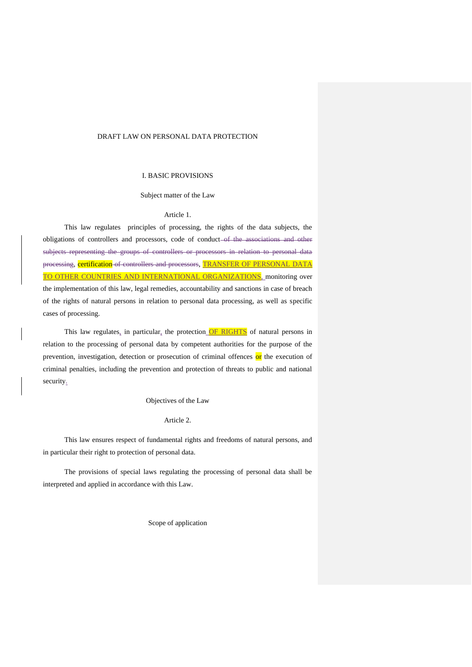# DRAFT LAW ON PERSONAL DATA PROTECTION

### I. BASIC PROVISIONS

### Subject matter of the Law

### Article 1.

This law regulates principles of processing, the rights of the data subjects, the obligations of controllers and processors, code of conduct-of the associations and other subjects representing the groups of controllers or processors in relation to personal data processing, certification of controllers and processors, TRANSFER OF PERSONAL DATA TO OTHER COUNTRIES AND INTERNATIONAL ORGANIZATIONS, monitoring over the implementation of this law, legal remedies, accountability and sanctions in case of breach of the rights of natural persons in relation to personal data processing, as well as specific cases of processing.

This law regulates, in particular, the protection  $OF$  RIGHTS of natural persons in relation to the processing of personal data by competent authorities for the purpose of the prevention, investigation, detection or prosecution of criminal offences or the execution of criminal penalties, including the prevention and protection of threats to public and national security.

#### Objectives of the Law

# Article 2.

This law ensures respect of fundamental rights and freedoms of natural persons, and in particular their right to protection of personal data.

The provisions of special laws regulating the processing of personal data shall be interpreted and applied in accordance with this Law.

Scope of application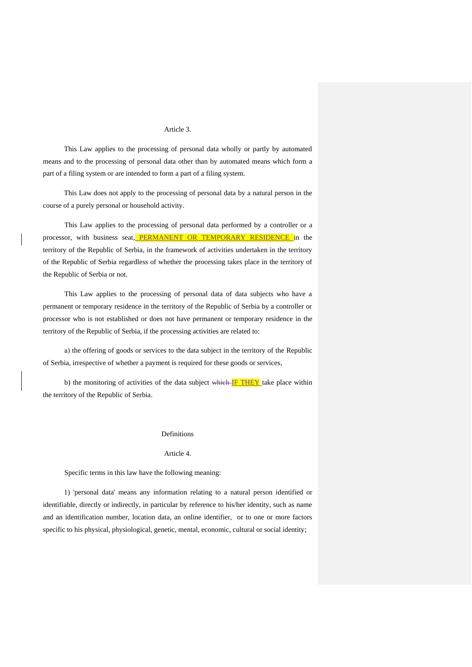# Article 3.

This Law applies to the processing of personal data wholly or partly by automated means and to the processing of personal data other than by automated means which form a part of a filing system or are intended to form a part of a filing system.

This Law does not apply to the processing of personal data by a natural person in the course of a purely personal or household activity.

This Law applies to the processing of personal data performed by a controller or a processor, with business seat, PERMANENT OR TEMPORARY RESIDENCE in the territory of the Republic of Serbia, in the framework of activities undertaken in the territory of the Republic of Serbia regardless of whether the processing takes place in the territory of the Republic of Serbia or not.

This Law applies to the processing of personal data of data subjects who have a permanent or temporary residence in the territory of the Republic of Serbia by a controller or processor who is not established or does not have permanent or temporary residence in the territory of the Republic of Serbia, if the processing activities are related to:

а) the offering of goods or services to the data subject in the territory of the Republic of Serbia, irrespective of whether a payment is required for these goods or services,

b) the monitoring of activities of the data subject which IF THEY take place within the territory of the Republic of Serbia.

#### Definitions

#### Article 4.

Specific terms in this law have the following meaning:

1) 'personal data' means any information relating to a natural person identified or identifiable, directly or indirectly, in particular by reference to his/her identity, such as name and an identification number, location data, an online identifier, or to one or more factors specific to his physical, physiological, genetic, mental, economic, cultural or social identity;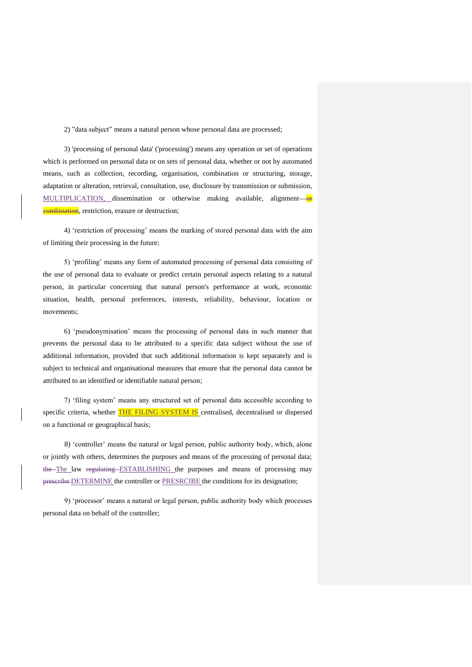2) "data subject" means a natural person whose personal data are processed;

3) 'processing of personal data' ('processing') means any operation or set of operations which is performed on personal data or on sets of personal data, whether or not by automated means, such as collection, recording, organisation, combination or structuring, storage, adaptation or alteration, retrieval, consultation, use, disclosure by transmission or submission, MULTIPLICATION, dissemination or otherwise making available, alignment-or **combination**, restriction, erasure or destruction;

4) 'restriction of processing' means the marking of stored personal data with the aim of limiting their processing in the future;

5) 'profiling' means any form of automated processing of personal data consisting of the use of personal data to evaluate or predict certain personal aspects relating to a natural person, in particular concerning that natural person's performance at work, economic situation, health, personal preferences, interests, reliability, behaviour, location or movements;

6) 'pseudonymisation' means the processing of personal data in such manner that prevents the personal data to be attributed to a specific data subject without the use of additional information, provided that such additional information is kept separately and is subject to technical and organisational measures that ensure that the personal data cannot be attributed to an identified or identifiable natural person;

7) 'filing system' means any structured set of personal data accessible according to specific criteria, whether **THE FILING SYSTEM IS** centralised, decentralised or dispersed on a functional or geographical basis;

8) 'controller' means the natural or legal person, public authority body, which, alone or jointly with others, determines the purposes and means of the processing of personal data; the The law regulating ESTABLISHING the purposes and means of processing may prescribe DETERMINE the controller or PRESRCIBE the conditions for its designation;

9) 'processor' means a natural or legal person, public authority body which processes personal data on behalf of the controller;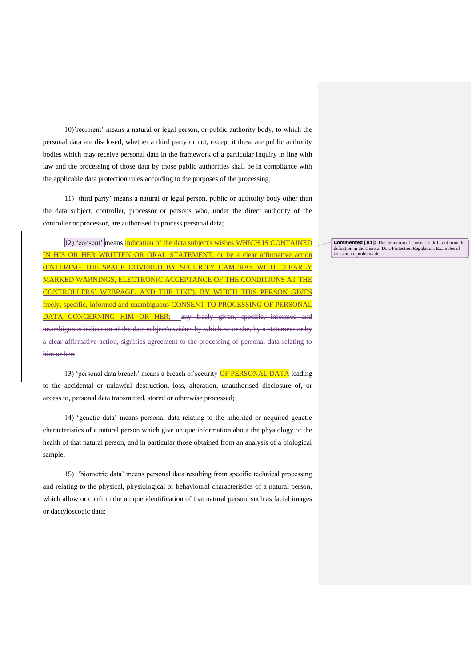10)'recipient' means a natural or legal person, or public authority body, to which the personal data are disclosed, whether a third party or not, except it these are public authority bodies which may receive personal data in the framework of a particular inquiry in line with law and the processing of those data by those public authorities shall be in compliance with the applicable data protection rules according to the purposes of the processing;

11) 'third party' means a natural or legal person, public or authority body other than the data subject, controller, processor or persons who, under the direct authority of the controller or processor, are authorised to process personal data;

12) 'consent' means indication of the data subject's wishes WHICH IS CONTAINED IN HIS OR HER WRITTEN OR ORAL STATEMENT, or by a clear affirmative action (ENTERING THE SPACE COVERED BY SECURITY CAMERAS WITH CLEARLY MARKED WARNINGS, ELECTRONIC ACCEPTANCE OF THE CONDITIONS AT THE CONTROLLERS' WEBPAGE, AND THE LIKE), BY WHICH THIS PERSON GIVES freely, specific, informed and unambiguous CONSENT TO PROCESSING OF PERSONAL DATA CONCERNING HIM OR HER; any freely given, specific, informed and unambiguous indication of the data subject's wishes by which he or she, by a statement or by a clear affirmative action, signifies agreement to the processing of personal data relating to him or her;

13) 'personal data breach' means a breach of security OF PERSONAL DATA leading to the accidental or unlawful destruction, loss, alteration, unauthorised disclosure of, or access to, personal data transmitted, stored or otherwise processed;

14) 'genetic data' means personal data relating to the inherited or acquired genetic characteristics of a natural person which give unique information about the physiology or the health of that natural person, and in particular those obtained from an analysis of a biological sample;

15) 'biometric data' means personal data resulting from specific technical processing and relating to the physical, physiological or behavioural characteristics of a natural person, which allow or confirm the unique identification of that natural person, such as facial images or dactyloscopic data;

**Commented [A1]:** The definition of consent is different from the definition in the General Data Protection Regulation. Examples of consent are problematic.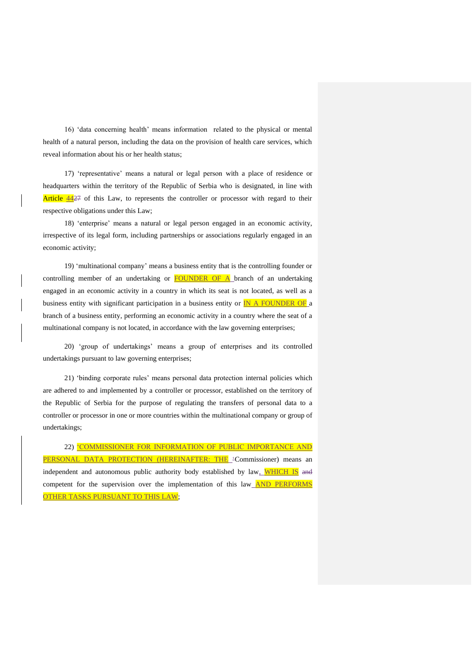16) 'data concerning health' means information related to the physical or mental health of a natural person, including the data on the provision of health care services, which reveal information about his or her health status;

17) 'representative' means a natural or legal person with a place of residence or headquarters within the territory of the Republic of Serbia who is designated, in line with Article 4427 of this Law, to represents the controller or processor with regard to their respective obligations under this Law;

18) 'enterprise' means a natural or legal person engaged in an economic activity, irrespective of its legal form, including partnerships or associations regularly engaged in an economic activity;

19) 'multinational company' means a business entity that is the controlling founder or controlling member of an undertaking or **FOUNDER OF A** branch of an undertaking engaged in an economic activity in a country in which its seat is not located, as well as a business entity with significant participation in a business entity or  $\overline{IN}$  A FOUNDER OF a branch of a business entity, performing an economic activity in a country where the seat of a multinational company is not located, in accordance with the law governing enterprises;

20) 'group of undertakings' means a group of enterprises and its controlled undertakings pursuant to law governing enterprises;

21) 'binding corporate rules' means personal data protection internal policies which are adhered to and implemented by a controller or processor, established on the territory of the Republic of Serbia for the purpose of regulating the transfers of personal data to a controller or processor in one or more countries within the multinational company or group of undertakings;

22) 'COMMISSIONER FOR INFORMATION OF PUBLIC IMPORTANCE AND PERSONAL DATA PROTECTION (HEREINAFTER: THE 'Commissioner) means an independent and autonomous public authority body established by law, WHICH IS and competent for the supervision over the implementation of this law **AND PERFORMS** OTHER TASKS PURSUANT TO THIS LAW;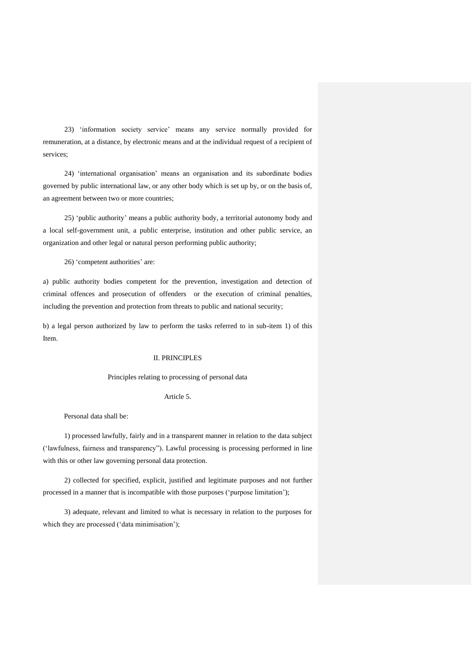23) 'information society service' means any service normally provided for remuneration, at a distance, by electronic means and at the individual request of a recipient of services;

24) 'international organisation' means an organisation and its subordinate bodies governed by public international law, or any other body which is set up by, or on the basis of, an agreement between two or more countries;

25) 'public authority' means a public authority body, a territorial autonomy body and a local self-government unit, a public enterprise, institution and other public service, an organization and other legal or natural person performing public authority;

26) 'competent authorities' are:

a) public authority bodies competent for the prevention, investigation and detection of criminal offences and prosecution of offenders or the execution of criminal penalties, including the prevention and protection from threats to public and national security;

b) a legal person authorized by law to perform the tasks referred to in sub-item 1) of this Item.

### II. PRINCIPLES

#### Principles relating to processing of personal data

# Article 5.

Personal data shall be:

1) processed lawfully, fairly and in a transparent manner in relation to the data subject ('lawfulness, fairness and transparency"). Lawful processing is processing performed in line with this or other law governing personal data protection.

2) collected for specified, explicit, justified and legitimate purposes and not further processed in a manner that is incompatible with those purposes ('purpose limitation');

3) adequate, relevant and limited to what is necessary in relation to the purposes for which they are processed ('data minimisation');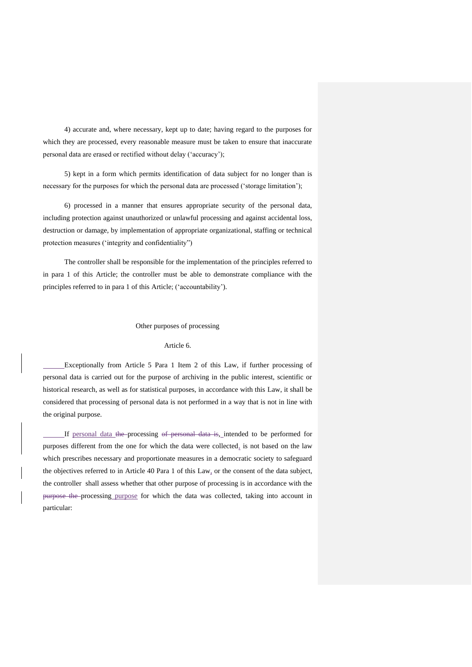4) accurate and, where necessary, kept up to date; having regard to the purposes for which they are processed, every reasonable measure must be taken to ensure that inaccurate personal data are erased or rectified without delay ('accuracy');

5) kept in a form which permits identification of data subject for no longer than is necessary for the purposes for which the personal data are processed ('storage limitation');

6) processed in a manner that ensures appropriate security of the personal data, including protection against unauthorized or unlawful processing and against accidental loss, destruction or damage, by implementation of appropriate organizational, staffing or technical protection measures ('integrity and confidentiality")

The controller shall be responsible for the implementation of the principles referred to in para 1 of this Article; the controller must be able to demonstrate compliance with the principles referred to in para 1 of this Article; ('accountability').

### Other purposes of processing

# Article 6.

Exceptionally from Article 5 Para 1 Item 2 of this Law, if further processing of personal data is carried out for the purpose of archiving in the public interest, scientific or historical research, as well as for statistical purposes, in accordance with this Law, it shall be considered that processing of personal data is not performed in a way that is not in line with the original purpose.

If personal data the processing of personal data is, intended to be performed for purposes different from the one for which the data were collected, is not based on the law which prescribes necessary and proportionate measures in a democratic society to safeguard the objectives referred to in Article 40 Para 1 of this Law, or the consent of the data subject, the controller shall assess whether that other purpose of processing is in accordance with the purpose the processing purpose for which the data was collected, taking into account in particular: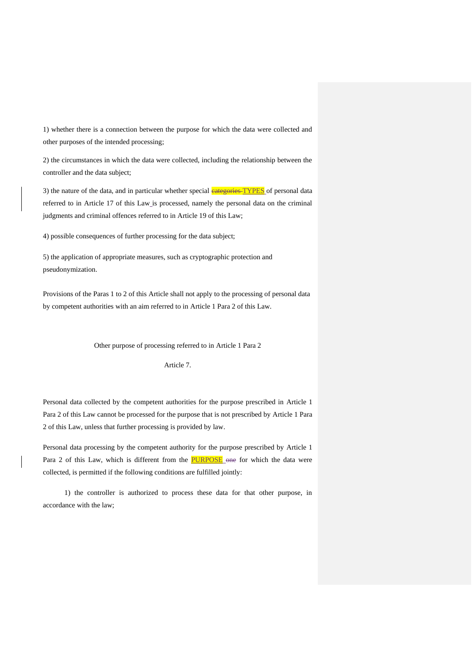1) whether there is a connection between the purpose for which the data were collected and other purposes of the intended processing;

2) the circumstances in which the data were collected, including the relationship between the controller and the data subject;

3) the nature of the data, and in particular whether special **categories TYPES** of personal data referred to in Article 17 of this Law\_is processed, namely the personal data on the criminal judgments and criminal offences referred to in Article 19 of this Law;

4) possible consequences of further processing for the data subject;

5) the application of appropriate measures, such as cryptographic protection and pseudonymization.

Provisions of the Paras 1 to 2 of this Article shall not apply to the processing of personal data by competent authorities with an aim referred to in Article 1 Para 2 of this Law.

Other purpose of processing referred to in Article 1 Para 2

Article 7.

Personal data collected by the competent authorities for the purpose prescribed in Article 1 Para 2 of this Law cannot be processed for the purpose that is not prescribed by Article 1 Para 2 of this Law, unless that further processing is provided by law.

Personal data processing by the competent authority for the purpose prescribed by Article 1 Para 2 of this Law, which is different from the **PURPOSE** one for which the data were collected, is permitted if the following conditions are fulfilled jointly:

1) the controller is authorized to process these data for that other purpose, in accordance with the law;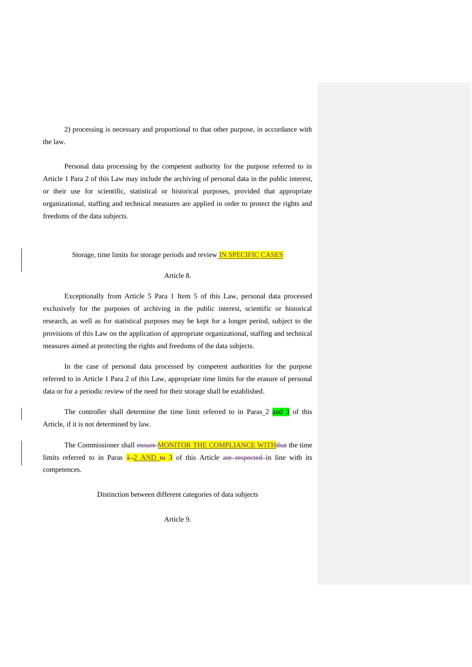2) processing is necessary and proportional to that other purpose, in accordance with the law.

Personal data processing by the competent authority for the purpose referred to in Article 1 Para 2 of this Law may include the archiving of personal data in the public interest, or their use for scientific, statistical or historical purposes, provided that appropriate organizational, staffing and technical measures are applied in order to protect the rights and freedoms of the data subjects.

Storage, time limits for storage periods and review IN SPECIFIC CASES

### Article 8.

Exceptionally from Article 5 Para 1 Item 5 of this Law, personal data processed exclusively for the purposes of archiving in the public interest, scientific or historical research, as well as for statistical purposes may be kept for a longer period, subject to the provisions of this Law on the application of appropriate organizational, staffing and technical measures aimed at protecting the rights and freedoms of the data subjects.

In the case of personal data processed by competent authorities for the purpose referred to in Article 1 Para 2 of this Law, appropriate time limits for the erasure of personal data or for a periodic review of the need for their storage shall be established.

The controller shall determine the time limit referred to in Paras  $2$  and  $3$  of this Article, if it is not determined by law.

The Commissioner shall ensure MONITOR THE COMPLIANCE WITH that the time limits referred to in Paras  $\frac{1-2 \text{ AND } \text{te } 3}$  of this Article are respected in line with its competences.

Distinction between different categories of data subjects

Article 9.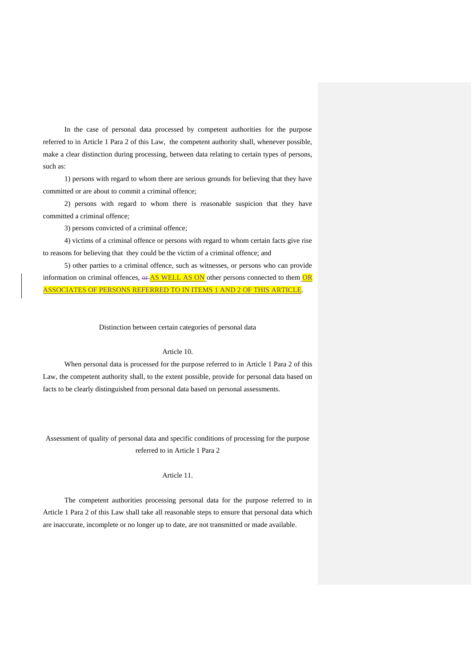In the case of personal data processed by competent authorities for the purpose referred to in Article 1 Para 2 of this Law, the competent authority shall, whenever possible, make a clear distinction during processing, between data relating to certain types of persons, such as:

1) persons with regard to whom there are serious grounds for believing that they have committed or are about to commit a criminal offence;

2) persons with regard to whom there is reasonable suspicion that they have committed a criminal offence;

3) persons convicted of a criminal offence;

4) victims of a criminal offence or persons with regard to whom certain facts give rise to reasons for believing that they could be the victim of a criminal offence; and

5) other parties to a criminal offence, such as witnesses, or persons who can provide information on criminal offences,  $\theta$   $\frac{\text{AS} \text{WELL} \text{AS} \text{ON}}{\text{S}}$  other persons connected to them  $\frac{\text{OR}}{\text{OR}}$ ASSOCIATES OF PERSONS REFERRED TO IN ITEMS 1 AND 2 OF THIS ARTICLE.

Distinction between certain categories of personal data

## Article 10.

When personal data is processed for the purpose referred to in Article 1 Para 2 of this Law, the competent authority shall, to the extent possible, provide for personal data based on facts to be clearly distinguished from personal data based on personal assessments.

Assessment of quality of personal data and specific conditions of processing for the purpose referred to in Article 1 Para 2

# Article 11.

The competent authorities processing personal data for the purpose referred to in Article 1 Para 2 of this Law shall take all reasonable steps to ensure that personal data which are inaccurate, incomplete or no longer up to date, are not transmitted or made available.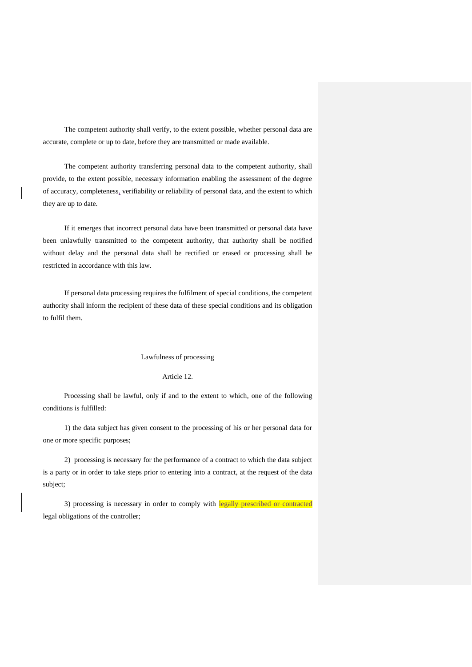The competent authority shall verify, to the extent possible, whether personal data are accurate, complete or up to date, before they are transmitted or made available.

The competent authority transferring personal data to the competent authority, shall provide, to the extent possible, necessary information enabling the assessment of the degree of accuracy, completeness, verifiability or reliability of personal data, and the extent to which they are up to date.

If it emerges that incorrect personal data have been transmitted or personal data have been unlawfully transmitted to the competent authority, that authority shall be notified without delay and the personal data shall be rectified or erased or processing shall be restricted in accordance with this law.

If personal data processing requires the fulfilment of special conditions, the competent authority shall inform the recipient of these data of these special conditions and its obligation to fulfil them.

### Lawfulness of processing

# Article 12.

Processing shall be lawful, only if and to the extent to which, one of the following conditions is fulfilled:

1) the data subject has given consent to the processing of his or her personal data for one or more specific purposes;

2) processing is necessary for the performance of a contract to which the data subject is a party or in order to take steps prior to entering into a contract, at the request of the data subject;

3) processing is necessary in order to comply with legally prescribed or contracted legal obligations of the controller;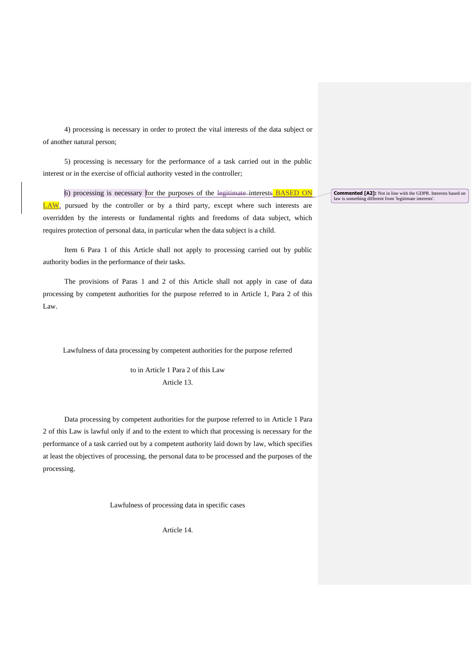4) processing is necessary in order to protect the vital interests of the data subject or of another natural person;

5) processing is necessary for the performance of a task carried out in the public interest or in the exercise of official authority vested in the controller;

6) processing is necessary for the purposes of the  $l$ egitimate interests **BASED ON**  $\overline{\text{LAW}}$ , pursued by the controller or by a third party, except where such interests are overridden by the interests or fundamental rights and freedoms of data subject, which requires protection of personal data, in particular when the data subject is a child.

Item 6 Para 1 of this Article shall not apply to processing carried out by public authority bodies in the performance of their tasks.

The provisions of Paras 1 and 2 of this Article shall not apply in case of data processing by competent authorities for the purpose referred to in Article 1, Para 2 of this Law.

Lawfulness of data processing by competent authorities for the purpose referred

to in Article 1 Para 2 of this Law Article 13.

Data processing by competent authorities for the purpose referred to in Article 1 Para 2 of this Law is lawful only if and to the extent to which that processing is necessary for the performance of a task carried out by a competent authority laid down by law, which specifies at least the objectives of processing, the personal data to be processed and the purposes of the processing.

Lawfulness of processing data in specific cases

Article 14.

**Commented [A2]:** Not in line with the GDPR. Interests based on law is something different from 'legitimate interests'.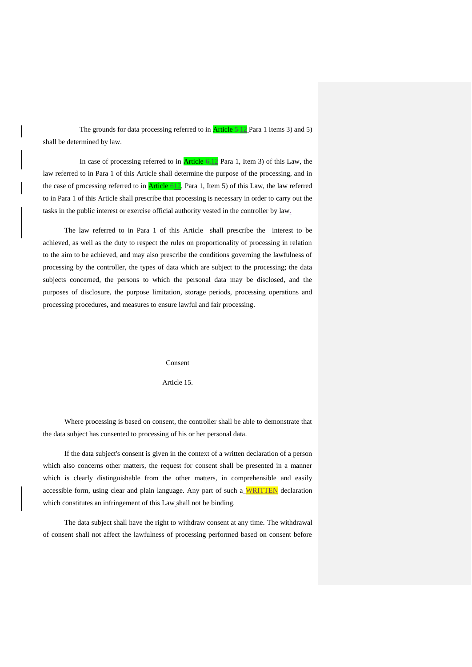The grounds for data processing referred to in  $\frac{\text{Article } 5-12}{\text{Para 1 items 3}}$  and 5) shall be determined by law.

In case of processing referred to in **Article**  $6,12$  Para 1, Item 3) of this Law, the law referred to in Para 1 of this Article shall determine the purpose of the processing, and in the case of processing referred to in  $Article 612$ , Para 1, Item 5) of this Law, the law referred to in Para 1 of this Article shall prescribe that processing is necessary in order to carry out the tasks in the public interest or exercise official authority vested in the controller by law.

The law referred to in Para 1 of this Article-shall prescribe the interest to be achieved, as well as the duty to respect the rules on proportionality of processing in relation to the aim to be achieved, and may also prescribe the conditions governing the lawfulness of processing by the controller, the types of data which are subject to the processing; the data subjects concerned, the persons to which the personal data may be disclosed, and the purposes of disclosure, the purpose limitation, storage periods, processing operations and processing procedures, and measures to ensure lawful and fair processing.

Consent

### Article 15.

Where processing is based on consent, the controller shall be able to demonstrate that the data subject has consented to processing of his or her personal data.

If the data subject's consent is given in the context of a written declaration of a person which also concerns other matters, the request for consent shall be presented in a manner which is clearly distinguishable from the other matters, in comprehensible and easily accessible form, using clear and plain language. Any part of such a WRITTEN declaration which constitutes an infringement of this Law shall not be binding.

The data subject shall have the right to withdraw consent at any time. The withdrawal of consent shall not affect the lawfulness of processing performed based on consent before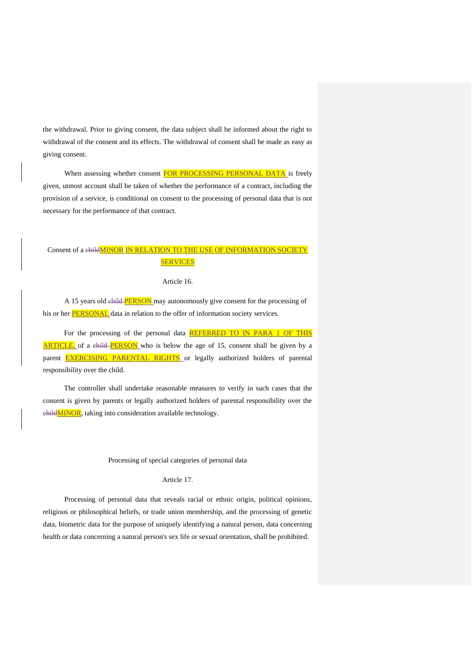the withdrawal. Prior to giving consent, the data subject shall be informed about the right to withdrawal of the consent and its effects. The withdrawal of consent shall be made as easy as giving consent.

When assessing whether consent FOR PROCESSING PERSONAL DATA is freely given, utmost account shall be taken of whether the performance of a contract, including the provision of a service, is conditional on consent to the processing of personal data that is not necessary for the performance of that contract.

# Consent of a childMINOR IN RELATION TO THE USE OF INFORMATION SOCIETY **SERVICES**

#### Article 16.

A 15 years old child PERSON may autonomously give consent for the processing of his or her **PERSONAL** data in relation to the offer of information society services.

For the processing of the personal data REFERRED TO IN PARA 1 OF THIS **ARTICLE**, of a child-**PERSON** who is below the age of 15, consent shall be given by a parent EXERCISING PARENTAL RIGHTS or legally authorized holders of parental responsibility over the child.

The controller shall undertake reasonable measures to verify in such cases that the consent is given by parents or legally authorized holders of parental responsibility over the childMINOR, taking into consideration available technology.

# Processing of special categories of personal data

## Article 17.

Processing of personal data that reveals racial or ethnic origin, political opinions, religious or philosophical beliefs, or trade union membership, and the processing of genetic data, biometric data for the purpose of uniquely identifying a natural person, data concerning health or data concerning a natural person's sex life or sexual orientation, shall be prohibited.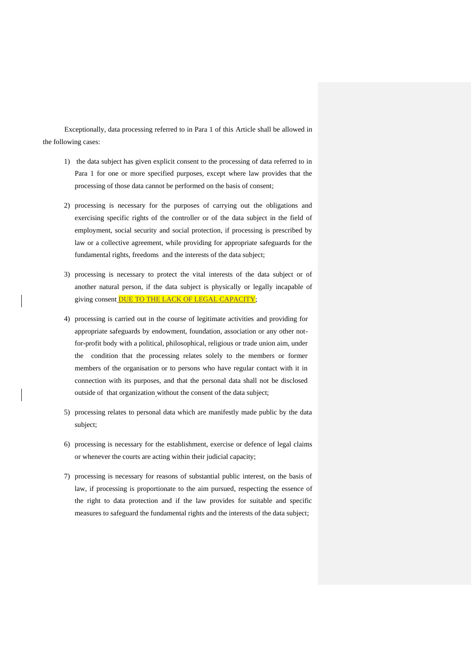Exceptionally, data processing referred to in Para 1 of this Article shall be allowed in the following cases:

- 1) the data subject has given explicit consent to the processing of data referred to in Para 1 for one or more specified purposes, except where law provides that the processing of those data cannot be performed on the basis of consent;
- 2) processing is necessary for the purposes of carrying out the obligations and exercising specific rights of the controller or of the data subject in the field of employment, social security and social protection, if processing is prescribed by law or a collective agreement, while providing for appropriate safeguards for the fundamental rights, freedoms and the interests of the data subject;
- 3) processing is necessary to protect the vital interests of the data subject or of another natural person, if the data subject is physically or legally incapable of giving consent **DUE TO THE LACK OF LEGAL CAPACITY**;
- 4) processing is carried out in the course of legitimate activities and providing for appropriate safeguards by endowment, foundation, association or any other notfor-profit body with a political, philosophical, religious or trade union aim, under the condition that the processing relates solely to the members or former members of the organisation or to persons who have regular contact with it in connection with its purposes, and that the personal data shall not be disclosed outside of that organization without the consent of the data subject;
- 5) processing relates to personal data which are manifestly made public by the data subject;
- 6) processing is necessary for the establishment, exercise or defence of legal claims or whenever the courts are acting within their judicial capacity;
- 7) processing is necessary for reasons of substantial public interest, on the basis of law, if processing is proportionate to the aim pursued, respecting the essence of the right to data protection and if the law provides for suitable and specific measures to safeguard the fundamental rights and the interests of the data subject;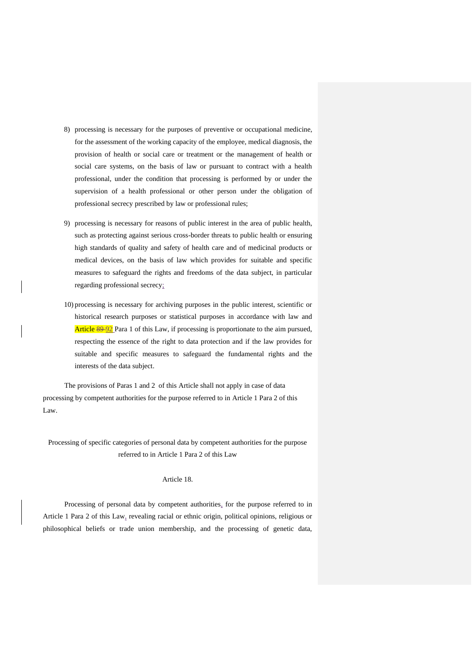- 8) processing is necessary for the purposes of preventive or occupational medicine, for the assessment of the working capacity of the employee, medical diagnosis, the provision of health or social care or treatment or the management of health or social care systems, on the basis of law or pursuant to contract with a health professional, under the condition that processing is performed by or under the supervision of a health professional or other person under the obligation of professional secrecy prescribed by law or professional rules;
- 9) processing is necessary for reasons of public interest in the area of public health, such as protecting against serious cross-border threats to public health or ensuring high standards of quality and safety of health care and of medicinal products or medical devices, on the basis of law which provides for suitable and specific measures to safeguard the rights and freedoms of the data subject, in particular regarding professional secrecy;
- 10) processing is necessary for archiving purposes in the public interest, scientific or historical research purposes or statistical purposes in accordance with law and Article 89-92 Para 1 of this Law, if processing is proportionate to the aim pursued, respecting the essence of the right to data protection and if the law provides for suitable and specific measures to safeguard the fundamental rights and the interests of the data subject.

The provisions of Paras 1 and 2 of this Article shall not apply in case of data processing by competent authorities for the purpose referred to in Article 1 Para 2 of this Law.

Processing of specific categories of personal data by competent authorities for the purpose referred to in Article 1 Para 2 of this Law

# Article 18.

Processing of personal data by competent authorities, for the purpose referred to in Article 1 Para 2 of this Law, revealing racial or ethnic origin, political opinions, religious or philosophical beliefs or trade union membership, and the processing of genetic data,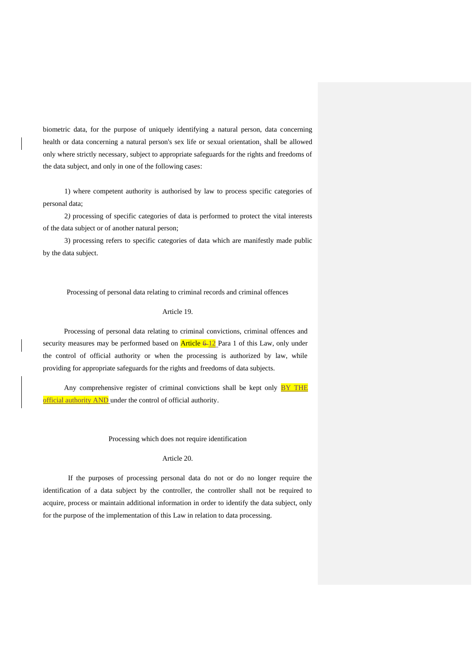biometric data, for the purpose of uniquely identifying a natural person, data concerning health or data concerning a natural person's sex life or sexual orientation, shall be allowed only where strictly necessary, subject to appropriate safeguards for the rights and freedoms of the data subject, and only in one of the following cases:

1) where competent authority is authorised by law to process specific categories of personal data;

2*)* processing of specific categories of data is performed to protect the vital interests of the data subject or of another natural person;

3) processing refers to specific categories of data which are manifestly made public by the data subject.

# Processing of personal data relating to criminal records and criminal offences

## Article 19.

Processing of personal data relating to criminal convictions, criminal offences and security measures may be performed based on  $Article 6-12$  Para 1 of this Law, only under the control of official authority or when the processing is authorized by law, while providing for appropriate safeguards for the rights and freedoms of data subjects.

Any comprehensive register of criminal convictions shall be kept only  $BY$  THE official authority AND under the control of official authority.

## Processing which does not require identification

### Article 20.

 If the purposes of processing personal data do not or do no longer require the identification of a data subject by the controller, the controller shall not be required to acquire, process or maintain additional information in order to identify the data subject, only for the purpose of the implementation of this Law in relation to data processing.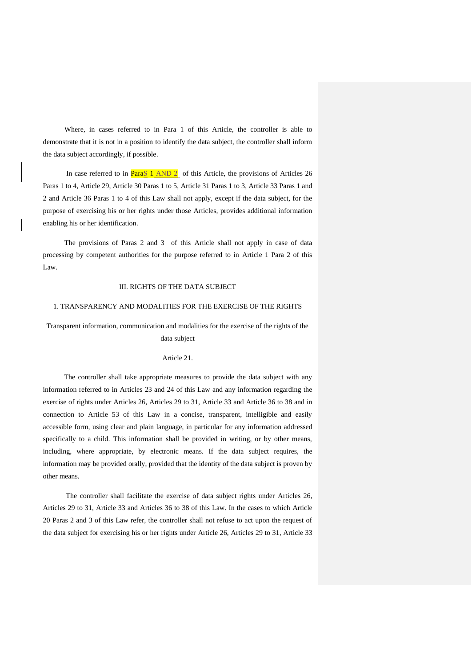Where, in cases referred to in Para 1 of this Article, the controller is able to demonstrate that it is not in a position to identify the data subject, the controller shall inform the data subject accordingly, if possible.

In case referred to in **ParaS 1 AND 2** of this Article, the provisions of Articles 26 Paras 1 to 4, Article 29, Article 30 Paras 1 to 5, Article 31 Paras 1 to 3, Article 33 Paras 1 and 2 and Article 36 Paras 1 to 4 of this Law shall not apply, except if the data subject, for the purpose of exercising his or her rights under those Articles, provides additional information enabling his or her identification.

The provisions of Paras 2 and 3 of this Article shall not apply in case of data processing by competent authorities for the purpose referred to in Article 1 Para 2 of this Law.

### III. RIGHTS OF THE DATA SUBJECT

## 1. TRANSPARENCY AND MODALITIES FOR THE EXERCISE OF THE RIGHTS

# Transparent information, communication and modalities for the exercise of the rights of the data subject

#### Article 21.

The controller shall take appropriate measures to provide the data subject with any information referred to in Articles 23 and 24 of this Law and any information regarding the exercise of rights under Articles 26, Articles 29 to 31, Article 33 and Article 36 to 38 and in connection to Article 53 of this Law in a concise, transparent, intelligible and easily accessible form, using clear and plain language, in particular for any information addressed specifically to a child. This information shall be provided in writing, or by other means, including, where appropriate, by electronic means. If the data subject requires, the information may be provided orally, provided that the identity of the data subject is proven by other means.

The controller shall facilitate the exercise of data subject rights under Articles 26, Articles 29 to 31, Article 33 and Articles 36 to 38 of this Law. In the cases to which Article 20 Paras 2 and 3 of this Law refer, the controller shall not refuse to act upon the request of the data subject for exercising his or her rights under Article 26, Articles 29 to 31, Article 33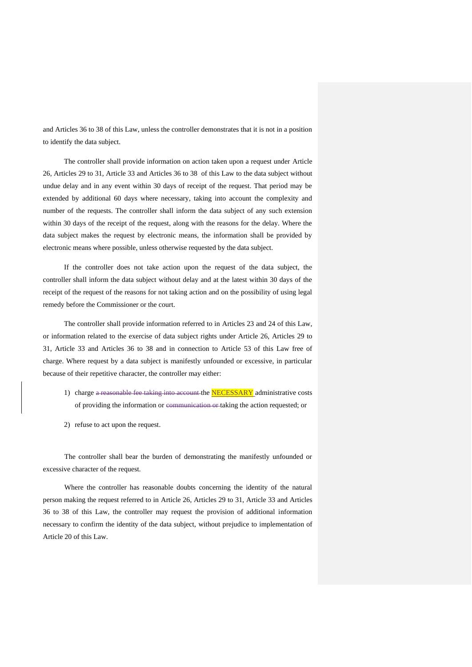and Articles 36 to 38 of this Law, unless the controller demonstrates that it is not in a position to identify the data subject.

The controller shall provide information on action taken upon a request under Article 26, Articles 29 to 31, Article 33 and Articles 36 to 38 of this Law to the data subject without undue delay and in any event within 30 days of receipt of the request. That period may be extended by additional 60 days where necessary, taking into account the complexity and number of the requests. The controller shall inform the data subject of any such extension within 30 days of the receipt of the request, along with the reasons for the delay. Where the data subject makes the request by electronic means, the information shall be provided by electronic means where possible, unless otherwise requested by the data subject.

If the controller does not take action upon the request of the data subject, the controller shall inform the data subject without delay and at the latest within 30 days of the receipt of the request of the reasons for not taking action and on the possibility of using legal remedy before the Commissioner or the court.

The controller shall provide information referred to in Articles 23 and 24 of this Law, or information related to the exercise of data subject rights under Article 26, Articles 29 to 31, Article 33 and Articles 36 to 38 and in connection to Article 53 of this Law free of charge. Where request by a data subject is manifestly unfounded or excessive, in particular because of their repetitive character, the controller may either:

- 1) charge a reasonable fee taking into account the **NECESSARY** administrative costs of providing the information or communication or taking the action requested; or
- 2) refuse to act upon the request.

The controller shall bear the burden of demonstrating the manifestly unfounded or excessive character of the request.

Where the controller has reasonable doubts concerning the identity of the natural person making the request referred to in Article 26, Articles 29 to 31, Article 33 and Articles 36 to 38 of this Law, the controller may request the provision of additional information necessary to confirm the identity of the data subject, without prejudice to implementation of Article 20 of this Law.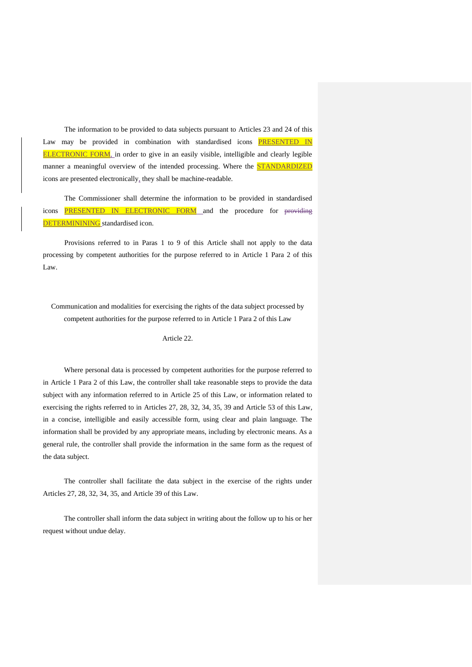The information to be provided to data subjects pursuant to Articles 23 and 24 of this Law may be provided in combination with standardised icons **PRESENTED IN ELECTRONIC FORM**, in order to give in an easily visible, intelligible and clearly legible manner a meaningful overview of the intended processing. Where the STANDARDIZED icons are presented electronically, they shall be machine-readable.

The Commissioner shall determine the information to be provided in standardised icons **PRESENTED IN ELECTRONIC FORM** and the procedure for providing DETERMININING standardised icon.

Provisions referred to in Paras 1 to 9 of this Article shall not apply to the data processing by competent authorities for the purpose referred to in Article 1 Para 2 of this Law.

Communication and modalities for exercising the rights of the data subject processed by competent authorities for the purpose referred to in Article 1 Para 2 of this Law

Article 22.

Where personal data is processed by competent authorities for the purpose referred to in Article 1 Para 2 of this Law, the controller shall take reasonable steps to provide the data subject with any information referred to in Article 25 of this Law, or information related to exercising the rights referred to in Articles 27, 28, 32, 34, 35, 39 and Article 53 of this Law, in a concise, intelligible and easily accessible form, using clear and plain language. The information shall be provided by any appropriate means, including by electronic means. As a general rule, the controller shall provide the information in the same form as the request of the data subject.

The controller shall facilitate the data subject in the exercise of the rights under Articles 27, 28, 32, 34, 35, and Article 39 of this Law.

The controller shall inform the data subject in writing about the follow up to his or her request without undue delay.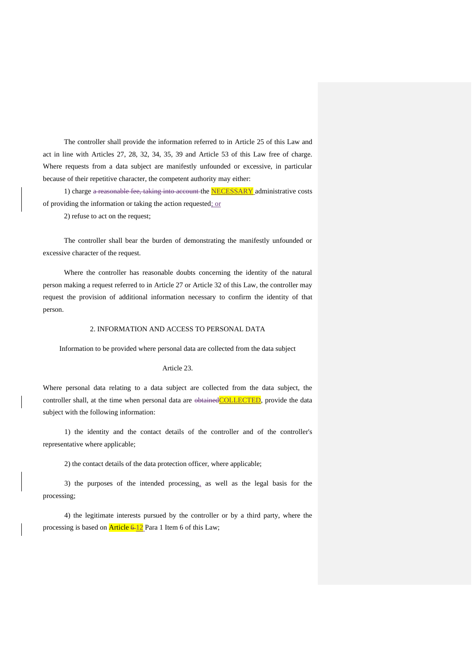The controller shall provide the information referred to in Article 25 of this Law and act in line with Articles 27, 28, 32, 34, 35, 39 and Article 53 of this Law free of charge. Where requests from a data subject are manifestly unfounded or excessive, in particular because of their repetitive character, the competent authority may either:

1) charge a reasonable fee, taking into account the **NECESSARY** administrative costs of providing the information or taking the action requested; or

2) refuse to act on the request;

The controller shall bear the burden of demonstrating the manifestly unfounded or excessive character of the request.

Where the controller has reasonable doubts concerning the identity of the natural person making a request referred to in Article 27 or Article 32 of this Law, the controller may request the provision of additional information necessary to confirm the identity of that person.

### 2. INFORMATION AND ACCESS TO PERSONAL DATA

Information to be provided where personal data are collected from the data subject

### Article 23.

Where personal data relating to a data subject are collected from the data subject, the controller shall, at the time when personal data are  $\triangle$ btainedCOLLECTED, provide the data subject with the following information:

1) the identity and the contact details of the controller and of the controller's representative where applicable;

2) the contact details of the data protection officer, where applicable;

3) the purposes of the intended processing, as well as the legal basis for the processing;

4) the legitimate interests pursued by the controller or by a third party, where the processing is based on  $\frac{\text{Article } 6-12}{\text{Para 1 Item 6 of this Law}}$ ;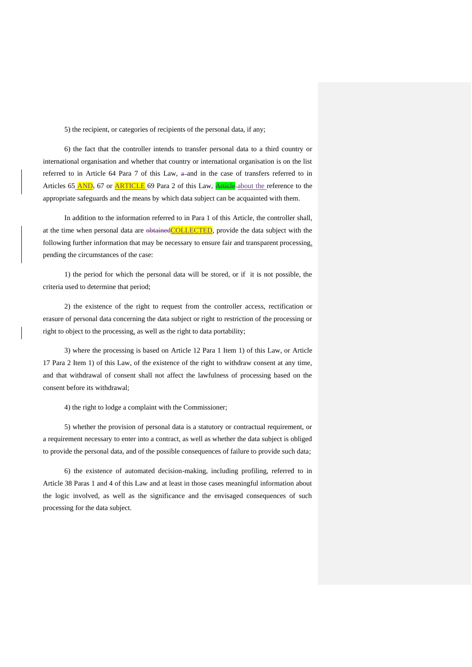5) the recipient, or categories of recipients of the personal data, if any;

6) the fact that the controller intends to transfer personal data to a third country or international organisation and whether that country or international organisation is on the list referred to in Article 64 Para 7 of this Law,  $a$ -and in the case of transfers referred to in Articles 65 AND, 67 or **ARTICLE** 69 Para 2 of this Law, **Article** about the reference to the appropriate safeguards and the means by which data subject can be acquainted with them.

In addition to the information referred to in Para 1 of this Article, the controller shall, at the time when personal data are  $\theta$ btained COLLECTED, provide the data subject with the following further information that may be necessary to ensure fair and transparent processing, pending the circumstances of the case:

1) the period for which the personal data will be stored, or if it is not possible, the criteria used to determine that period;

2) the existence of the right to request from the controller access, rectification or erasure of personal data concerning the data subject or right to restriction of the processing or right to object to the processing, as well as the right to data portability;

3) where the processing is based on Article 12 Para 1 Item 1) of this Law, or Article 17 Para 2 Item 1) of this Law, of the existence of the right to withdraw consent at any time, and that withdrawal of consent shall not affect the lawfulness of processing based on the consent before its withdrawal;

4) the right to lodge a complaint with the Commissioner;

5) whether the provision of personal data is a statutory or contractual requirement, or a requirement necessary to enter into a contract, as well as whether the data subject is obliged to provide the personal data, and of the possible consequences of failure to provide such data;

6) the existence of automated decision-making, including profiling, referred to in Article 38 Paras 1 and 4 of this Law and at least in those cases meaningful information about the logic involved, as well as the significance and the envisaged consequences of such processing for the data subject.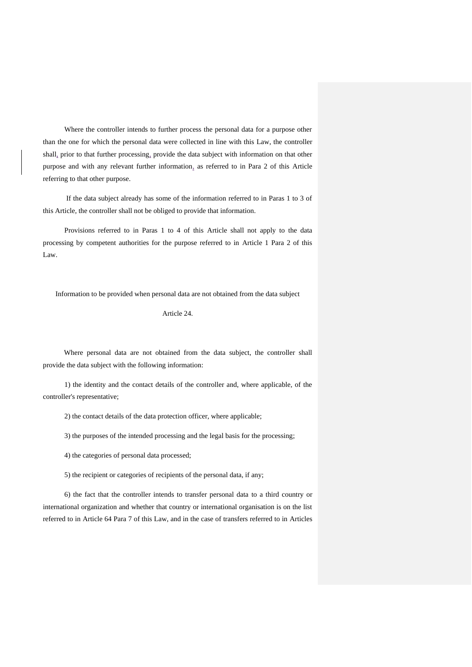Where the controller intends to further process the personal data for a purpose other than the one for which the personal data were collected in line with this Law, the controller shall, prior to that further processing, provide the data subject with information on that other purpose and with any relevant further information, as referred to in Para 2 of this Article referring to that other purpose.

If the data subject already has some of the information referred to in Paras 1 to 3 of this Article, the controller shall not be obliged to provide that information.

Provisions referred to in Paras 1 to 4 of this Article shall not apply to the data processing by competent authorities for the purpose referred to in Article 1 Para 2 of this Law.

Information to be provided when personal data are not obtained from the data subject

Article 24.

Where personal data are not obtained from the data subject, the controller shall provide the data subject with the following information:

1) the identity and the contact details of the controller and, where applicable, of the controller's representative;

2) the contact details of the data protection officer, where applicable;

3) the purposes of the intended processing and the legal basis for the processing;

4) the categories of personal data processed;

5) the recipient or categories of recipients of the personal data, if any;

6) the fact that the controller intends to transfer personal data to a third country or international organization and whether that country or international organisation is on the list referred to in Article 64 Para 7 of this Law, and in the case of transfers referred to in Articles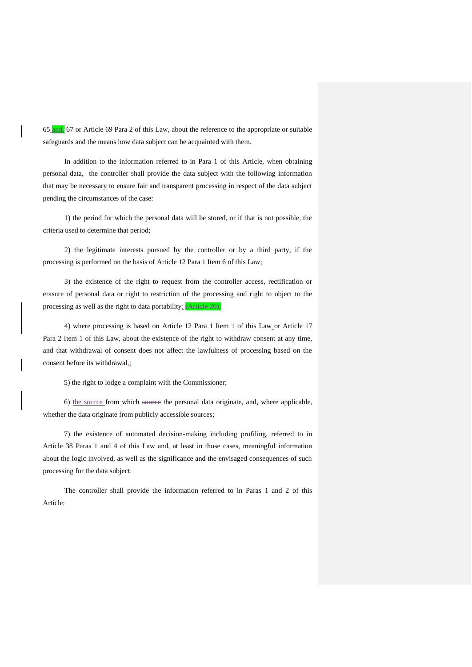65 and, 67 or Article 69 Para 2 of this Law, about the reference to the appropriate or suitable safeguards and the means how data subject can be acquainted with them.

In addition to the information referred to in Para 1 of this Article, when obtaining personal data, the controller shall provide the data subject with the following information that may be necessary to ensure fair and transparent processing in respect of the data subject pending the circumstances of the case:

1) the period for which the personal data will be stored, or if that is not possible, the criteria used to determine that period;

2) the legitimate interests pursued by the controller or by a third party, if the processing is performed on the basis of Article 12 Para 1 Item 6 of this Law;

3) the existence of the right to request from the controller access, rectification or erasure of personal data or right to restriction of the processing and right to object to the processing as well as the right to data portability; (Article 20)

4) where processing is based on Article 12 Para 1 Item 1 of this Law or Article 17 Para 2 Item 1 of this Law, about the existence of the right to withdraw consent at any time, and that withdrawal of consent does not affect the lawfulness of processing based on the consent before its withdrawal,;

5) the right to lodge a complaint with the Commissioner;

6) the source from which source the personal data originate, and, where applicable, whether the data originate from publicly accessible sources;

7) the existence of automated decision-making including profiling, referred to in Article 38 Paras 1 and 4 of this Law and, at least in those cases, meaningful information about the logic involved, as well as the significance and the envisaged consequences of such processing for the data subject.

The controller shall provide the information referred to in Paras 1 and 2 of this Article: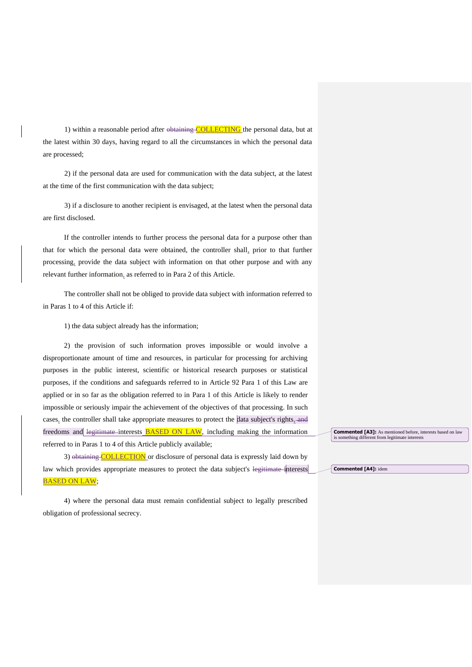1) within a reasonable period after  $\theta$ btaining COLLECTING the personal data, but at the latest within 30 days, having regard to all the circumstances in which the personal data are processed;

2) if the personal data are used for communication with the data subject, at the latest at the time of the first communication with the data subject;

3) if a disclosure to another recipient is envisaged, at the latest when the personal data are first disclosed.

If the controller intends to further process the personal data for a purpose other than that for which the personal data were obtained, the controller shall, prior to that further processing, provide the data subject with information on that other purpose and with any relevant further information, as referred to in Para 2 of this Article.

The controller shall not be obliged to provide data subject with information referred to in Paras 1 to 4 of this Article if:

1) the data subject already has the information;

2) the provision of such information proves impossible or would involve a disproportionate amount of time and resources, in particular for processing for archiving purposes in the public interest, scientific or historical research purposes or statistical purposes, if the conditions and safeguards referred to in Article 92 Para 1 of this Law are applied or in so far as the obligation referred to in Para 1 of this Article is likely to render impossible or seriously impair the achievement of the objectives of that processing. In such cases, the controller shall take appropriate measures to protect the data subject's rights, and freedoms and legitimate interests **BASED ON LAW**, including making the information referred to in Paras 1 to 4 of this Article publicly available;

3) obtaining COLLECTION or disclosure of personal data is expressly laid down by law which provides appropriate measures to protect the data subject's legitimate interests BASED ON LAW;

4) where the personal data must remain confidential subject to legally prescribed obligation of professional secrecy.

**Commented [A3]:** As mentioned before, interests based on law is something different from legitimate interests

**Commented [A4]:** idem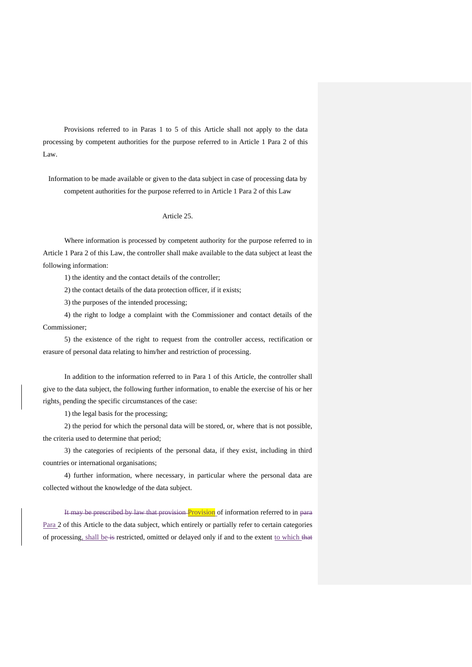Provisions referred to in Paras 1 to 5 of this Article shall not apply to the data processing by competent authorities for the purpose referred to in Article 1 Para 2 of this Law.

Information to be made available or given to the data subject in case of processing data by competent authorities for the purpose referred to in Article 1 Para 2 of this Law

# Article 25.

Where information is processed by competent authority for the purpose referred to in Article 1 Para 2 of this Law, the controller shall make available to the data subject at least the following information:

1) the identity and the contact details of the controller;

2) the contact details of the data protection officer, if it exists;

3) the purposes of the intended processing;

4) the right to lodge a complaint with the Commissioner and contact details of the Commissioner;

5) the existence of the right to request from the controller access, rectification or erasure of personal data relating to him/her and restriction of processing.

In addition to the information referred to in Para 1 of this Article, the controller shall give to the data subject, the following further information, to enable the exercise of his or her rights, pending the specific circumstances of the case:

1) the legal basis for the processing;

2) the period for which the personal data will be stored, or, where that is not possible, the criteria used to determine that period;

3) the categories of recipients of the personal data, if they exist, including in third countries or international organisations;

4) further information, where necessary, in particular where the personal data are collected without the knowledge of the data subject.

It may be prescribed by law that provision Provision of information referred to in para Para 2 of this Article to the data subject, which entirely or partially refer to certain categories of processing, shall be is restricted, omitted or delayed only if and to the extent to which that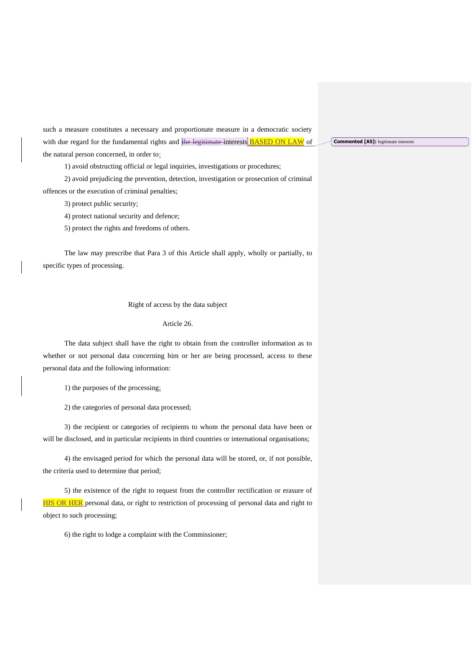such a measure constitutes a necessary and proportionate measure in a democratic society with due regard for the fundamental rights and the legitimate interests **BASED ON LAW** of the natural person concerned, in order to:

1) avoid obstructing official or legal inquiries, investigations or procedures;

2) avoid prejudicing the prevention, detection, investigation or prosecution of criminal offences or the execution of criminal penalties;

3) protect public security;

4) protect national security and defence;

5) protect the rights and freedoms of others.

The law may prescribe that Para 3 of this Article shall apply, wholly or partially, to specific types of processing.

## Right of access by the data subject

### Article 26.

The data subject shall have the right to obtain from the controller information as to whether or not personal data concerning him or her are being processed, access to these personal data and the following information:

1) the purposes of the processing;

2) the categories of personal data processed;

3) the recipient or categories of recipients to whom the personal data have been or will be disclosed, and in particular recipients in third countries or international organisations;

4) the envisaged period for which the personal data will be stored, or, if not possible, the criteria used to determine that period;

5) the existence of the right to request from the controller rectification or erasure of HIS OR HER personal data, or right to restriction of processing of personal data and right to object to such processing;

6) the right to lodge a complaint with the Commissioner;

**Commented [A5]:** legitimate interests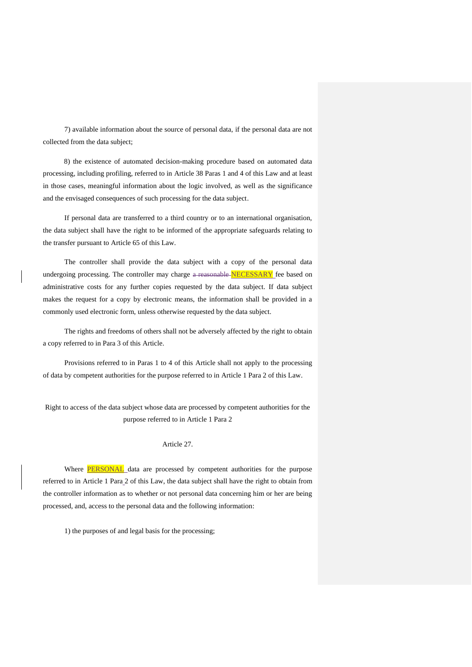7) available information about the source of personal data, if the personal data are not collected from the data subject;

8) the existence of automated decision-making procedure based on automated data processing, including profiling, referred to in Article 38 Paras 1 and 4 of this Law and at least in those cases, meaningful information about the logic involved, as well as the significance and the envisaged consequences of such processing for the data subject.

If personal data are transferred to a third country or to an international organisation, the data subject shall have the right to be informed of the appropriate safeguards relating to the transfer pursuant to Article 65 of this Law.

The controller shall provide the data subject with a copy of the personal data undergoing processing. The controller may charge a reasonable NECESSARY fee based on administrative costs for any further copies requested by the data subject. If data subject makes the request for a copy by electronic means, the information shall be provided in a commonly used electronic form, unless otherwise requested by the data subject.

The rights and freedoms of others shall not be adversely affected by the right to obtain a copy referred to in Para 3 of this Article.

Provisions referred to in Paras 1 to 4 of this Article shall not apply to the processing of data by competent authorities for the purpose referred to in Article 1 Para 2 of this Law.

Right to access of the data subject whose data are processed by competent authorities for the purpose referred to in Article 1 Para 2

### Article 27.

Where **PERSONAL** data are processed by competent authorities for the purpose referred to in Article 1 Para 2 of this Law, the data subject shall have the right to obtain from the controller information as to whether or not personal data concerning him or her are being processed, and, access to the personal data and the following information:

1) the purposes of and legal basis for the processing;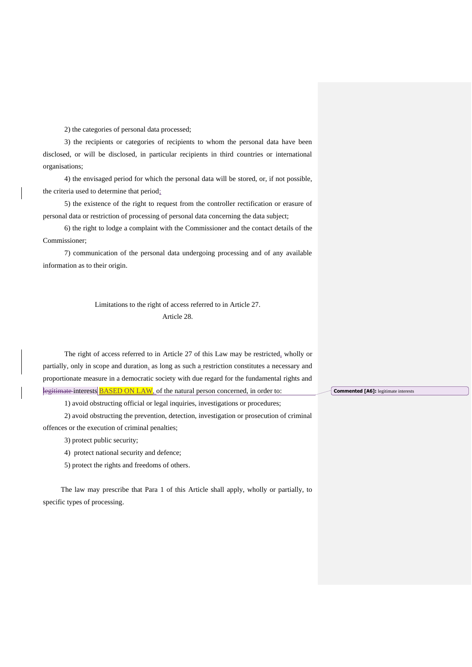2) the categories of personal data processed;

3) the recipients or categories of recipients to whom the personal data have been disclosed, or will be disclosed, in particular recipients in third countries or international organisations;

4) the envisaged period for which the personal data will be stored, or, if not possible, the criteria used to determine that period;

5) the existence of the right to request from the controller rectification or erasure of personal data or restriction of processing of personal data concerning the data subject;

6) the right to lodge a complaint with the Commissioner and the contact details of the Commissioner;

7) communication of the personal data undergoing processing and of any available information as to their origin.

# Limitations to the right of access referred to in Article 27. Article 28.

The right of access referred to in Article 27 of this Law may be restricted, wholly or partially, only in scope and duration, as long as such a restriction constitutes a necessary and proportionate measure in a democratic society with due regard for the fundamental rights and legitimate interests **BASED ON LAW**, of the natural person concerned, in order to:

1) avoid obstructing official or legal inquiries, investigations or procedures;

2) avoid obstructing the prevention, detection, investigation or prosecution of criminal offences or the execution of criminal penalties;

3) protect public security;

4) protect national security and defence;

5) protect the rights and freedoms of others.

 The law may prescribe that Para 1 of this Article shall apply, wholly or partially, to specific types of processing.

**Commented [A6]:** legitimate interests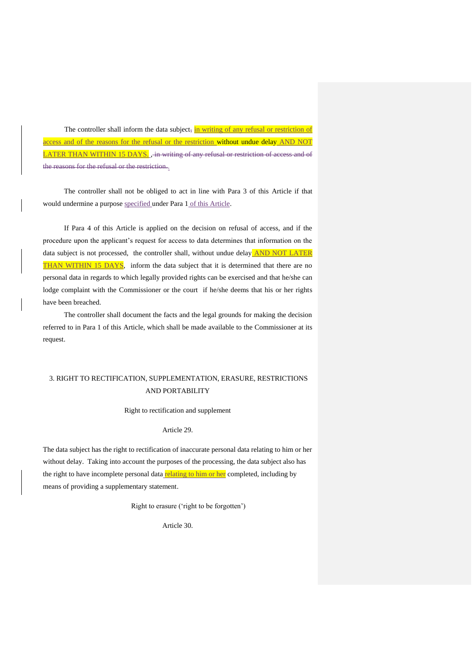The controller shall inform the data subject, in writing of any refusal or restriction of access and of the reasons for the refusal or the restriction without undue delay AND NOT LATER THAN WITHIN 15 DAYS. , in writing of any refusal or restriction of access and of the reasons for the refusal or the restriction..

The controller shall not be obliged to act in line with Para 3 of this Article if that would undermine a purpose specified under Para 1 of this Article.

If Para 4 of this Article is applied on the decision on refusal of access, and if the procedure upon the applicant's request for access to data determines that information on the data subject is not processed, the controller shall, without undue delay **AND NOT LATER** THAN WITHIN 15 DAYS, inform the data subject that it is determined that there are no personal data in regards to which legally provided rights can be exercised and that he/she can lodge complaint with the Commissioner or the court if he/she deems that his or her rights have been breached.

The controller shall document the facts and the legal grounds for making the decision referred to in Para 1 of this Article, which shall be made available to the Commissioner at its request.

# 3. RIGHT TO RECTIFICATION, SUPPLEMENTATION, ERASURE, RESTRICTIONS AND PORTABILITY

Right to rectification and supplement

# Article 29.

The data subject has the right to rectification of inaccurate personal data relating to him or her without delay. Taking into account the purposes of the processing, the data subject also has the right to have incomplete personal data relating to him or her completed, including by means of providing a supplementary statement.

Right to erasure ('right to be forgotten')

Article 30.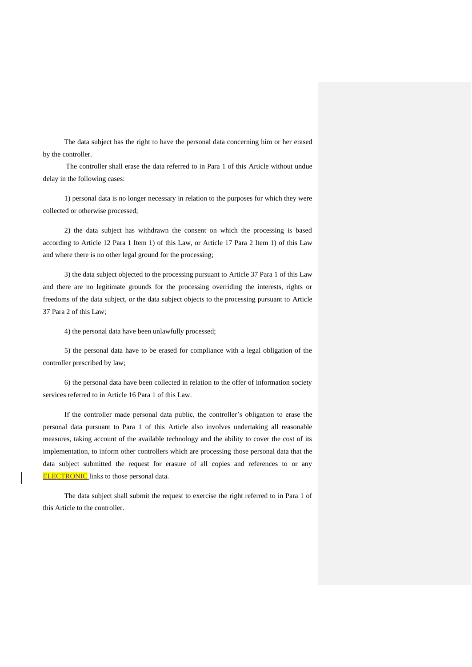The data subject has the right to have the personal data concerning him or her erased by the controller.

The controller shall erase the data referred to in Para 1 of this Article without undue delay in the following cases:

1) personal data is no longer necessary in relation to the purposes for which they were collected or otherwise processed;

2) the data subject has withdrawn the consent on which the processing is based according to Article 12 Para 1 Item 1) of this Law, or Article 17 Para 2 Item 1) of this Law and where there is no other legal ground for the processing;

3) the data subject objected to the processing pursuant to Article 37 Para 1 of this Law and there are no legitimate grounds for the processing overriding the interests, rights or freedoms of the data subject, or the data subject objects to the processing pursuant to Article 37 Para 2 of this Law;

4) the personal data have been unlawfully processed;

5) the personal data have to be erased for compliance with a legal obligation of the controller prescribed by law;

6) the personal data have been collected in relation to the offer of information society services referred to in Article 16 Para 1 of this Law.

If the controller made personal data public, the controller's obligation to erase the personal data pursuant to Para 1 of this Article also involves undertaking all reasonable measures, taking account of the available technology and the ability to cover the cost of its implementation, to inform other controllers which are processing those personal data that the data subject submitted the request for erasure of all copies and references to or any **ELECTRONIC** links to those personal data.

The data subject shall submit the request to exercise the right referred to in Para 1 of this Article to the controller.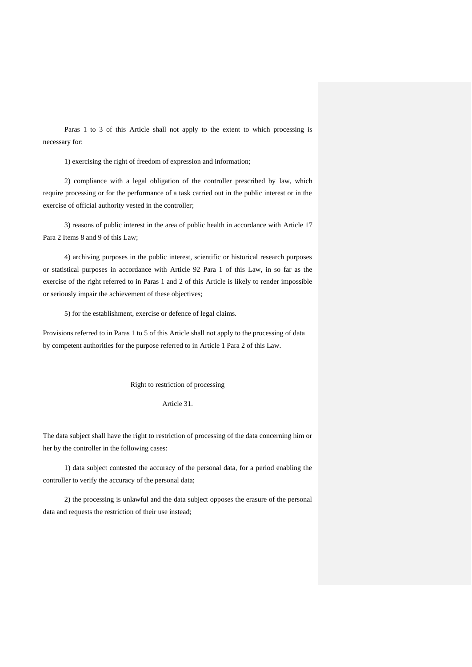Paras 1 to 3 of this Article shall not apply to the extent to which processing is necessary for:

1) exercising the right of freedom of expression and information;

2) compliance with a legal obligation of the controller prescribed by law, which require processing or for the performance of a task carried out in the public interest or in the exercise of official authority vested in the controller;

3) reasons of public interest in the area of public health in accordance with Article 17 Para 2 Items 8 and 9 of this Law;

4) archiving purposes in the public interest, scientific or historical research purposes or statistical purposes in accordance with Article 92 Para 1 of this Law, in so far as the exercise of the right referred to in Paras 1 and 2 of this Article is likely to render impossible or seriously impair the achievement of these objectives;

5) for the establishment, exercise or defence of legal claims.

Provisions referred to in Paras 1 to 5 of this Article shall not apply to the processing of data by competent authorities for the purpose referred to in Article 1 Para 2 of this Law.

Right to restriction of processing

Article 31.

The data subject shall have the right to restriction of processing of the data concerning him or her by the controller in the following cases:

1) data subject contested the accuracy of the personal data, for a period enabling the controller to verify the accuracy of the personal data;

2) the processing is unlawful and the data subject opposes the erasure of the personal data and requests the restriction of their use instead;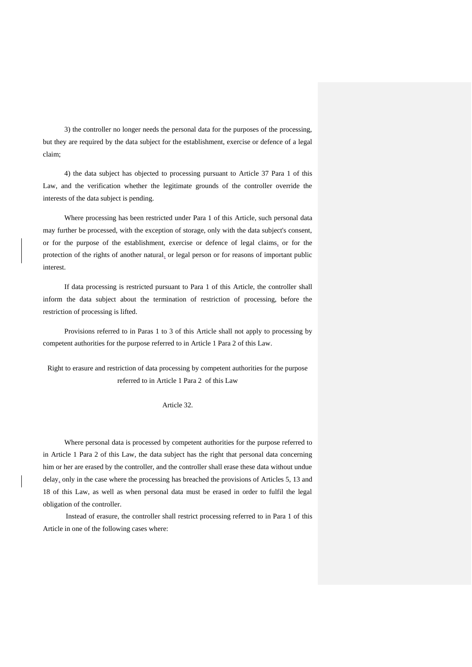3) the controller no longer needs the personal data for the purposes of the processing, but they are required by the data subject for the establishment, exercise or defence of a legal claim;

4) the data subject has objected to processing pursuant to Article 37 Para 1 of this Law, and the verification whether the legitimate grounds of the controller override the interests of the data subject is pending.

Where processing has been restricted under Para 1 of this Article, such personal data may further be processed, with the exception of storage, only with the data subject's consent, or for the purpose of the establishment, exercise or defence of legal claims, or for the protection of the rights of another natural, or legal person or for reasons of important public interest.

If data processing is restricted pursuant to Para 1 of this Article, the controller shall inform the data subject about the termination of restriction of processing, before the restriction of processing is lifted.

Provisions referred to in Paras 1 to 3 of this Article shall not apply to processing by competent authorities for the purpose referred to in Article 1 Para 2 of this Law.

Right to erasure and restriction of data processing by competent authorities for the purpose referred to in Article 1 Para 2 of this Law

# Article 32.

Where personal data is processed by competent authorities for the purpose referred to in Article 1 Para 2 of this Law, the data subject has the right that personal data concerning him or her are erased by the controller, and the controller shall erase these data without undue delay, only in the case where the processing has breached the provisions of Articles 5, 13 and 18 of this Law, as well as when personal data must be erased in order to fulfil the legal obligation of the controller.

Instead of erasure, the controller shall restrict processing referred to in Para 1 of this Article in one of the following cases where: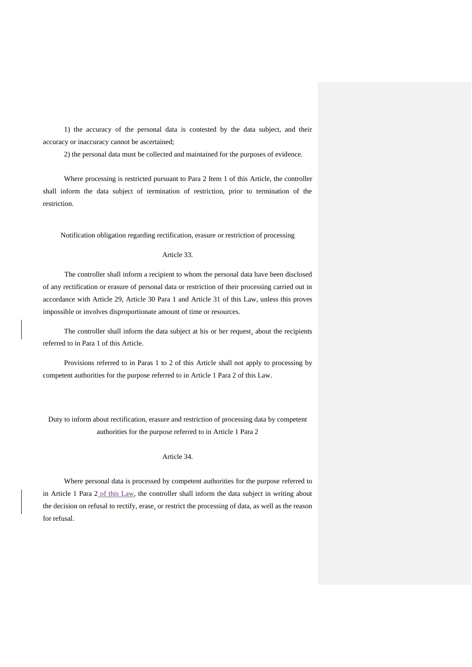1) the accuracy of the personal data is contested by the data subject, and their accuracy or inaccuracy cannot be ascertained;

2) the personal data must be collected and maintained for the purposes of evidence.

Where processing is restricted pursuant to Para 2 Item 1 of this Article, the controller shall inform the data subject of termination of restriction, prior to termination of the restriction.

Notification obligation regarding rectification, erasure or restriction of processing

### Article 33.

The controller shall inform a recipient to whom the personal data have been disclosed of any rectification or erasure of personal data or restriction of their processing carried out in accordance with Article 29, Article 30 Para 1 and Article 31 of this Law, unless this proves impossible or involves disproportionate amount of time or resources.

The controller shall inform the data subject at his or her request, about the recipients referred to in Para 1 of this Article.

Provisions referred to in Paras 1 to 2 of this Article shall not apply to processing by competent authorities for the purpose referred to in Article 1 Para 2 of this Law.

Duty to inform about rectification, erasure and restriction of processing data by competent authorities for the purpose referred to in Article 1 Para 2

# Article 34.

Where personal data is processed by competent authorities for the purpose referred to in Article 1 Para 2 of this Law, the controller shall inform the data subject in writing about the decision on refusal to rectify, erase, or restrict the processing of data, as well as the reason for refusal.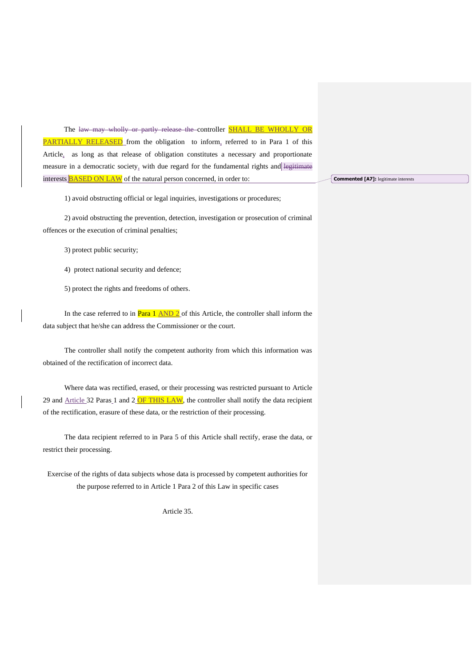The law may wholly or partly release the controller **SHALL BE WHOLLY OR** PARTIALLY RELEASED from the obligation to inform, referred to in Para 1 of this Article, as long as that release of obligation constitutes a necessary and proportionate measure in a democratic society, with due regard for the fundamental rights and legitimate interests BASED ON LAW of the natural person concerned, in order to:

1) avoid obstructing official or legal inquiries, investigations or procedures;

2) avoid obstructing the prevention, detection, investigation or prosecution of criminal offences or the execution of criminal penalties;

3) protect public security;

4) protect national security and defence;

5) protect the rights and freedoms of others.

In the case referred to in  $\frac{Para}{1 \text{ AND } 2}$  of this Article, the controller shall inform the data subject that he/she can address the Commissioner or the court.

The controller shall notify the competent authority from which this information was obtained of the rectification of incorrect data.

Where data was rectified, erased, or their processing was restricted pursuant to Article 29 and  $\Delta$ rticle 32 Paras 1 and 2 OF THIS LAW, the controller shall notify the data recipient of the rectification, erasure of these data, or the restriction of their processing.

The data recipient referred to in Para 5 of this Article shall rectify, erase the data, or restrict their processing.

Exercise of the rights of data subjects whose data is processed by competent authorities for the purpose referred to in Article 1 Para 2 of this Law in specific cases

Article 35.

**Commented [A7]:** legitimate interests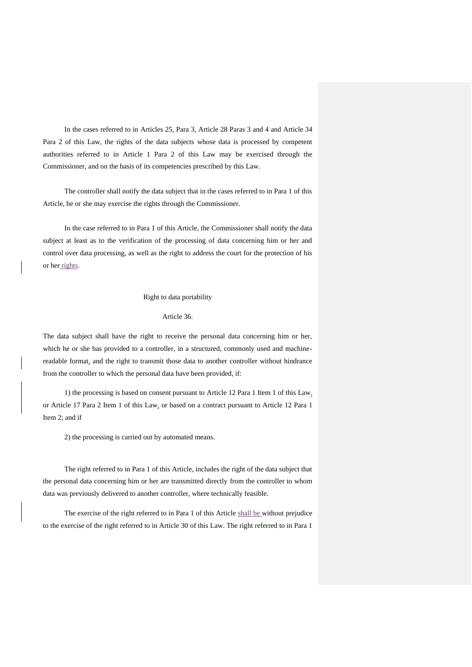In the cases referred to in Articles 25, Para 3, Article 28 Paras 3 and 4 and Article 34 Para 2 of this Law, the rights of the data subjects whose data is processed by competent authorities referred to in Article 1 Para 2 of this Law may be exercised through the Commissioner, and on the basis of its competencies prescribed by this Law.

The controller shall notify the data subject that in the cases referred to in Para 1 of this Article, he or she may exercise the rights through the Commissioner.

In the case referred to in Para 1 of this Article, the Commissioner shall notify the data subject at least as to the verification of the processing of data concerning him or her and control over data processing, as well as the right to address the court for the protection of his or her rights.

### Right to data portability

# Article 36.

The data subject shall have the right to receive the personal data concerning him or her, which he or she has provided to a controller, in a structured, commonly used and machinereadable format, and the right to transmit those data to another controller without hindrance from the controller to which the personal data have been provided, if:

1) the processing is based on consent pursuant to Article 12 Para 1 Item 1 of this  $Law_1$ or Article 17 Para 2 Item 1 of this Law, or based on a contract pursuant to Article 12 Para 1 Item 2; and if

2) the processing is carried out by automated means.

The right referred to in Para 1 of this Article, includes the right of the data subject that the personal data concerning him or her are transmitted directly from the controller to whom data was previously delivered to another controller, where technically feasible.

The exercise of the right referred to in Para 1 of this Article shall be without prejudice to the exercise of the right referred to in Article 30 of this Law. The right referred to in Para 1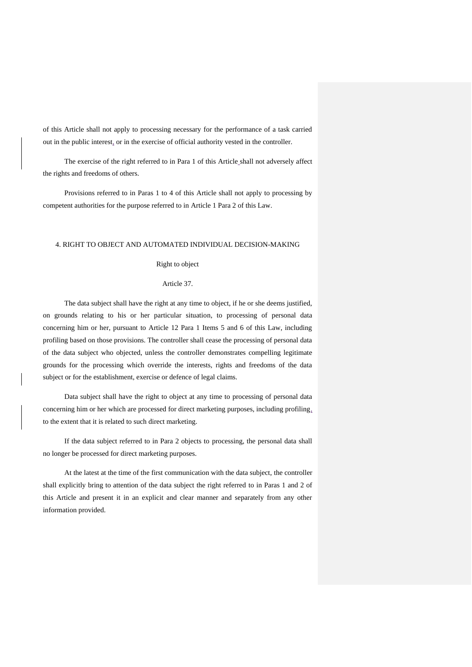of this Article shall not apply to processing necessary for the performance of a task carried out in the public interest, or in the exercise of official authority vested in the controller.

The exercise of the right referred to in Para 1 of this Article shall not adversely affect the rights and freedoms of others.

Provisions referred to in Paras 1 to 4 of this Article shall not apply to processing by competent authorities for the purpose referred to in Article 1 Para 2 of this Law.

## 4. RIGHT TO OBJECT AND AUTOMATED INDIVIDUAL DECISION-MAKING

## Right to object

#### Article 37.

The data subject shall have the right at any time to object, if he or she deems justified, on grounds relating to his or her particular situation, to processing of personal data concerning him or her, pursuant to Article 12 Para 1 Items 5 and 6 of this Law, including profiling based on those provisions. The controller shall cease the processing of personal data of the data subject who objected, unless the controller demonstrates compelling legitimate grounds for the processing which override the interests, rights and freedoms of the data subject or for the establishment, exercise or defence of legal claims.

Data subject shall have the right to object at any time to processing of personal data concerning him or her which are processed for direct marketing purposes, including profiling, to the extent that it is related to such direct marketing.

If the data subject referred to in Para 2 objects to processing, the personal data shall no longer be processed for direct marketing purposes.

At the latest at the time of the first communication with the data subject, the controller shall explicitly bring to attention of the data subject the right referred to in Paras 1 and 2 of this Article and present it in an explicit and clear manner and separately from any other information provided.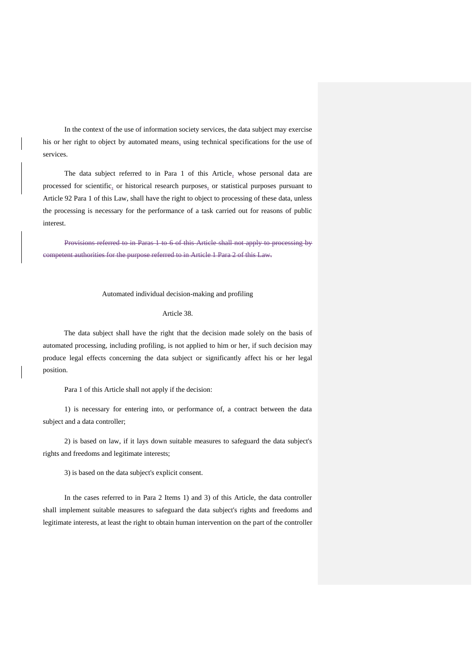In the context of the use of information society services, the data subject may exercise his or her right to object by automated means, using technical specifications for the use of services.

The data subject referred to in Para 1 of this Article, whose personal data are processed for scientific, or historical research purposes, or statistical purposes pursuant to Article 92 Para 1 of this Law, shall have the right to object to processing of these data, unless the processing is necessary for the performance of a task carried out for reasons of public interest.

Provisions referred to in Paras 1 to 6 of this Article shall not apply to processing by competent authorities for the purpose referred to in Article 1 Para 2 of this Law.

#### Automated individual decision-making and profiling

#### Article 38.

The data subject shall have the right that the decision made solely on the basis of automated processing, including profiling, is not applied to him or her, if such decision may produce legal effects concerning the data subject or significantly affect his or her legal position.

Para 1 of this Article shall not apply if the decision:

1) is necessary for entering into, or performance of, a contract between the data subject and a data controller;

2) is based on law, if it lays down suitable measures to safeguard the data subject's rights and freedoms and legitimate interests;

3) is based on the data subject's explicit consent.

In the cases referred to in Para 2 Items 1) and 3) of this Article, the data controller shall implement suitable measures to safeguard the data subject's rights and freedoms and legitimate interests, at least the right to obtain human intervention on the part of the controller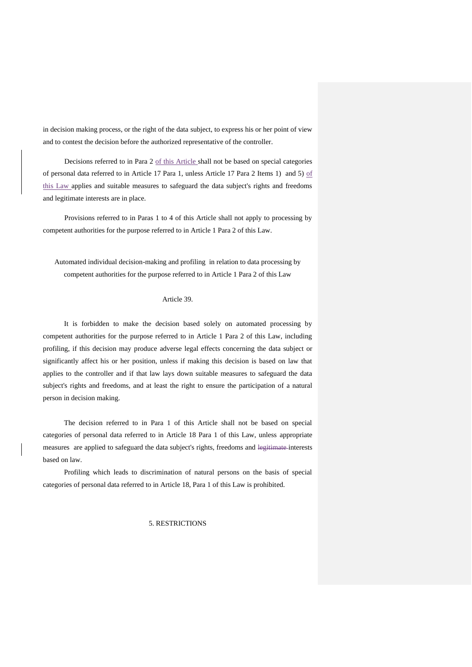in decision making process, or the right of the data subject, to express his or her point of view and to contest the decision before the authorized representative of the controller.

Decisions referred to in Para 2 of this Article shall not be based on special categories of personal data referred to in Article 17 Para 1, unless Article 17 Para 2 Items 1) and 5) of this Law applies and suitable measures to safeguard the data subject's rights and freedoms and legitimate interests are in place.

Provisions referred to in Paras 1 to 4 of this Article shall not apply to processing by competent authorities for the purpose referred to in Article 1 Para 2 of this Law.

Automated individual decision-making and profiling in relation to data processing by competent authorities for the purpose referred to in Article 1 Para 2 of this Law

#### Article 39.

It is forbidden to make the decision based solely on automated processing by competent authorities for the purpose referred to in Article 1 Para 2 of this Law, including profiling, if this decision may produce adverse legal effects concerning the data subject or significantly affect his or her position, unless if making this decision is based on law that applies to the controller and if that law lays down suitable measures to safeguard the data subject's rights and freedoms, and at least the right to ensure the participation of a natural person in decision making.

The decision referred to in Para 1 of this Article shall not be based on special categories of personal data referred to in Article 18 Para 1 of this Law, unless appropriate measures are applied to safeguard the data subject's rights, freedoms and legitimate interests based on law.

Profiling which leads to discrimination of natural persons on the basis of special categories of personal data referred to in Article 18, Para 1 of this Law is prohibited.

## 5. RESTRICTIONS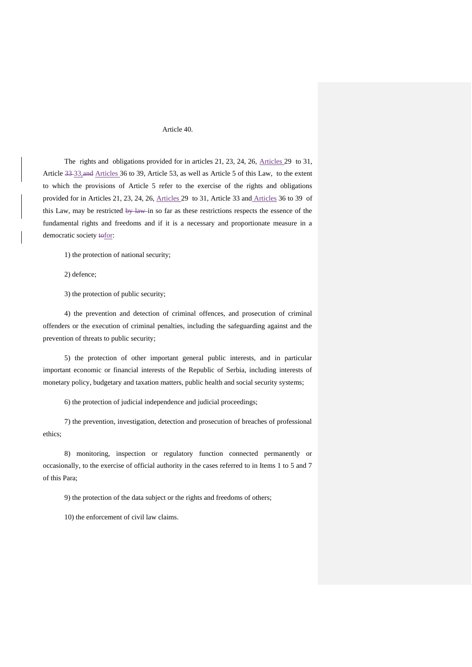## Article 40.

The rights and obligations provided for in articles 21, 23, 24, 26, Articles 29 to 31, Article 33 33,and Articles 36 to 39, Article 53, as well as Article 5 of this Law, to the extent to which the provisions of Article 5 refer to the exercise of the rights and obligations provided for in Articles 21, 23, 24, 26, Articles 29 to 31, Article 33 and Articles 36 to 39 of this Law, may be restricted by law in so far as these restrictions respects the essence of the fundamental rights and freedoms and if it is a necessary and proportionate measure in a democratic society tofor:

1) the protection of national security;

2) defence;

3) the protection of public security;

4) the prevention and detection of criminal offences, and prosecution of criminal offenders or the execution of criminal penalties, including the safeguarding against and the prevention of threats to public security;

5) the protection of other important general public interests, and in particular important economic or financial interests of the Republic of Serbia, including interests of monetary policy, budgetary and taxation matters, public health and social security systems;

6) the protection of judicial independence and judicial proceedings;

7) the prevention, investigation, detection and prosecution of breaches of professional ethics;

8) monitoring, inspection or regulatory function connected permanently or occasionally, to the exercise of official authority in the cases referred to in Items 1 to 5 and 7 of this Para;

9) the protection of the data subject or the rights and freedoms of others;

10) the enforcement of civil law claims.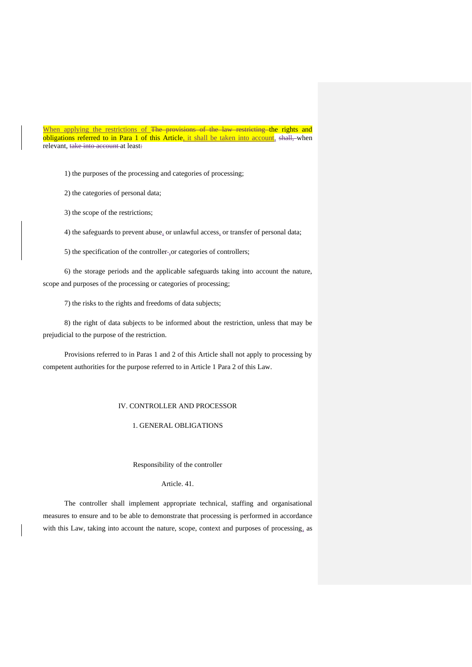When applying the restrictions of The provisions of the law restricting the rights and obligations referred to in Para 1 of this Article, it shall be taken into account, shall, when relevant, take into account at least:

1) the purposes of the processing and categories of processing;

2) the categories of personal data;

3) the scope of the restrictions;

4) the safeguards to prevent abuse, or unlawful access, or transfer of personal data;

5) the specification of the controller-<sub>1</sub> or categories of controllers;

6) the storage periods and the applicable safeguards taking into account the nature, scope and purposes of the processing or categories of processing;

7) the risks to the rights and freedoms of data subjects;

8) the right of data subjects to be informed about the restriction, unless that may be prejudicial to the purpose of the restriction.

Provisions referred to in Paras 1 and 2 of this Article shall not apply to processing by competent authorities for the purpose referred to in Article 1 Para 2 of this Law.

#### IV. CONTROLLER AND PROCESSOR

# 1. GENERAL OBLIGATIONS

#### Responsibility of the controller

Article. 41.

The controller shall implement appropriate technical, staffing and organisational measures to ensure and to be able to demonstrate that processing is performed in accordance with this Law, taking into account the nature, scope, context and purposes of processing, as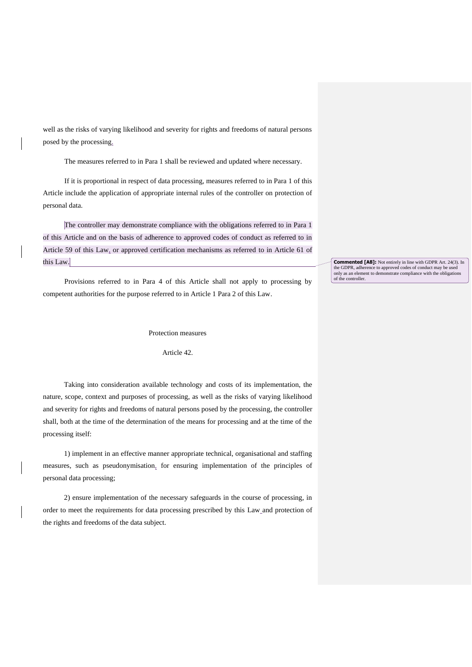well as the risks of varying likelihood and severity for rights and freedoms of natural persons posed by the processing.

The measures referred to in Para 1 shall be reviewed and updated where necessary.

If it is proportional in respect of data processing, measures referred to in Para 1 of this Article include the application of appropriate internal rules of the controller on protection of personal data.

The controller may demonstrate compliance with the obligations referred to in Para 1 of this Article and on the basis of adherence to approved codes of conduct as referred to in Article 59 of this Law, or approved certification mechanisms as referred to in Article 61 of this Law.

Provisions referred to in Para 4 of this Article shall not apply to processing by competent authorities for the purpose referred to in Article 1 Para 2 of this Law.

Protection measures

Article 42.

Taking into consideration available technology and costs of its implementation, the nature, scope, context and purposes of processing, as well as the risks of varying likelihood and severity for rights and freedoms of natural persons posed by the processing, the controller shall, both at the time of the determination of the means for processing and at the time of the processing itself:

1) implement in an effective manner appropriate technical, organisational and staffing measures, such as pseudonymisation, for ensuring implementation of the principles of personal data processing;

2) ensure implementation of the necessary safeguards in the course of processing, in order to meet the requirements for data processing prescribed by this Law and protection of the rights and freedoms of the data subject.

**Commented [A8]:** Not entirely in line with GDPR Art. 24(3). In the GDPR, adherence to approved codes of conduct may be used only as an element to demonstrate compliance with the obligations of the controller.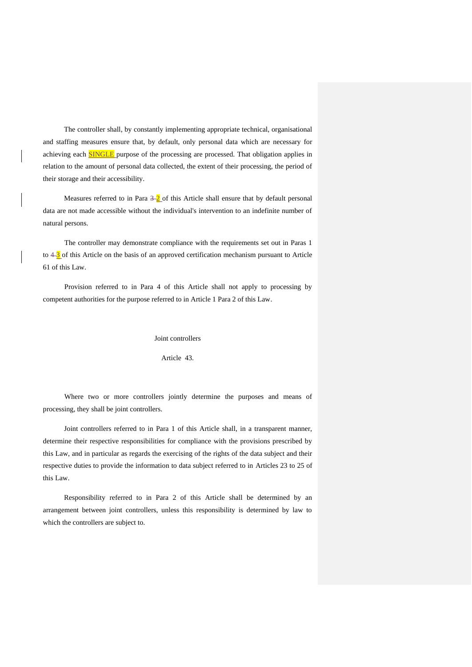The controller shall, by constantly implementing appropriate technical, organisational and staffing measures ensure that, by default, only personal data which are necessary for achieving each **SINGLE** purpose of the processing are processed. That obligation applies in relation to the amount of personal data collected, the extent of their processing, the period of their storage and their accessibility.

Measures referred to in Para  $\frac{3}{2}$  of this Article shall ensure that by default personal data are not made accessible without the individual's intervention to an indefinite number of natural persons.

The controller may demonstrate compliance with the requirements set out in Paras 1 to  $4-\frac{3}{2}$  of this Article on the basis of an approved certification mechanism pursuant to Article 61 of this Law.

Provision referred to in Para 4 of this Article shall not apply to processing by competent authorities for the purpose referred to in Article 1 Para 2 of this Law.

Joint controllers

Article 43.

Where two or more controllers jointly determine the purposes and means of processing, they shall be joint controllers.

Joint controllers referred to in Para 1 of this Article shall, in a transparent manner, determine their respective responsibilities for compliance with the provisions prescribed by this Law, and in particular as regards the exercising of the rights of the data subject and their respective duties to provide the information to data subject referred to in Articles 23 to 25 of this Law.

Responsibility referred to in Para 2 of this Article shall be determined by an arrangement between joint controllers, unless this responsibility is determined by law to which the controllers are subject to.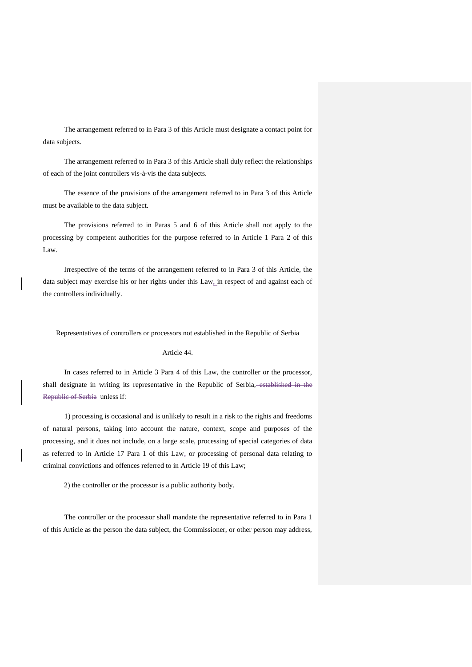The arrangement referred to in Para 3 of this Article must designate a contact point for data subjects.

The arrangement referred to in Para 3 of this Article shall duly reflect the relationships of each of the joint controllers vis-à-vis the data subjects.

The essence of the provisions of the arrangement referred to in Para 3 of this Article must be available to the data subject.

The provisions referred to in Paras 5 and 6 of this Article shall not apply to the processing by competent authorities for the purpose referred to in Article 1 Para 2 of this Law.

Irrespective of the terms of the arrangement referred to in Para 3 of this Article, the data subject may exercise his or her rights under this Law<sub>in</sub> respect of and against each of the controllers individually.

Representatives of controllers or processors not established in the Republic of Serbia

#### Article 44.

In cases referred to in Article 3 Para 4 of this Law, the controller or the processor, shall designate in writing its representative in the Republic of Serbia, established in the Republic of Serbia unless if:

1) processing is occasional and is unlikely to result in a risk to the rights and freedoms of natural persons, taking into account the nature, context, scope and purposes of the processing, and it does not include, on a large scale, processing of special categories of data as referred to in Article 17 Para 1 of this Law, or processing of personal data relating to criminal convictions and offences referred to in Article 19 of this Law;

2) the controller or the processor is a public authority body.

The controller or the processor shall mandate the representative referred to in Para 1 of this Article as the person the data subject, the Commissioner, or other person may address,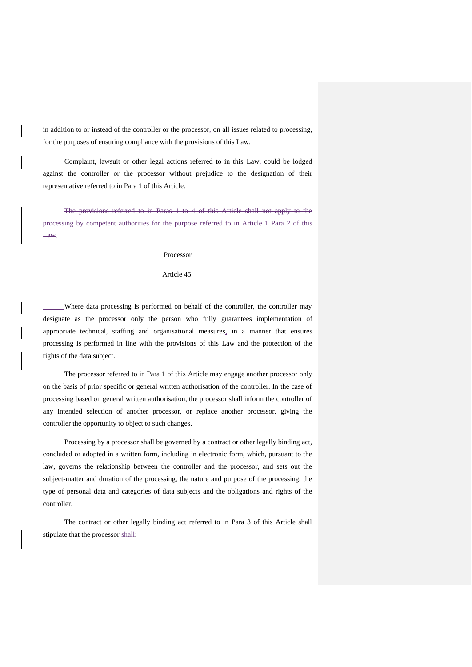in addition to or instead of the controller or the processor, on all issues related to processing, for the purposes of ensuring compliance with the provisions of this Law.

Complaint, lawsuit or other legal actions referred to in this Law, could be lodged against the controller or the processor without prejudice to the designation of their representative referred to in Para 1 of this Article.

The provisions referred to in Paras 1 to 4 of this Article shall not apply to the processing by competent authorities for the purpose referred to in Article 1 Para 2 of this Law.

Processor

Article 45.

Where data processing is performed on behalf of the controller, the controller may designate as the processor only the person who fully guarantees implementation of appropriate technical, staffing and organisational measures, in a manner that ensures processing is performed in line with the provisions of this Law and the protection of the rights of the data subject.

The processor referred to in Para 1 of this Article may engage another processor only on the basis of prior specific or general written authorisation of the controller. In the case of processing based on general written authorisation, the processor shall inform the controller of any intended selection of another processor, or replace another processor, giving the controller the opportunity to object to such changes.

Processing by a processor shall be governed by a contract or other legally binding act, concluded or adopted in a written form, including in electronic form, which, pursuant to the law, governs the relationship between the controller and the processor, and sets out the subject-matter and duration of the processing, the nature and purpose of the processing, the type of personal data and categories of data subjects and the obligations and rights of the controller.

The contract or other legally binding act referred to in Para 3 of this Article shall stipulate that the processor shall: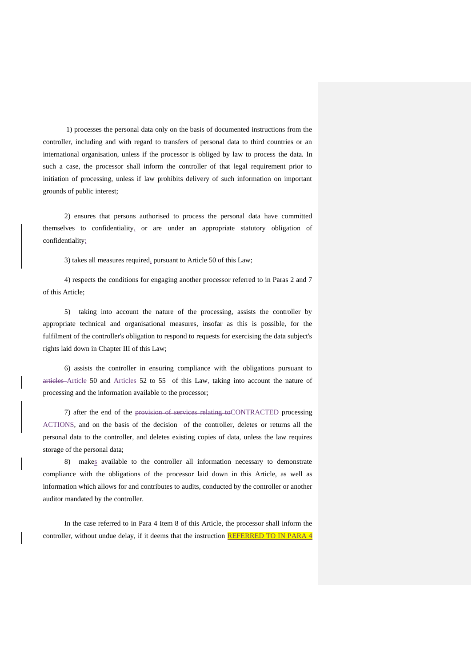1) processes the personal data only on the basis of documented instructions from the controller, including and with regard to transfers of personal data to third countries or an international organisation, unless if the processor is obliged by law to process the data. In such a case, the processor shall inform the controller of that legal requirement prior to initiation of processing, unless if law prohibits delivery of such information on important grounds of public interest;

2) ensures that persons authorised to process the personal data have committed themselves to confidentiality, or are under an appropriate statutory obligation of confidentiality;

3) takes all measures required, pursuant to Article 50 of this Law;

4) respects the conditions for engaging another processor referred to in Paras 2 and 7 of this Article;

5) taking into account the nature of the processing, assists the controller by appropriate technical and organisational measures, insofar as this is possible, for the fulfilment of the controller's obligation to respond to requests for exercising the data subject's rights laid down in Chapter III of this Law;

6) assists the controller in ensuring compliance with the obligations pursuant to articles Article 50 and Articles 52 to 55 of this Law, taking into account the nature of processing and the information available to the processor;

7) after the end of the provision of services relating toCONTRACTED processing ACTIONS, and on the basis of the decision of the controller, deletes or returns all the personal data to the controller, and deletes existing copies of data, unless the law requires storage of the personal data;

8) makes available to the controller all information necessary to demonstrate compliance with the obligations of the processor laid down in this Article, as well as information which allows for and contributes to audits, conducted by the controller or another auditor mandated by the controller.

In the case referred to in Para 4 Item 8 of this Article, the processor shall inform the controller, without undue delay, if it deems that the instruction REFERRED TO IN PARA 4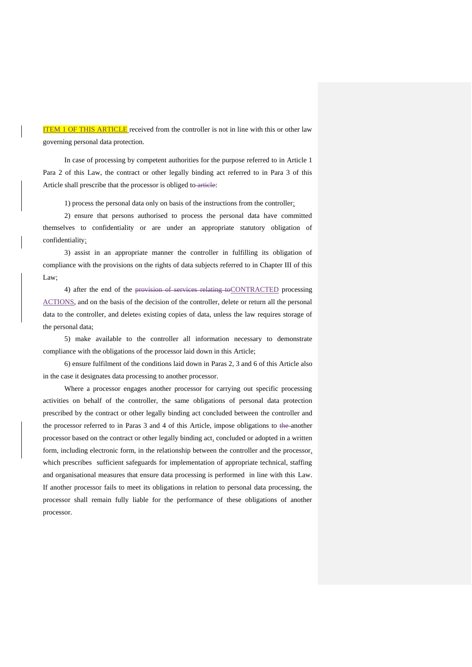ITEM 1 OF THIS ARTICLE received from the controller is not in line with this or other law governing personal data protection.

In case of processing by competent authorities for the purpose referred to in Article 1 Para 2 of this Law, the contract or other legally binding act referred to in Para 3 of this Article shall prescribe that the processor is obliged to article:

1) process the personal data only on basis of the instructions from the controller;

2) ensure that persons authorised to process the personal data have committed themselves to confidentiality or are under an appropriate statutory obligation of confidentiality;

3) assist in an appropriate manner the controller in fulfilling its obligation of compliance with the provisions on the rights of data subjects referred to in Chapter III of this Law;

4) after the end of the provision of services relating to CONTRACTED processing ACTIONS, and on the basis of the decision of the controller, delete or return all the personal data to the controller, and deletes existing copies of data, unless the law requires storage of the personal data;

5) make available to the controller all information necessary to demonstrate compliance with the obligations of the processor laid down in this Article;

6) ensure fulfilment of the conditions laid down in Paras 2, 3 and 6 of this Article also in the case it designates data processing to another processor.

Where a processor engages another processor for carrying out specific processing activities on behalf of the controller, the same obligations of personal data protection prescribed by the contract or other legally binding act concluded between the controller and the processor referred to in Paras 3 and 4 of this Article, impose obligations to the another processor based on the contract or other legally binding act, concluded or adopted in a written form, including electronic form, in the relationship between the controller and the processor, which prescribes sufficient safeguards for implementation of appropriate technical, staffing and organisational measures that ensure data processing is performed in line with this Law. If another processor fails to meet its obligations in relation to personal data processing, the processor shall remain fully liable for the performance of these obligations of another processor.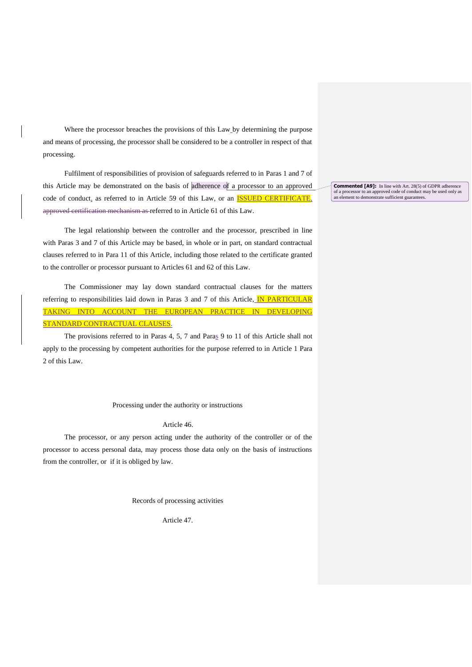Where the processor breaches the provisions of this Law by determining the purpose and means of processing, the processor shall be considered to be a controller in respect of that processing.

Fulfilment of responsibilities of provision of safeguards referred to in Paras 1 and 7 of this Article may be demonstrated on the basis of adherence of a processor to an approved code of conduct, as referred to in Article 59 of this Law, or an **ISSUED CERTIFICATE**, approved certification mechanism as referred to in Article 61 of this Law.

The legal relationship between the controller and the processor, prescribed in line with Paras 3 and 7 of this Article may be based, in whole or in part, on standard contractual clauses referred to in Para 11 of this Article, including those related to the certificate granted to the controller or processor pursuant to Articles 61 and 62 of this Law.

The Commissioner may lay down standard contractual clauses for the matters referring to responsibilities laid down in Paras 3 and 7 of this Article, **IN PARTICULAR** TAKING INTO ACCOUNT THE EUROPEAN PRACTICE IN DEVELOPING STANDARD CONTRACTUAL CLAUSES.

The provisions referred to in Paras 4, 5, 7 and Paras 9 to 11 of this Article shall not apply to the processing by competent authorities for the purpose referred to in Article 1 Para 2 of this Law.

Processing under the authority or instructions

Article 46.

The processor, or any person acting under the authority of the controller or of the processor to access personal data, may process those data only on the basis of instructions from the controller, or if it is obliged by law.

Records of processing activities

Article 47.

**Commented [A9]:** In line with Art. 28(5) of GDPR adherence of a processor to an approved code of conduct may be used only as an element to demonstrate sufficient guarantees.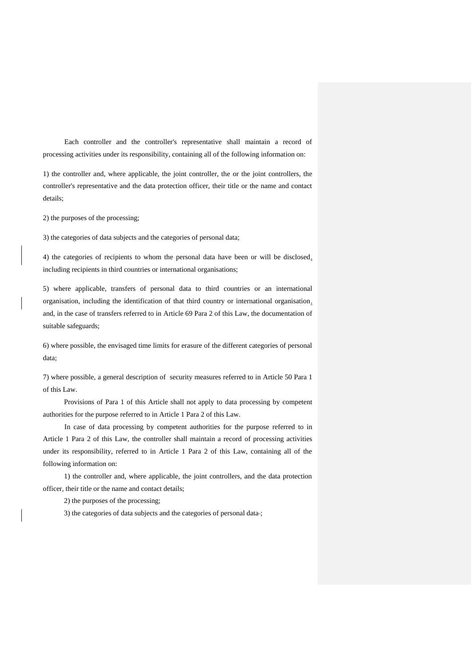Each controller and the controller's representative shall maintain a record of processing activities under its responsibility, containing all of the following information on:

1) the controller and, where applicable, the joint controller, the or the joint controllers, the controller's representative and the data protection officer, their title or the name and contact details;

2) the purposes of the processing;

3) the categories of data subjects and the categories of personal data;

4) the categories of recipients to whom the personal data have been or will be disclosed, including recipients in third countries or international organisations;

5) where applicable, transfers of personal data to third countries or an international organisation, including the identification of that third country or international organisation, and, in the case of transfers referred to in Article 69 Para 2 of this Law, the documentation of suitable safeguards;

6) where possible, the envisaged time limits for erasure of the different categories of personal data;

7) where possible, a general description of security measures referred to in Article 50 Para 1 of this Law.

Provisions of Para 1 of this Article shall not apply to data processing by competent authorities for the purpose referred to in Article 1 Para 2 of this Law.

In case of data processing by competent authorities for the purpose referred to in Article 1 Para 2 of this Law, the controller shall maintain a record of processing activities under its responsibility, referred to in Article 1 Para 2 of this Law, containing all of the following information on:

1) the controller and, where applicable, the joint controllers, and the data protection officer, their title or the name and contact details;

2) the purposes of the processing;

3) the categories of data subjects and the categories of personal data ;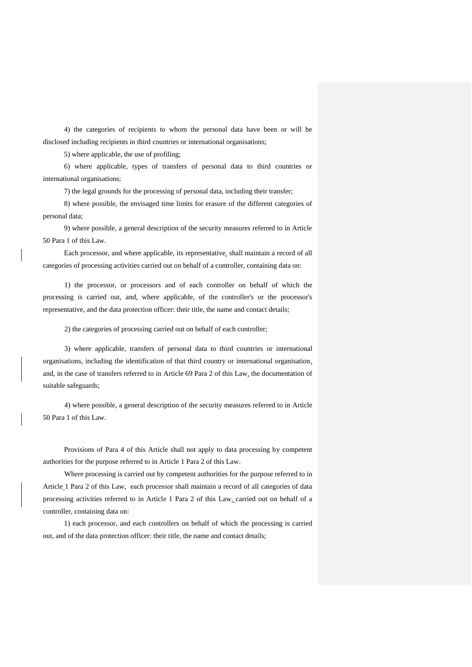4) the categories of recipients to whom the personal data have been or will be disclosed including recipients in third countries or international organisations;

5) where applicable, the use of profiling;

6) where applicable, types of transfers of personal data to third countries or international organisations;

7) the legal grounds for the processing of personal data, including their transfer;

8) where possible, the envisaged time limits for erasure of the different categories of personal data;

9) where possible, a general description of the security measures referred to in Article 50 Para 1 of this Law.

Each processor, and where applicable, its representative, shall maintain a record of all categories of processing activities carried out on behalf of a controller, containing data on:

1) the processor, or processors and of each controller on behalf of which the processing is carried out, and, where applicable, of the controller's or the processor's representative, and the data protection officer: their title, the name and contact details;

2) the categories of processing carried out on behalf of each controller;

3) where applicable, transfers of personal data to third countries or international organisations, including the identification of that third country or international organisation, and, in the case of transfers referred to in Article 69 Para 2 of this Law, the documentation of suitable safeguards;

4) where possible, a general description of the security measures referred to in Article 50 Para 1 of this Law.

Provisions of Para 4 of this Article shall not apply to data processing by competent authorities for the purpose referred to in Article 1 Para 2 of this Law.

Where processing is carried out by competent authorities for the purpose referred to in Article 1 Para 2 of this Law, each processor shall maintain a record of all categories of data processing activities referred to in Article 1 Para 2 of this Law, carried out on behalf of a controller, containing data on:

1) each processor, and each controllers on behalf of which the processing is carried out, and of the data protection officer: their title, the name and contact details;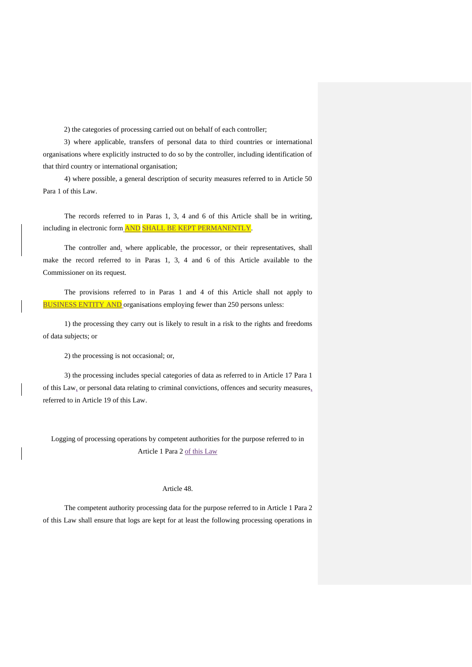2) the categories of processing carried out on behalf of each controller;

3) where applicable, transfers of personal data to third countries or international organisations where explicitly instructed to do so by the controller, including identification of that third country or international organisation;

4) where possible, a general description of security measures referred to in Article 50 Para 1 of this Law.

The records referred to in Paras 1, 3, 4 and 6 of this Article shall be in writing, including in electronic form AND SHALL BE KEPT PERMANENTLY.

The controller and, where applicable, the processor, or their representatives, shall make the record referred to in Paras 1, 3, 4 and 6 of this Article available to the Commissioner on its request.

The provisions referred to in Paras 1 and 4 of this Article shall not apply to **BUSINESS ENTITY AND** organisations employing fewer than 250 persons unless:

1) the processing they carry out is likely to result in a risk to the rights and freedoms of data subjects; or

2) the processing is not occasional; or,

3) the processing includes special categories of data as referred to in Article 17 Para 1 of this Law, or personal data relating to criminal convictions, offences and security measures, referred to in Article 19 of this Law.

Logging of processing operations by competent authorities for the purpose referred to in Article 1 Para 2 of this Law

## Article 48.

The competent authority processing data for the purpose referred to in Article 1 Para 2 of this Law shall ensure that logs are kept for at least the following processing operations in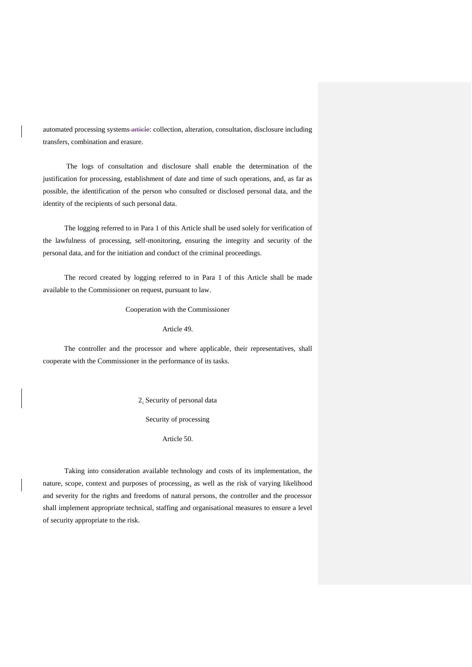automated processing systems article: collection, alteration, consultation, disclosure including transfers, combination and erasure.

The logs of consultation and disclosure shall enable the determination of the justification for processing, establishment of date and time of such operations, and, as far as possible, the identification of the person who consulted or disclosed personal data, and the identity of the recipients of such personal data.

The logging referred to in Para 1 of this Article shall be used solely for verification of the lawfulness of processing, self-monitoring, ensuring the integrity and security of the personal data, and for the initiation and conduct of the criminal proceedings.

The record created by logging referred to in Para 1 of this Article shall be made available to the Commissioner on request, pursuant to law.

Cooperation with the Commissioner

Article 49.

The controller and the processor and where applicable, their representatives, shall cooperate with the Commissioner in the performance of its tasks.

2. Security of personal data

Security of processing

Article 50.

Taking into consideration available technology and costs of its implementation, the nature, scope, context and purposes of processing, as well as the risk of varying likelihood and severity for the rights and freedoms of natural persons, the controller and the processor shall implement appropriate technical, staffing and organisational measures to ensure a level of security appropriate to the risk.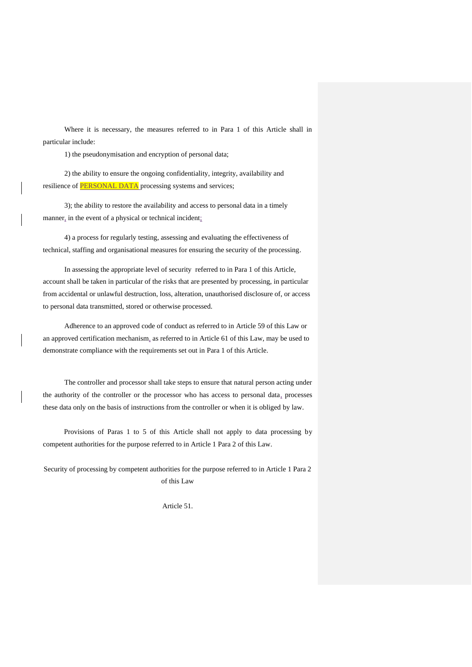Where it is necessary, the measures referred to in Para 1 of this Article shall in particular include:

1) the pseudonymisation and encryption of personal data;

2) the ability to ensure the ongoing confidentiality, integrity, availability and resilience of **PERSONAL DATA** processing systems and services;

3); the ability to restore the availability and access to personal data in a timely manner, in the event of a physical or technical incident;

4) a process for regularly testing, assessing and evaluating the effectiveness of technical, staffing and organisational measures for ensuring the security of the processing.

In assessing the appropriate level of security referred to in Para 1 of this Article, account shall be taken in particular of the risks that are presented by processing, in particular from accidental or unlawful destruction, loss, alteration, unauthorised disclosure of, or access to personal data transmitted, stored or otherwise processed.

Adherence to an approved code of conduct as referred to in Article 59 of this Law or an approved certification mechanism, as referred to in Article 61 of this Law, may be used to demonstrate compliance with the requirements set out in Para 1 of this Article.

The controller and processor shall take steps to ensure that natural person acting under the authority of the controller or the processor who has access to personal data, processes these data only on the basis of instructions from the controller or when it is obliged by law.

Provisions of Paras 1 to 5 of this Article shall not apply to data processing by competent authorities for the purpose referred to in Article 1 Para 2 of this Law.

Security of processing by competent authorities for the purpose referred to in Article 1 Para 2 of this Law

Article 51.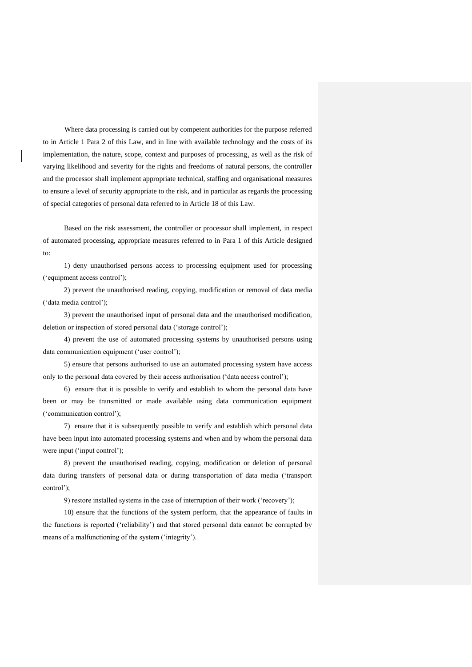Where data processing is carried out by competent authorities for the purpose referred to in Article 1 Para 2 of this Law, and in line with available technology and the costs of its implementation, the nature, scope, context and purposes of processing, as well as the risk of varying likelihood and severity for the rights and freedoms of natural persons, the controller and the processor shall implement appropriate technical, staffing and organisational measures to ensure a level of security appropriate to the risk, and in particular as regards the processing of special categories of personal data referred to in Article 18 of this Law.

Based on the risk assessment, the controller or processor shall implement, in respect of automated processing, appropriate measures referred to in Para 1 of this Article designed to:

1) deny unauthorised persons access to processing equipment used for processing ('equipment access control');

2) prevent the unauthorised reading, copying, modification or removal of data media ('data media control');

3) prevent the unauthorised input of personal data and the unauthorised modification, deletion or inspection of stored personal data ('storage control');

4) prevent the use of automated processing systems by unauthorised persons using data communication equipment ('user control');

5) ensure that persons authorised to use an automated processing system have access only to the personal data covered by their access authorisation ('data access control');

6) ensure that it is possible to verify and establish to whom the personal data have been or may be transmitted or made available using data communication equipment ('communication control');

7) ensure that it is subsequently possible to verify and establish which personal data have been input into automated processing systems and when and by whom the personal data were input ('input control');

8) prevent the unauthorised reading, copying, modification or deletion of personal data during transfers of personal data or during transportation of data media ('transport control');

9) restore installed systems in the case of interruption of their work ('recovery');

10) ensure that the functions of the system perform, that the appearance of faults in the functions is reported ('reliability') and that stored personal data cannot be corrupted by means of a malfunctioning of the system ('integrity').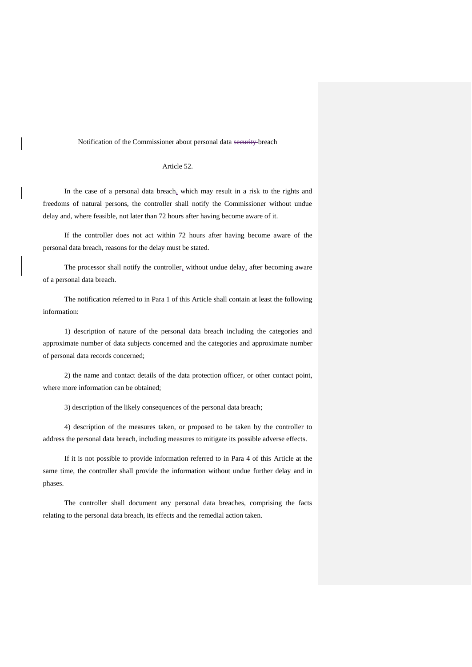#### Notification of the Commissioner about personal data security breach

## Article 52.

In the case of a personal data breach, which may result in a risk to the rights and freedoms of natural persons, the controller shall notify the Commissioner without undue delay and, where feasible, not later than 72 hours after having become aware of it.

If the controller does not act within 72 hours after having become aware of the personal data breach, reasons for the delay must be stated.

The processor shall notify the controller, without undue delay, after becoming aware of a personal data breach.

The notification referred to in Para 1 of this Article shall contain at least the following information:

1) description of nature of the personal data breach including the categories and approximate number of data subjects concerned and the categories and approximate number of personal data records concerned;

2) the name and contact details of the data protection officer, or other contact point, where more information can be obtained;

3) description of the likely consequences of the personal data breach;

4) description of the measures taken, or proposed to be taken by the controller to address the personal data breach, including measures to mitigate its possible adverse effects.

If it is not possible to provide information referred to in Para 4 of this Article at the same time, the controller shall provide the information without undue further delay and in phases.

The controller shall document any personal data breaches, comprising the facts relating to the personal data breach, its effects and the remedial action taken.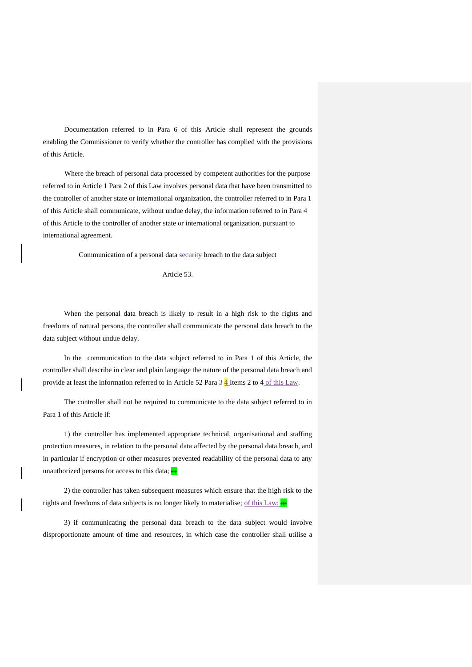Documentation referred to in Para 6 of this Article shall represent the grounds enabling the Commissioner to verify whether the controller has complied with the provisions of this Article.

Where the breach of personal data processed by competent authorities for the purpose referred to in Article 1 Para 2 of this Law involves personal data that have been transmitted to the controller of another state or international organization, the controller referred to in Para 1 of this Article shall communicate, without undue delay, the information referred to in Para 4 of this Article to the controller of another state or international organization, pursuant to international agreement.

Communication of a personal data security breach to the data subject

Article 53.

When the personal data breach is likely to result in a high risk to the rights and freedoms of natural persons, the controller shall communicate the personal data breach to the data subject without undue delay.

In the communication to the data subject referred to in Para 1 of this Article, the controller shall describe in clear and plain language the nature of the personal data breach and provide at least the information referred to in Article 52 Para  $\frac{34}{4}$  Items 2 to 4 of this Law.

The controller shall not be required to communicate to the data subject referred to in Para 1 of this Article if:

1) the controller has implemented appropriate technical, organisational and staffing protection measures, in relation to the personal data affected by the personal data breach, and in particular if encryption or other measures prevented readability of the personal data to any unauthorized persons for access to this data;  $\Theta$ **F** 

2) the controller has taken subsequent measures which ensure that the high risk to the rights and freedoms of data subjects is no longer likely to materialise; of this Law; or

3) if communicating the personal data breach to the data subject would involve disproportionate amount of time and resources, in which case the controller shall utilise a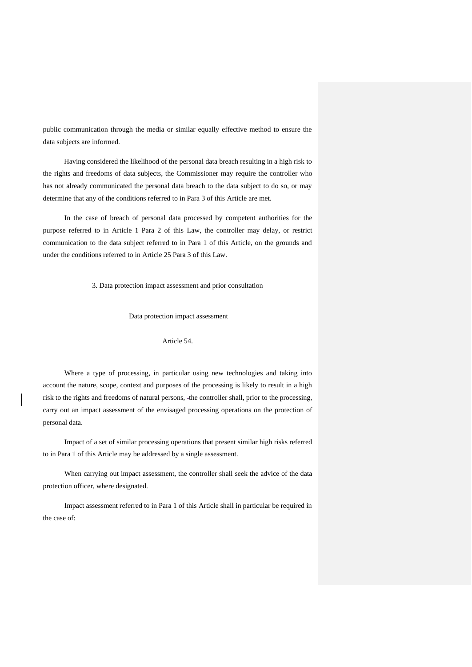public communication through the media or similar equally effective method to ensure the data subjects are informed.

Having considered the likelihood of the personal data breach resulting in a high risk to the rights and freedoms of data subjects, the Commissioner may require the controller who has not already communicated the personal data breach to the data subject to do so, or may determine that any of the conditions referred to in Para 3 of this Article are met.

In the case of breach of personal data processed by competent authorities for the purpose referred to in Article 1 Para 2 of this Law, the controller may delay, or restrict communication to the data subject referred to in Para 1 of this Article, on the grounds and under the conditions referred to in Article 25 Para 3 of this Law.

3. Data protection impact assessment and prior consultation

Data protection impact assessment

#### Article 54.

Where a type of processing, in particular using new technologies and taking into account the nature, scope, context and purposes of the processing is likely to result in a high risk to the rights and freedoms of natural persons, the controller shall, prior to the processing, carry out an impact assessment of the envisaged processing operations on the protection of personal data.

Impact of a set of similar processing operations that present similar high risks referred to in Para 1 of this Article may be addressed by a single assessment.

When carrying out impact assessment, the controller shall seek the advice of the data protection officer, where designated.

Impact assessment referred to in Para 1 of this Article shall in particular be required in the case of: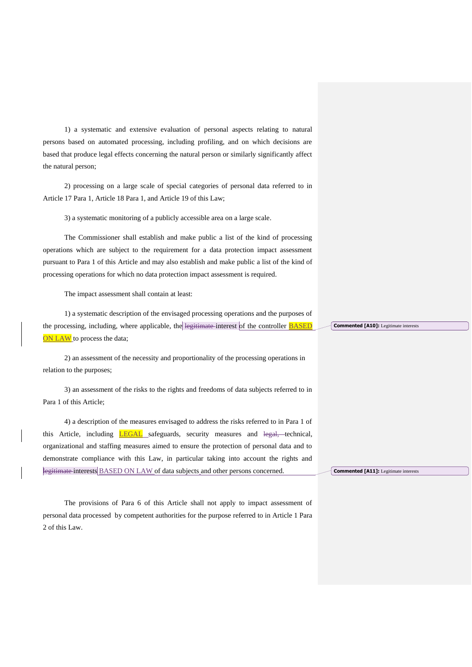1) a systematic and extensive evaluation of personal aspects relating to natural persons based on automated processing, including profiling, and on which decisions are based that produce legal effects concerning the natural person or similarly significantly affect the natural person;

2) processing on a large scale of special categories of personal data referred to in Article 17 Para 1, Article 18 Para 1, and Article 19 of this Law;

3) a systematic monitoring of a publicly accessible area on a large scale.

The Commissioner shall establish and make public a list of the kind of processing operations which are subject to the requirement for a data protection impact assessment pursuant to Para 1 of this Article and may also establish and make public a list of the kind of processing operations for which no data protection impact assessment is required.

The impact assessment shall contain at least:

1) a systematic description of the envisaged processing operations and the purposes of the processing, including, where applicable, the legitimate interest of the controller **BASED** ON LAW to process the data;

2) an assessment of the necessity and proportionality of the processing operations in relation to the purposes;

3) an assessment of the risks to the rights and freedoms of data subjects referred to in Para 1 of this Article;

4) a description of the measures envisaged to address the risks referred to in Para 1 of this Article, including **LEGAL** safeguards, security measures and legal, technical, organizational and staffing measures aimed to ensure the protection of personal data and to demonstrate compliance with this Law, in particular taking into account the rights and legitimate interests BASED ON LAW of data subjects and other persons concerned.

The provisions of Para 6 of this Article shall not apply to impact assessment of personal data processed by competent authorities for the purpose referred to in Article 1 Para 2 of this Law.

**Commented [A10]:** Legitimate interests

**Commented [A11]:** Legitimate interests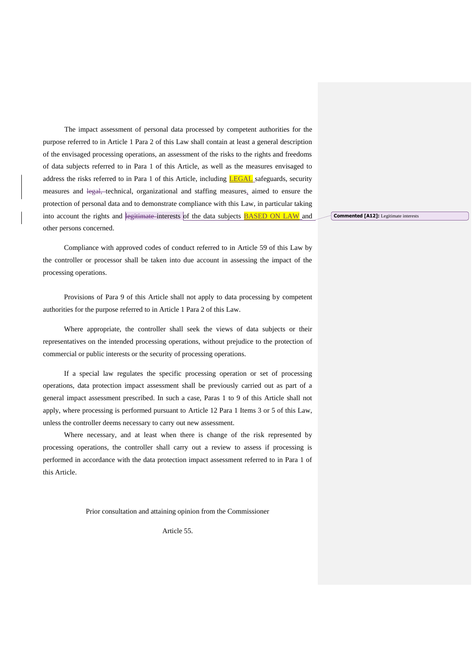The impact assessment of personal data processed by competent authorities for the purpose referred to in Article 1 Para 2 of this Law shall contain at least a general description of the envisaged processing operations, an assessment of the risks to the rights and freedoms of data subjects referred to in Para 1 of this Article, as well as the measures envisaged to address the risks referred to in Para 1 of this Article, including **LEGAL** safeguards, security measures and legal, technical, organizational and staffing measures, aimed to ensure the protection of personal data and to demonstrate compliance with this Law, in particular taking into account the rights and legitimate interests of the data subjects **BASED ON LAW** and other persons concerned.

Compliance with approved codes of conduct referred to in Article 59 of this Law by the controller or processor shall be taken into due account in assessing the impact of the processing operations.

Provisions of Para 9 of this Article shall not apply to data processing by competent authorities for the purpose referred to in Article 1 Para 2 of this Law.

Where appropriate, the controller shall seek the views of data subjects or their representatives on the intended processing operations, without prejudice to the protection of commercial or public interests or the security of processing operations.

If a special law regulates the specific processing operation or set of processing operations, data protection impact assessment shall be previously carried out as part of a general impact assessment prescribed. In such a case, Paras 1 to 9 of this Article shall not apply, where processing is performed pursuant to Article 12 Para 1 Items 3 or 5 of this Law, unless the controller deems necessary to carry out new assessment.

Where necessary, and at least when there is change of the risk represented by processing operations, the controller shall carry out a review to assess if processing is performed in accordance with the data protection impact assessment referred to in Para 1 of this Article.

Prior consultation and attaining opinion from the Commissioner

Article 55.

**Commented [A12]:** Legitimate interests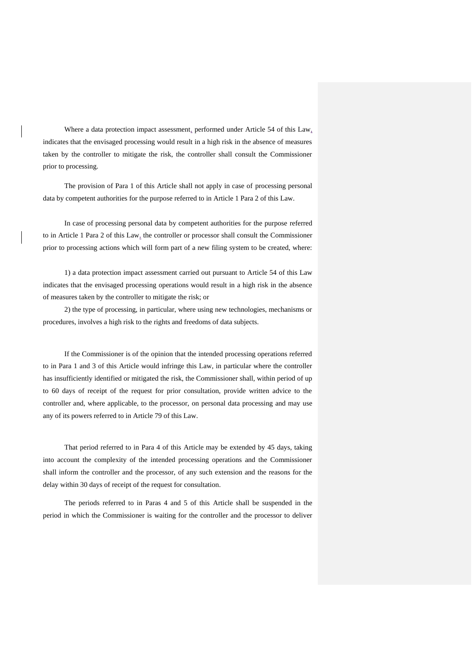Where a data protection impact assessment, performed under Article 54 of this Law, indicates that the envisaged processing would result in a high risk in the absence of measures taken by the controller to mitigate the risk, the controller shall consult the Commissioner prior to processing.

The provision of Para 1 of this Article shall not apply in case of processing personal data by competent authorities for the purpose referred to in Article 1 Para 2 of this Law.

In case of processing personal data by competent authorities for the purpose referred to in Article 1 Para 2 of this Law, the controller or processor shall consult the Commissioner prior to processing actions which will form part of a new filing system to be created, where:

1) a data protection impact assessment carried out pursuant to Article 54 of this Law indicates that the envisaged processing operations would result in a high risk in the absence of measures taken by the controller to mitigate the risk; or

2) the type of processing, in particular, where using new technologies, mechanisms or procedures, involves a high risk to the rights and freedoms of data subjects.

If the Commissioner is of the opinion that the intended processing operations referred to in Para 1 and 3 of this Article would infringe this Law, in particular where the controller has insufficiently identified or mitigated the risk, the Commissioner shall, within period of up to 60 days of receipt of the request for prior consultation, provide written advice to the controller and, where applicable, to the processor, on personal data processing and may use any of its powers referred to in Article 79 of this Law.

That period referred to in Para 4 of this Article may be extended by 45 days, taking into account the complexity of the intended processing operations and the Commissioner shall inform the controller and the processor, of any such extension and the reasons for the delay within 30 days of receipt of the request for consultation.

The periods referred to in Paras 4 and 5 of this Article shall be suspended in the period in which the Commissioner is waiting for the controller and the processor to deliver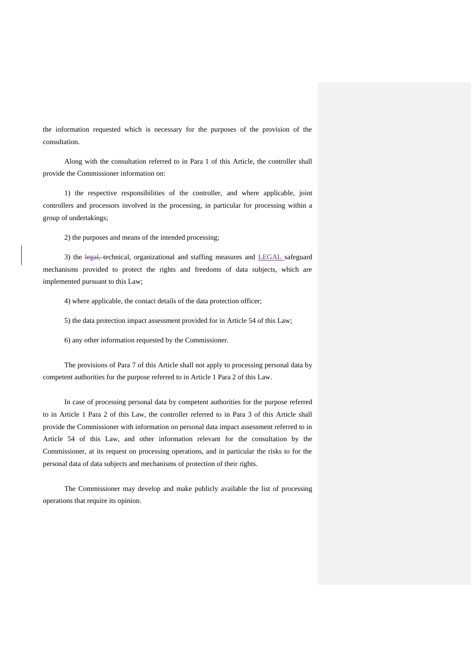the information requested which is necessary for the purposes of the provision of the consultation.

Along with the consultation referred to in Para 1 of this Article, the controller shall provide the Commissioner information on:

1) the respective responsibilities of the controller, and where applicable, joint controllers and processors involved in the processing, in particular for processing within a group of undertakings;

2) the purposes and means of the intended processing;

3) the legal, technical, organizational and staffing measures and LEGAL safeguard mechanisms provided to protect the rights and freedoms of data subjects, which are implemented pursuant to this Law;

4) where applicable, the contact details of the data protection officer;

5) the data protection impact assessment provided for in Article 54 of this Law;

6) any other information requested by the Commissioner.

The provisions of Para 7 of this Article shall not apply to processing personal data by competent authorities for the purpose referred to in Article 1 Para 2 of this Law.

In case of processing personal data by competent authorities for the purpose referred to in Article 1 Para 2 of this Law, the controller referred to in Para 3 of this Article shall provide the Commissioner with information on personal data impact assessment referred to in Article 54 of this Law, and other information relevant for the consultation by the Commissioner, at its request on processing operations, and in particular the risks to for the personal data of data subjects and mechanisms of protection of their rights.

The Commissioner may develop and make publicly available the list of processing operations that require its opinion.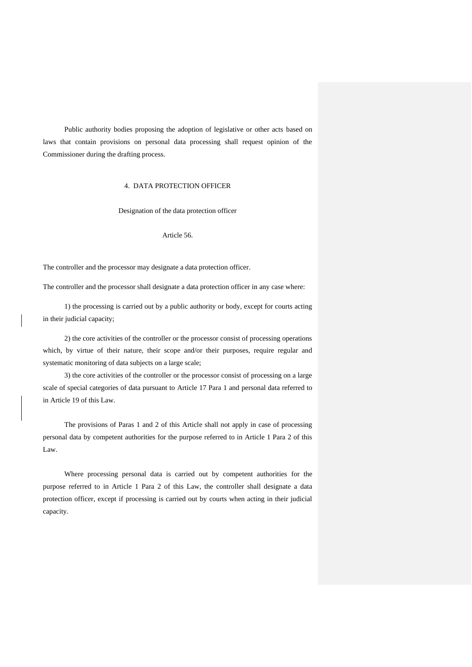Public authority bodies proposing the adoption of legislative or other acts based on laws that contain provisions on personal data processing shall request opinion of the Commissioner during the drafting process.

# 4. DATA PROTECTION OFFICER

Designation of the data protection officer

Article 56.

The controller and the processor may designate a data protection officer.

The controller and the processor shall designate a data protection officer in any case where:

1) the processing is carried out by a public authority or body, except for courts acting in their judicial capacity;

2) the core activities of the controller or the processor consist of processing operations which, by virtue of their nature, their scope and/or their purposes, require regular and systematic monitoring of data subjects on a large scale;

3) the core activities of the controller or the processor consist of processing on a large scale of special categories of data pursuant to Article 17 Para 1 and personal data referred to in Article 19 of this Law.

The provisions of Paras 1 and 2 of this Article shall not apply in case of processing personal data by competent authorities for the purpose referred to in Article 1 Para 2 of this Law.

Where processing personal data is carried out by competent authorities for the purpose referred to in Article 1 Para 2 of this Law, the controller shall designate a data protection officer, except if processing is carried out by courts when acting in their judicial capacity.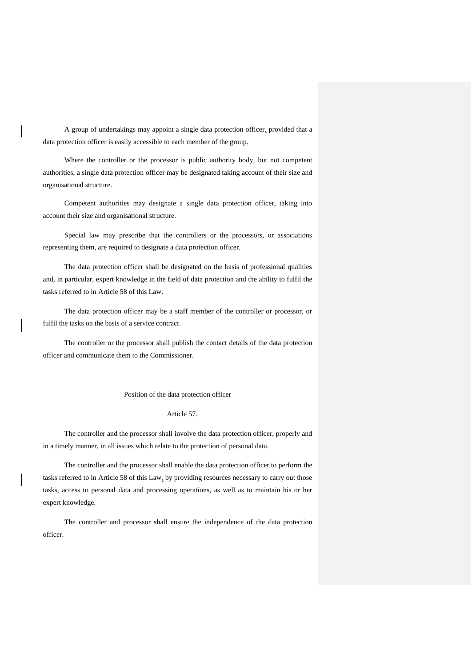A group of undertakings may appoint a single data protection officer, provided that a data protection officer is easily accessible to each member of the group.

Where the controller or the processor is public authority body, but not competent authorities, a single data protection officer may be designated taking account of their size and organisational structure.

Competent authorities may designate a single data protection officer, taking into account their size and organisational structure.

Special law may prescribe that the controllers or the processors, or associations representing them, are required to designate a data protection officer.

The data protection officer shall be designated on the basis of professional qualities and, in particular, expert knowledge in the field of data protection and the ability to fulfil the tasks referred to in Article 58 of this Law.

The data protection officer may be a staff member of the controller or processor, or fulfil the tasks on the basis of a service contract.

The controller or the processor shall publish the contact details of the data protection officer and communicate them to the Commissioner.

Position of the data protection officer

## Article 57.

The controller and the processor shall involve the data protection officer, properly and in a timely manner, in all issues which relate to the protection of personal data.

The controller and the processor shall enable the data protection officer to perform the tasks referred to in Article 58 of this Law, by providing resources necessary to carry out those tasks, access to personal data and processing operations, as well as to maintain his or her expert knowledge.

The controller and processor shall ensure the independence of the data protection officer.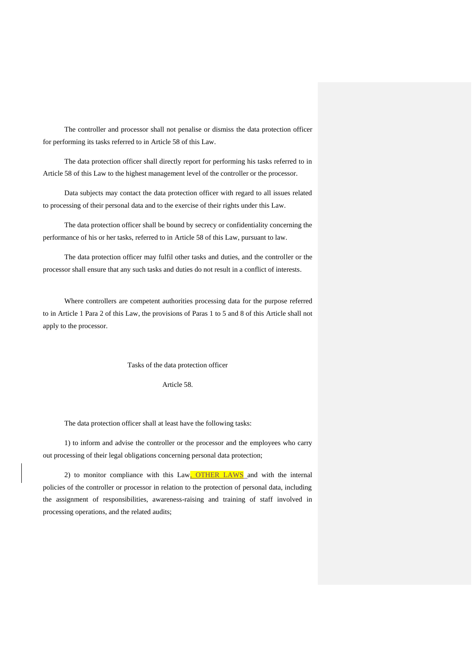The controller and processor shall not penalise or dismiss the data protection officer for performing its tasks referred to in Article 58 of this Law.

The data protection officer shall directly report for performing his tasks referred to in Article 58 of this Law to the highest management level of the controller or the processor.

Data subjects may contact the data protection officer with regard to all issues related to processing of their personal data and to the exercise of their rights under this Law.

The data protection officer shall be bound by secrecy or confidentiality concerning the performance of his or her tasks, referred to in Article 58 of this Law, pursuant to law.

The data protection officer may fulfil other tasks and duties, and the controller or the processor shall ensure that any such tasks and duties do not result in a conflict of interests.

Where controllers are competent authorities processing data for the purpose referred to in Article 1 Para 2 of this Law, the provisions of Paras 1 to 5 and 8 of this Article shall not apply to the processor.

Tasks of the data protection officer

Article 58.

The data protection officer shall at least have the following tasks:

1) to inform and advise the controller or the processor and the employees who carry out processing of their legal obligations concerning personal data protection;

2) to monitor compliance with this Law. OTHER LAWS and with the internal policies of the controller or processor in relation to the protection of personal data, including the assignment of responsibilities, awareness-raising and training of staff involved in processing operations, and the related audits;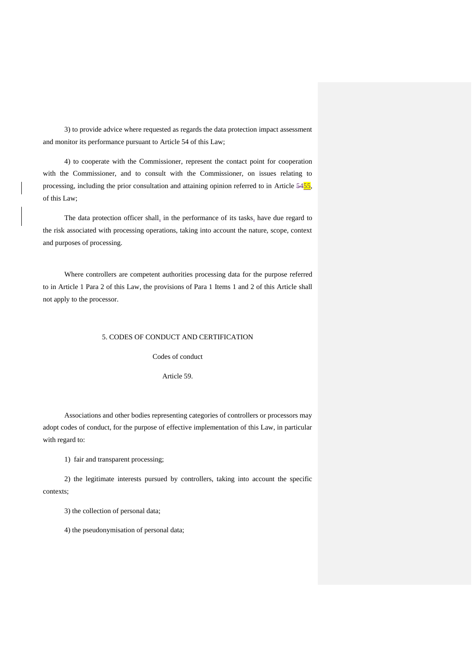3) to provide advice where requested as regards the data protection impact assessment and monitor its performance pursuant to Article 54 of this Law;

4) to cooperate with the Commissioner, represent the contact point for cooperation with the Commissioner, and to consult with the Commissioner, on issues relating to processing, including the prior consultation and attaining opinion referred to in Article 5455, of this Law;

The data protection officer shall, in the performance of its tasks, have due regard to the risk associated with processing operations, taking into account the nature, scope, context and purposes of processing.

Where controllers are competent authorities processing data for the purpose referred to in Article 1 Para 2 of this Law, the provisions of Para 1 Items 1 and 2 of this Article shall not apply to the processor.

## 5. CODES OF CONDUCT AND CERTIFICATION

Codes of conduct

Article 59.

Associations and other bodies representing categories of controllers or processors may adopt codes of conduct, for the purpose of effective implementation of this Law, in particular with regard to:

1) fair and transparent processing;

2) the legitimate interests pursued by controllers, taking into account the specific contexts;

3) the collection of personal data;

4) the pseudonymisation of personal data;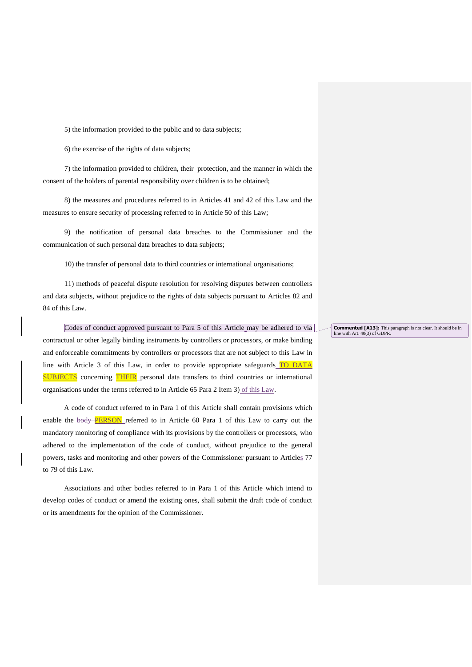5) the information provided to the public and to data subjects;

6) the exercise of the rights of data subjects;

7) the information provided to children, their protection, and the manner in which the consent of the holders of parental responsibility over children is to be obtained;

8) the measures and procedures referred to in Articles 41 and 42 of this Law and the measures to ensure security of processing referred to in Article 50 of this Law;

9) the notification of personal data breaches to the Commissioner and the communication of such personal data breaches to data subjects;

10) the transfer of personal data to third countries or international organisations;

11) methods of peaceful dispute resolution for resolving disputes between controllers and data subjects, without prejudice to the rights of data subjects pursuant to Articles 82 and 84 of this Law.

Codes of conduct approved pursuant to Para 5 of this Article may be adhered to via contractual or other legally binding instruments by controllers or processors, or make binding and enforceable commitments by controllers or processors that are not subject to this Law in line with Article 3 of this Law, in order to provide appropriate safeguards TO DATA **SUBJECTS** concerning **THEIR** personal data transfers to third countries or international organisations under the terms referred to in Article 65 Para 2 Item 3) of this Law.

A code of conduct referred to in Para 1 of this Article shall contain provisions which enable the body **PERSON** referred to in Article 60 Para 1 of this Law to carry out the mandatory monitoring of compliance with its provisions by the controllers or processors, who adhered to the implementation of the code of conduct, without prejudice to the general powers, tasks and monitoring and other powers of the Commissioner pursuant to Articles 77 to 79 of this Law.

Associations and other bodies referred to in Para 1 of this Article which intend to develop codes of conduct or amend the existing ones, shall submit the draft code of conduct or its amendments for the opinion of the Commissioner.

**Commented [A13]:** This paragraph is not clear. It should be in line with Art. 40(3) of GDPR.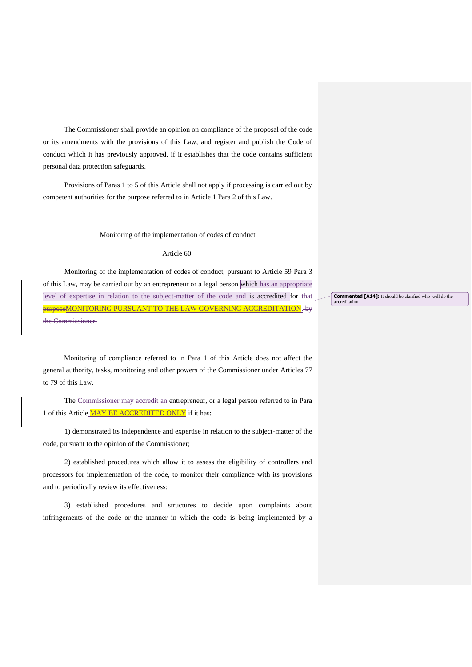The Commissioner shall provide an opinion on compliance of the proposal of the code or its amendments with the provisions of this Law, and register and publish the Code of conduct which it has previously approved, if it establishes that the code contains sufficient personal data protection safeguards.

Provisions of Paras 1 to 5 of this Article shall not apply if processing is carried out by competent authorities for the purpose referred to in Article 1 Para 2 of this Law.

Monitoring of the implementation of codes of conduct

#### Article 60.

Monitoring of the implementation of codes of conduct, pursuant to Article 59 Para 3 of this Law, may be carried out by an entrepreneur or a legal person which has an appropriate level of expertise in relation to the subject-matter of the code and is accredited for that purposeMONITORING PURSUANT TO THE LAW GOVERNING ACCREDITATION. by the Commissioner.

Monitoring of compliance referred to in Para 1 of this Article does not affect the general authority, tasks, monitoring and other powers of the Commissioner under Articles 77 to 79 of this Law.

The Commissioner may accredit an entrepreneur, or a legal person referred to in Para 1 of this Article MAY BE ACCREDITED ONLY if it has:

1) demonstrated its independence and expertise in relation to the subject-matter of the code, pursuant to the opinion of the Commissioner;

2) established procedures which allow it to assess the eligibility of controllers and processors for implementation of the code, to monitor their compliance with its provisions and to periodically review its effectiveness;

3) established procedures and structures to decide upon complaints about infringements of the code or the manner in which the code is being implemented by a

**Commented [A14]:** It should be clarified who will do the accreditation.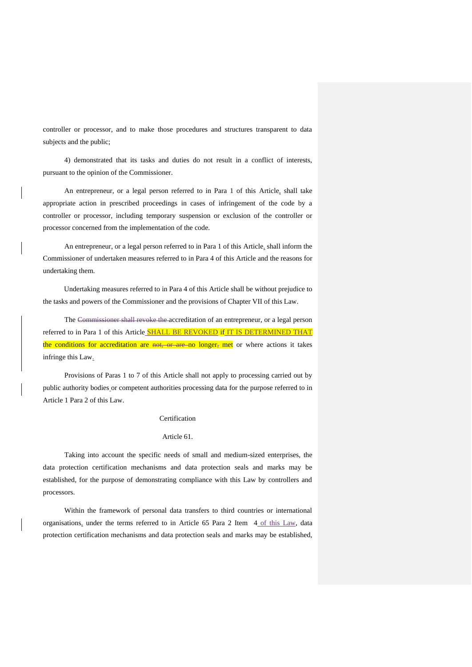controller or processor, and to make those procedures and structures transparent to data subjects and the public;

4) demonstrated that its tasks and duties do not result in a conflict of interests, pursuant to the opinion of the Commissioner.

An entrepreneur, or a legal person referred to in Para 1 of this Article, shall take appropriate action in prescribed proceedings in cases of infringement of the code by a controller or processor, including temporary suspension or exclusion of the controller or processor concerned from the implementation of the code.

An entrepreneur, or a legal person referred to in Para 1 of this Article, shall inform the Commissioner of undertaken measures referred to in Para 4 of this Article and the reasons for undertaking them.

Undertaking measures referred to in Para 4 of this Article shall be without prejudice to the tasks and powers of the Commissioner and the provisions of Chapter VII of this Law.

The Commissioner shall revoke the accreditation of an entrepreneur, or a legal person referred to in Para 1 of this Article **SHALL BE REVOKED** if IT IS DETERMINED THAT the conditions for accreditation are not, or are no longer, met or where actions it takes infringe this Law.

Provisions of Paras 1 to 7 of this Article shall not apply to processing carried out by public authority bodies or competent authorities processing data for the purpose referred to in Article 1 Para 2 of this Law.

## Certification

#### Article 61.

Taking into account the specific needs of small and medium-sized enterprises, the data protection certification mechanisms and data protection seals and marks may be established, for the purpose of demonstrating compliance with this Law by controllers and processors.

Within the framework of personal data transfers to third countries or international organisations, under the terms referred to in Article 65 Para 2 Item 4 of this Law, data protection certification mechanisms and data protection seals and marks may be established,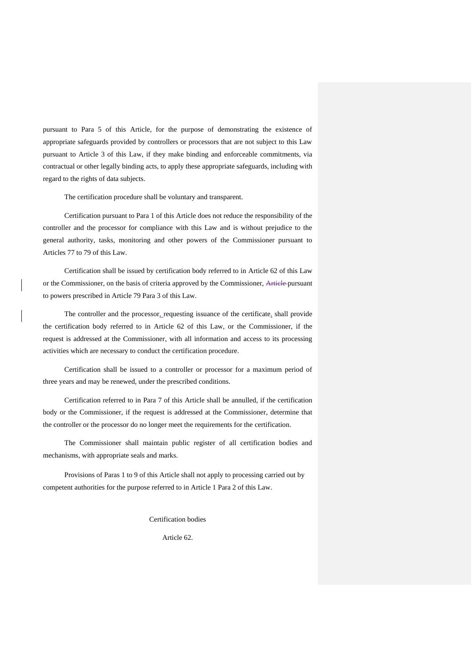pursuant to Para 5 of this Article, for the purpose of demonstrating the existence of appropriate safeguards provided by controllers or processors that are not subject to this Law pursuant to Article 3 of this Law, if they make binding and enforceable commitments, via contractual or other legally binding acts, to apply these appropriate safeguards, including with regard to the rights of data subjects.

The certification procedure shall be voluntary and transparent.

Certification pursuant to Para 1 of this Article does not reduce the responsibility of the controller and the processor for compliance with this Law and is without prejudice to the general authority, tasks, monitoring and other powers of the Commissioner pursuant to Articles 77 to 79 of this Law.

Certification shall be issued by certification body referred to in Article 62 of this Law or the Commissioner, on the basis of criteria approved by the Commissioner, Article pursuant to powers prescribed in Article 79 Para 3 of this Law.

The controller and the processor\_requesting issuance of the certificate, shall provide the certification body referred to in Article 62 of this Law, or the Commissioner, if the request is addressed at the Commissioner, with all information and access to its processing activities which are necessary to conduct the certification procedure.

Certification shall be issued to a controller or processor for a maximum period of three years and may be renewed, under the prescribed conditions.

Certification referred to in Para 7 of this Article shall be annulled, if the certification body or the Commissioner, if the request is addressed at the Commissioner, determine that the controller or the processor do no longer meet the requirements for the certification.

The Commissioner shall maintain public register of all certification bodies and mechanisms, with appropriate seals and marks.

Provisions of Paras 1 to 9 of this Article shall not apply to processing carried out by competent authorities for the purpose referred to in Article 1 Para 2 of this Law.

Certification bodies

Article 62.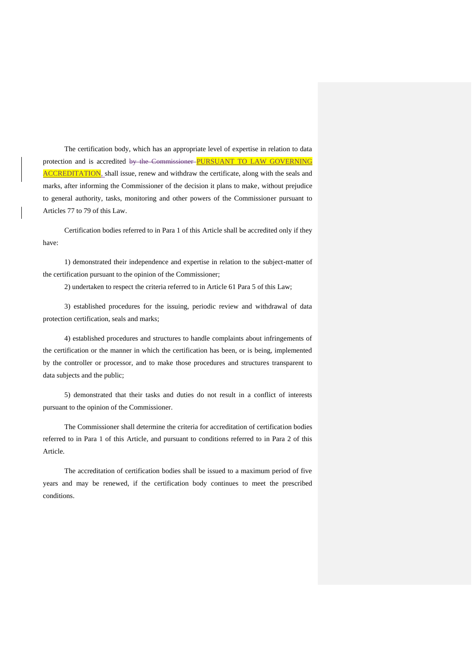The certification body, which has an appropriate level of expertise in relation to data protection and is accredited by the Commissioner PURSUANT TO LAW GOVERNING ACCREDITATION, shall issue, renew and withdraw the certificate, along with the seals and marks, after informing the Commissioner of the decision it plans to make, without prejudice to general authority, tasks, monitoring and other powers of the Commissioner pursuant to Articles 77 to 79 of this Law.

Certification bodies referred to in Para 1 of this Article shall be accredited only if they have:

1) demonstrated their independence and expertise in relation to the subject-matter of the certification pursuant to the opinion of the Commissioner;

2) undertaken to respect the criteria referred to in Article 61 Para 5 of this Law;

3) established procedures for the issuing, periodic review and withdrawal of data protection certification, seals and marks;

4) established procedures and structures to handle complaints about infringements of the certification or the manner in which the certification has been, or is being, implemented by the controller or processor, and to make those procedures and structures transparent to data subjects and the public;

5) demonstrated that their tasks and duties do not result in a conflict of interests pursuant to the opinion of the Commissioner.

The Commissioner shall determine the criteria for accreditation of certification bodies referred to in Para 1 of this Article, and pursuant to conditions referred to in Para 2 of this Article.

The accreditation of certification bodies shall be issued to a maximum period of five years and may be renewed, if the certification body continues to meet the prescribed conditions.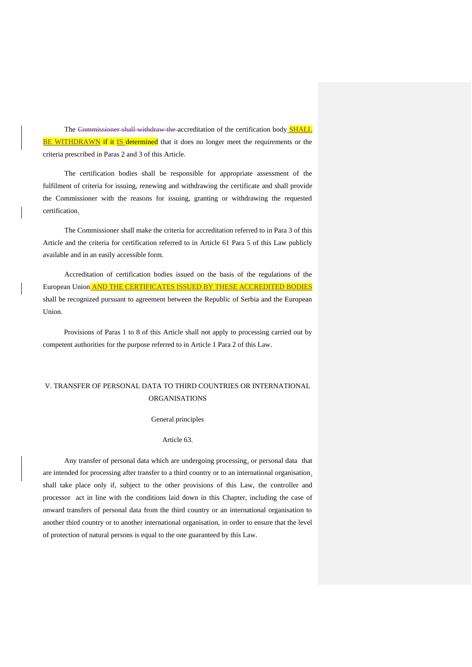The Commissioner shall withdraw the accreditation of the certification body SHALL BE WITHDRAWN if it IS determined that it does no longer meet the requirements or the criteria prescribed in Paras 2 and 3 of this Article.

The certification bodies shall be responsible for appropriate assessment of the fulfilment of criteria for issuing, renewing and withdrawing the certificate and shall provide the Commissioner with the reasons for issuing, granting or withdrawing the requested certification.

The Commissioner shall make the criteria for accreditation referred to in Para 3 of this Article and the criteria for certification referred to in Article 61 Para 5 of this Law publicly available and in an easily accessible form.

Accreditation of certification bodies issued on the basis of the regulations of the European Union AND THE CERTIFICATES ISSUED BY THESE ACCREDITED BODIES shall be recognized pursuant to agreement between the Republic of Serbia and the European Union.

Provisions of Paras 1 to 8 of this Article shall not apply to processing carried out by competent authorities for the purpose referred to in Article 1 Para 2 of this Law.

# V. TRANSFER OF PERSONAL DATA TO THIRD COUNTRIES OR INTERNATIONAL ORGANISATIONS

General principles

## Article 63.

Any transfer of personal data which are undergoing processing, or personal data that are intended for processing after transfer to a third country or to an international organisation, shall take place only if, subject to the other provisions of this Law, the controller and processor act in line with the conditions laid down in this Chapter, including the case of onward transfers of personal data from the third country or an international organisation to another third country or to another international organisation, in order to ensure that the level of protection of natural persons is equal to the one guaranteed by this Law.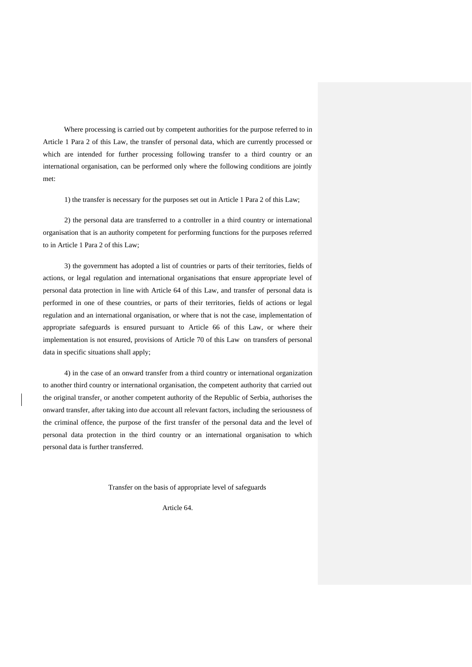Where processing is carried out by competent authorities for the purpose referred to in Article 1 Para 2 of this Law, the transfer of personal data, which are currently processed or which are intended for further processing following transfer to a third country or an international organisation, can be performed only where the following conditions are jointly met:

1) the transfer is necessary for the purposes set out in Article 1 Para 2 of this Law;

2) the personal data are transferred to a controller in a third country or international organisation that is an authority competent for performing functions for the purposes referred to in Article 1 Para 2 of this Law;

3) the government has adopted a list of countries or parts of their territories, fields of actions, or legal regulation and international organisations that ensure appropriate level of personal data protection in line with Article 64 of this Law, and transfer of personal data is performed in one of these countries, or parts of their territories, fields of actions or legal regulation and an international organisation, or where that is not the case, implementation of appropriate safeguards is ensured pursuant to Article 66 of this Law, or where their implementation is not ensured, provisions of Article 70 of this Law on transfers of personal data in specific situations shall apply;

4) in the case of an onward transfer from a third country or international organization to another third country or international organisation, the competent authority that carried out the original transfer, or another competent authority of the Republic of Serbia, authorises the onward transfer, after taking into due account all relevant factors, including the seriousness of the criminal offence, the purpose of the first transfer of the personal data and the level of personal data protection in the third country or an international organisation to which personal data is further transferred.

Transfer on the basis of appropriate level of safeguards

Article 64.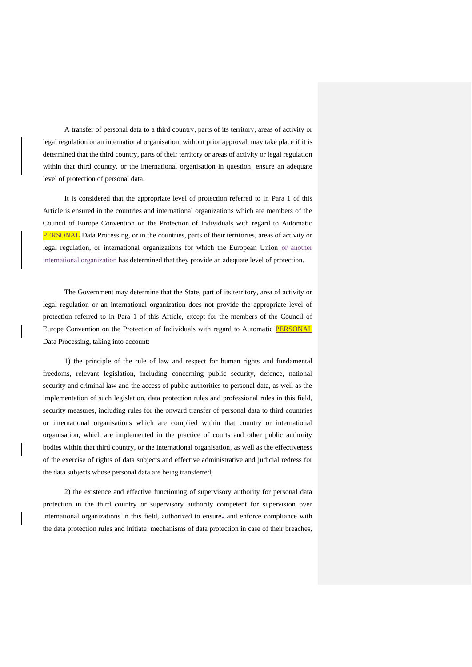A transfer of personal data to a third country, parts of its territory, areas of activity or legal regulation or an international organisation, without prior approval, may take place if it is determined that the third country, parts of their territory or areas of activity or legal regulation within that third country, or the international organisation in question, ensure an adequate level of protection of personal data.

It is considered that the appropriate level of protection referred to in Para 1 of this Article is ensured in the countries and international organizations which are members of the Council of Europe Convention on the Protection of Individuals with regard to Automatic PERSONAL Data Processing, or in the countries, parts of their territories, areas of activity or legal regulation, or international organizations for which the European Union or another international organization has determined that they provide an adequate level of protection.

The Government may determine that the State, part of its territory, area of activity or legal regulation or an international organization does not provide the appropriate level of protection referred to in Para 1 of this Article, except for the members of the Council of Europe Convention on the Protection of Individuals with regard to Automatic PERSONAL Data Processing, taking into account:

1) the principle of the rule of law and respect for human rights and fundamental freedoms, relevant legislation, including concerning public security, defence, national security and criminal law and the access of public authorities to personal data, as well as the implementation of such legislation, data protection rules and professional rules in this field, security measures, including rules for the onward transfer of personal data to third countries or international organisations which are complied within that country or international organisation, which are implemented in the practice of courts and other public authority bodies within that third country, or the international organisation, as well as the effectiveness of the exercise of rights of data subjects and effective administrative and judicial redress for the data subjects whose personal data are being transferred;

2) the existence and effective functioning of supervisory authority for personal data protection in the third country or supervisory authority competent for supervision over international organizations in this field, authorized to ensure- and enforce compliance with the data protection rules and initiate mechanisms of data protection in case of their breaches,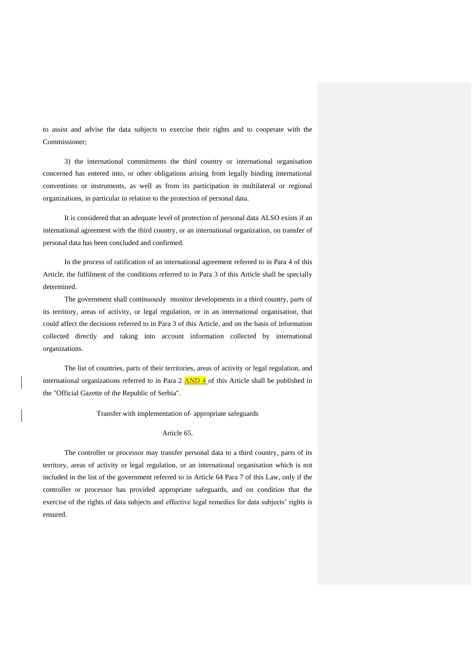to assist and advise the data subjects to exercise their rights and to cooperate with the Commissioner;

3) the international commitments the third country or international organisation concerned has entered into, or other obligations arising from legally binding international conventions or instruments, as well as from its participation in multilateral or regional organizations, in particular in relation to the protection of personal data.

It is considered that an adequate level of protection of personal data ALSO exists if an international agreement with the third country, or an international organization, on transfer of personal data has been concluded and confirmed.

In the process of ratification of an international agreement referred to in Para 4 of this Article, the fulfilment of the conditions referred to in Para 3 of this Article shall be specially determined.

The government shall continuously monitor developments in a third country, parts of its territory, areas of activity, or legal regulation, or in an international organisation, that could affect the decisions referred to in Para 3 of this Article, and on the basis of information collected directly and taking into account information collected by international organizations.

The list of countries, parts of their territories, areas of activity or legal regulation, and international organizations referred to in Para  $2$   $\overline{AND 4}$  of this Article shall be published in the "Official Gazette of the Republic of Serbia".

Transfer with implementation of-appropriate safeguards

### Article 65.

The controller or processor may transfer personal data to a third country, parts of its territory, areas of activity or legal regulation, or an international organisation which is not included in the list of the government referred to in Article 64 Para 7 of this Law, only if the controller or processor has provided appropriate safeguards, and on condition that the exercise of the rights of data subjects and effective legal remedies for data subjects' rights is ensured.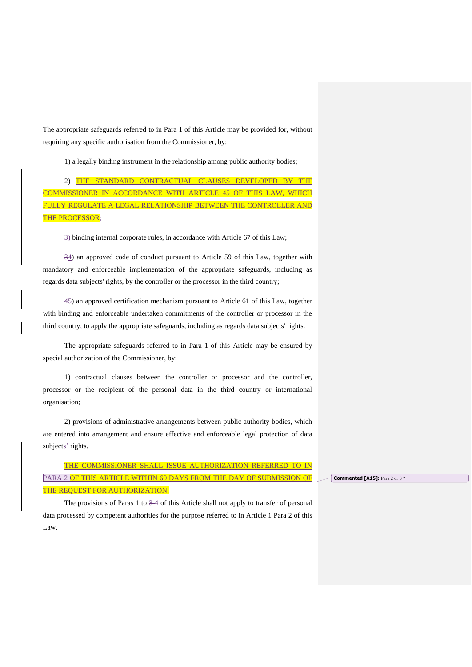The appropriate safeguards referred to in Para 1 of this Article may be provided for, without requiring any specific authorisation from the Commissioner, by:

1) a legally binding instrument in the relationship among public authority bodies;

2) THE STANDARD CONTRACTUAL CLAUSES DEVELOPED BY THE COMMISSIONER IN ACCORDANCE WITH ARTICLE 45 OF THIS LAW, WHICH FULLY REGULATE A LEGAL RELATIONSHIP BETWEEN THE CONTROLLER AND THE PROCESSOR;

3) binding internal corporate rules, in accordance with Article 67 of this Law;

34) an approved code of conduct pursuant to Article 59 of this Law, together with mandatory and enforceable implementation of the appropriate safeguards, including as regards data subjects' rights, by the controller or the processor in the third country;

45) an approved certification mechanism pursuant to Article 61 of this Law, together with binding and enforceable undertaken commitments of the controller or processor in the third country, to apply the appropriate safeguards, including as regards data subjects' rights.

The appropriate safeguards referred to in Para 1 of this Article may be ensured by special authorization of the Commissioner, by:

1) contractual clauses between the controller or processor and the controller, processor or the recipient of the personal data in the third country or international organisation;

2) provisions of administrative arrangements between public authority bodies, which are entered into arrangement and ensure effective and enforceable legal protection of data subjects' rights.

THE COMMISSIONER SHALL ISSUE AUTHORIZATION REFERRED TO IN PARA 2 OF THIS ARTICLE WITHIN 60 DAYS FROM THE DAY OF SUBMISSION OF THE REQUEST FOR AUTHORIZATION.

**Commented [A15]:** Para 2 or 3 ?

The provisions of Paras 1 to  $3-4$  of this Article shall not apply to transfer of personal data processed by competent authorities for the purpose referred to in Article 1 Para 2 of this Law.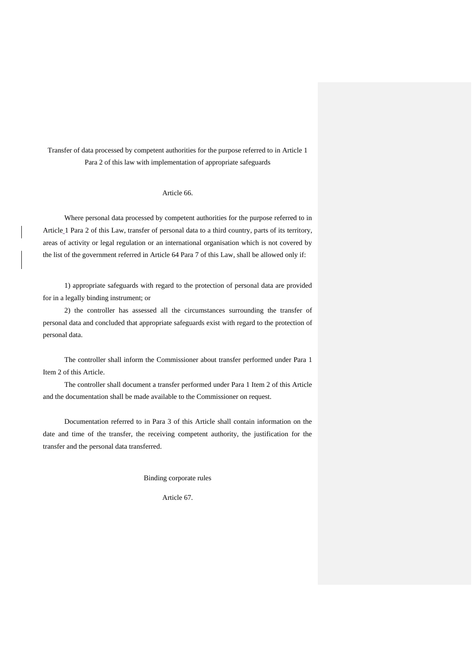Transfer of data processed by competent authorities for the purpose referred to in Article 1 Para 2 of this law with implementation of appropriate safeguards

### Article 66.

Where personal data processed by competent authorities for the purpose referred to in Article 1 Para 2 of this Law, transfer of personal data to a third country, parts of its territory, areas of activity or legal regulation or an international organisation which is not covered by the list of the government referred in Article 64 Para 7 of this Law, shall be allowed only if:

1) appropriate safeguards with regard to the protection of personal data are provided for in a legally binding instrument; or

2) the controller has assessed all the circumstances surrounding the transfer of personal data and concluded that appropriate safeguards exist with regard to the protection of personal data.

The controller shall inform the Commissioner about transfer performed under Para 1 Item 2 of this Article.

The controller shall document a transfer performed under Para 1 Item 2 of this Article and the documentation shall be made available to the Commissioner on request.

Documentation referred to in Para 3 of this Article shall contain information on the date and time of the transfer, the receiving competent authority, the justification for the transfer and the personal data transferred.

Binding corporate rules

Article 67.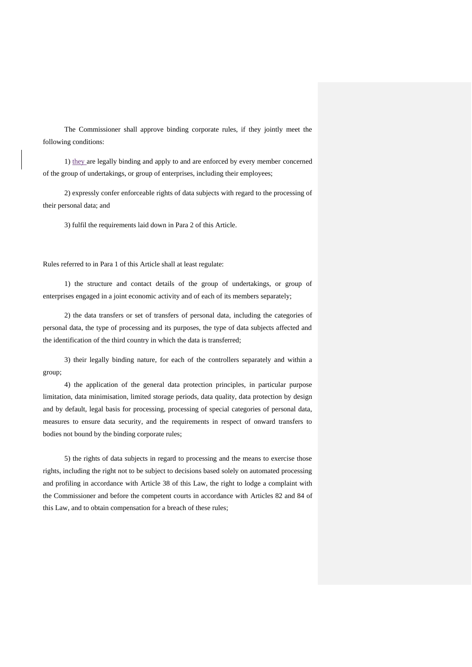The Commissioner shall approve binding corporate rules, if they jointly meet the following conditions:

1) they are legally binding and apply to and are enforced by every member concerned of the group of undertakings, or group of enterprises, including their employees;

2) expressly confer enforceable rights of data subjects with regard to the processing of their personal data; and

3) fulfil the requirements laid down in Para 2 of this Article.

Rules referred to in Para 1 of this Article shall at least regulate:

1) the structure and contact details of the group of undertakings, or group of enterprises engaged in a joint economic activity and of each of its members separately;

2) the data transfers or set of transfers of personal data, including the categories of personal data, the type of processing and its purposes, the type of data subjects affected and the identification of the third country in which the data is transferred;

3) their legally binding nature, for each of the controllers separately and within a group;

4) the application of the general data protection principles, in particular purpose limitation, data minimisation, limited storage periods, data quality, data protection by design and by default, legal basis for processing, processing of special categories of personal data, measures to ensure data security, and the requirements in respect of onward transfers to bodies not bound by the binding corporate rules;

5) the rights of data subjects in regard to processing and the means to exercise those rights, including the right not to be subject to decisions based solely on automated processing and profiling in accordance with Article 38 of this Law, the right to lodge a complaint with the Commissioner and before the competent courts in accordance with Articles 82 and 84 of this Law, and to obtain compensation for a breach of these rules;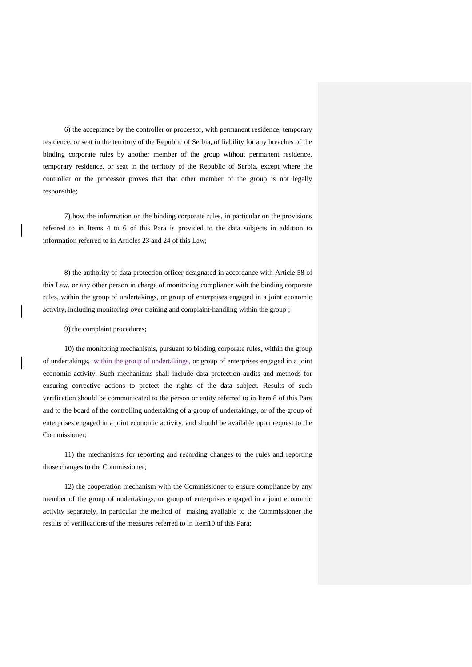6) the acceptance by the controller or processor, with permanent residence, temporary residence, or seat in the territory of the Republic of Serbia, of liability for any breaches of the binding corporate rules by another member of the group without permanent residence, temporary residence, or seat in the territory of the Republic of Serbia, except where the controller or the processor proves that that other member of the group is not legally responsible;

7) how the information on the binding corporate rules, in particular on the provisions referred to in Items 4 to 6 of this Para is provided to the data subjects in addition to information referred to in Articles 23 and 24 of this Law;

8) the authority of data protection officer designated in accordance with Article 58 of this Law, or any other person in charge of monitoring compliance with the binding corporate rules, within the group of undertakings, or group of enterprises engaged in a joint economic activity, including monitoring over training and complaint-handling within the group ;

9) the complaint procedures;

10) the monitoring mechanisms, pursuant to binding corporate rules, within the group of undertakings, within the group of undertakings, or group of enterprises engaged in a joint economic activity. Such mechanisms shall include data protection audits and methods for ensuring corrective actions to protect the rights of the data subject. Results of such verification should be communicated to the person or entity referred to in Item 8 of this Para and to the board of the controlling undertaking of a group of undertakings, or of the group of enterprises engaged in a joint economic activity, and should be available upon request to the Commissioner;

11) the mechanisms for reporting and recording changes to the rules and reporting those changes to the Commissioner;

12) the cooperation mechanism with the Commissioner to ensure compliance by any member of the group of undertakings, or group of enterprises engaged in a joint economic activity separately, in particular the method of making available to the Commissioner the results of verifications of the measures referred to in Item10 of this Para;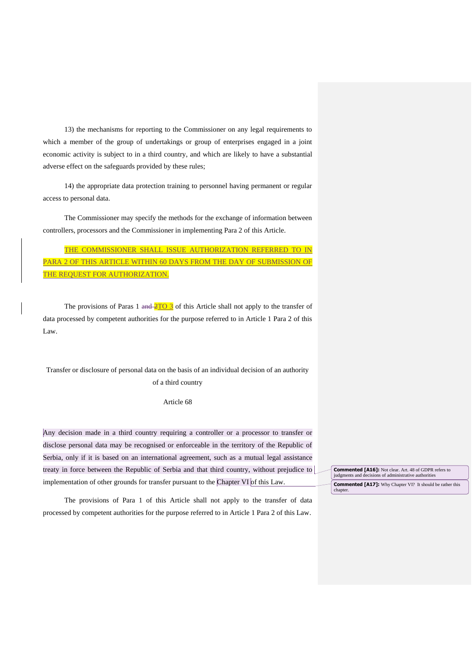13) the mechanisms for reporting to the Commissioner on any legal requirements to which a member of the group of undertakings or group of enterprises engaged in a joint economic activity is subject to in a third country, and which are likely to have a substantial adverse effect on the safeguards provided by these rules;

14) the appropriate data protection training to personnel having permanent or regular access to personal data.

The Commissioner may specify the methods for the exchange of information between controllers, processors and the Commissioner in implementing Para 2 of this Article.

THE COMMISSIONER SHALL ISSUE AUTHORIZATION REFERRED TO IN PARA 2 OF THIS ARTICLE WITHIN 60 DAYS FROM THE DAY OF SUBMISSION OF THE REQUEST FOR AUTHORIZATION.

The provisions of Paras 1 and  $\frac{2TO}{3}$  of this Article shall not apply to the transfer of data processed by competent authorities for the purpose referred to in Article 1 Para 2 of this Law.

Transfer or disclosure of personal data on the basis of an individual decision of an authority of a third country

Article 68

Any decision made in a third country requiring a controller or a processor to transfer or disclose personal data may be recognised or enforceable in the territory of the Republic of Serbia, only if it is based on an international agreement, such as a mutual legal assistance treaty in force between the Republic of Serbia and that third country, without prejudice to implementation of other grounds for transfer pursuant to the Chapter VI of this Law.

The provisions of Para 1 of this Article shall not apply to the transfer of data processed by competent authorities for the purpose referred to in Article 1 Para 2 of this Law.

**Commented [A16]:** Not clear. Art. 48 of GDPR refers to judgments and decisions of administrative authorities **Commented [A17]:** Why Chapter VI? It should be rather this chapter.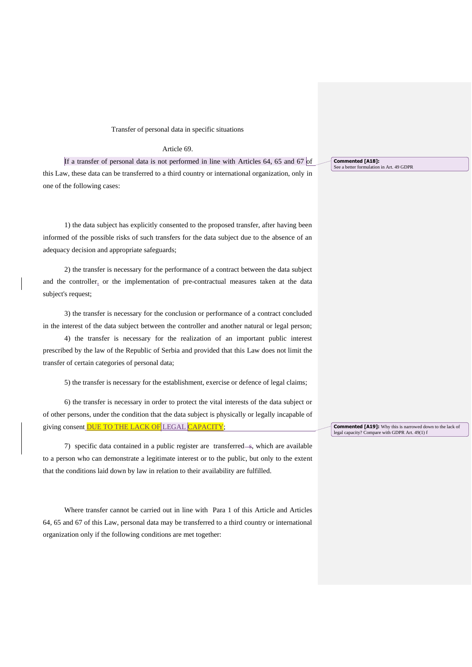### Transfer of personal data in specific situations

### Article 69.

If a transfer of personal data is not performed in line with Articles  $64$ ,  $65$  and  $67$  of this Law, these data can be transferred to a third country or international organization, only in one of the following cases:

1) the data subject has explicitly consented to the proposed transfer, after having been informed of the possible risks of such transfers for the data subject due to the absence of an adequacy decision and appropriate safeguards;

2) the transfer is necessary for the performance of a contract between the data subject and the controller, or the implementation of pre-contractual measures taken at the data subject's request;

3) the transfer is necessary for the conclusion or performance of a contract concluded in the interest of the data subject between the controller and another natural or legal person;

4) the transfer is necessary for the realization of an important public interest prescribed by the law of the Republic of Serbia and provided that this Law does not limit the transfer of certain categories of personal data;

5) the transfer is necessary for the establishment, exercise or defence of legal claims;

6) the transfer is necessary in order to protect the vital interests of the data subject or of other persons, under the condition that the data subject is physically or legally incapable of giving consent DUE TO THE LACK OF LEGAL CAPACITY;

7) specific data contained in a public register are transferred—s, which are available to a person who can demonstrate a legitimate interest or to the public, but only to the extent that the conditions laid down by law in relation to their availability are fulfilled.

Where transfer cannot be carried out in line with Para 1 of this Article and Articles 64, 65 and 67 of this Law, personal data may be transferred to a third country or international organization only if the following conditions are met together:

**Commented [A18]:**  See a better formulation in Art. 49 GDPR

**Commented [A19]:** Why this is narrowed down to the lack of legal capacity? Compare with GDPR Art. 49(1) f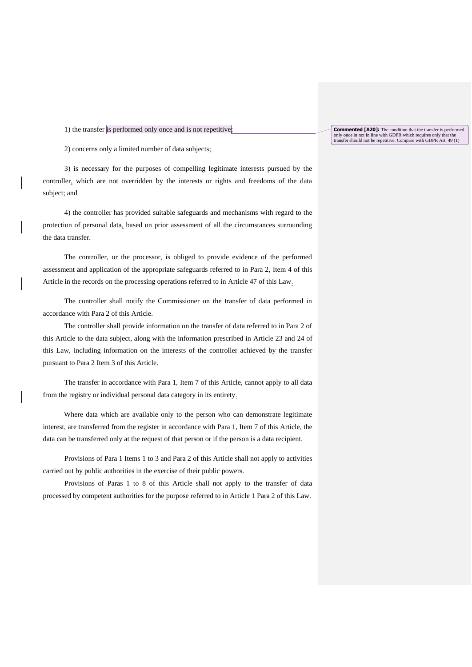1) the transfer is performed only once and is not repetitive;

2) concerns only a limited number of data subjects;

3) is necessary for the purposes of compelling legitimate interests pursued by the controller, which are not overridden by the interests or rights and freedoms of the data subject; and

4) the controller has provided suitable safeguards and mechanisms with regard to the protection of personal data, based on prior assessment of all the circumstances surrounding the data transfer.

The controller, or the processor, is obliged to provide evidence of the performed assessment and application of the appropriate safeguards referred to in Para 2, Item 4 of this Article in the records on the processing operations referred to in Article 47 of this Law.

The controller shall notify the Commissioner on the transfer of data performed in accordance with Para 2 of this Article.

The controller shall provide information on the transfer of data referred to in Para 2 of this Article to the data subject, along with the information prescribed in Article 23 and 24 of this Law, including information on the interests of the controller achieved by the transfer pursuant to Para 2 Item 3 of this Article.

The transfer in accordance with Para 1, Item 7 of this Article, cannot apply to all data from the registry or individual personal data category in its entirety.

Where data which are available only to the person who can demonstrate legitimate interest, are transferred from the register in accordance with Para 1, Item 7 of this Article, the data can be transferred only at the request of that person or if the person is a data recipient.

Provisions of Para 1 Items 1 to 3 and Para 2 of this Article shall not apply to activities carried out by public authorities in the exercise of their public powers.

Provisions of Paras 1 to 8 of this Article shall not apply to the transfer of data processed by competent authorities for the purpose referred to in Article 1 Para 2 of this Law.

**Commented [A20]:** The condition that the transfer is performed only once in not in line with GDPR which requires only that the transfer should not be repetitive. Compare with GDPR Art. 49 (1)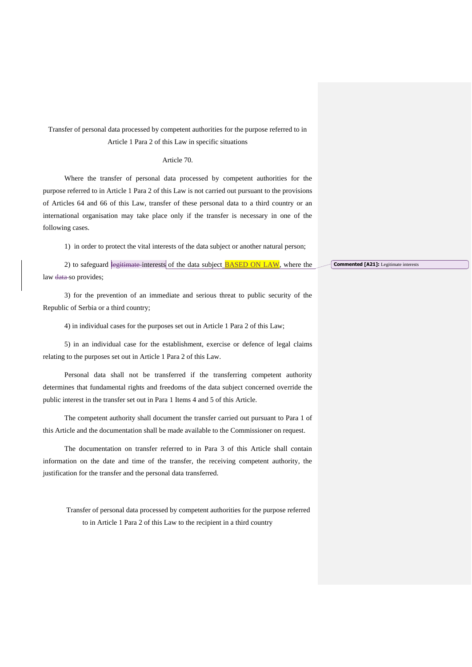Transfer of personal data processed by competent authorities for the purpose referred to in Article 1 Para 2 of this Law in specific situations

### Article 70.

Where the transfer of personal data processed by competent authorities for the purpose referred to in Article 1 Para 2 of this Law is not carried out pursuant to the provisions of Articles 64 and 66 of this Law, transfer of these personal data to a third country or an international organisation may take place only if the transfer is necessary in one of the following cases.

1) in order to protect the vital interests of the data subject or another natural person;

2) to safeguard legitimate interests of the data subject **BASED ON LAW**, where the law data-so provides;

3) for the prevention of an immediate and serious threat to public security of the Republic of Serbia or a third country;

4) in individual cases for the purposes set out in Article 1 Para 2 of this Law;

5) in an individual case for the establishment, exercise or defence of legal claims relating to the purposes set out in Article 1 Para 2 of this Law.

Personal data shall not be transferred if the transferring competent authority determines that fundamental rights and freedoms of the data subject concerned override the public interest in the transfer set out in Para 1 Items 4 and 5 of this Article.

The competent authority shall document the transfer carried out pursuant to Para 1 of this Article and the documentation shall be made available to the Commissioner on request.

The documentation on transfer referred to in Para 3 of this Article shall contain information on the date and time of the transfer, the receiving competent authority, the justification for the transfer and the personal data transferred.

Transfer of personal data processed by competent authorities for the purpose referred to in Article 1 Para 2 of this Law to the recipient in a third country

**Commented [A21]:** Legitimate interests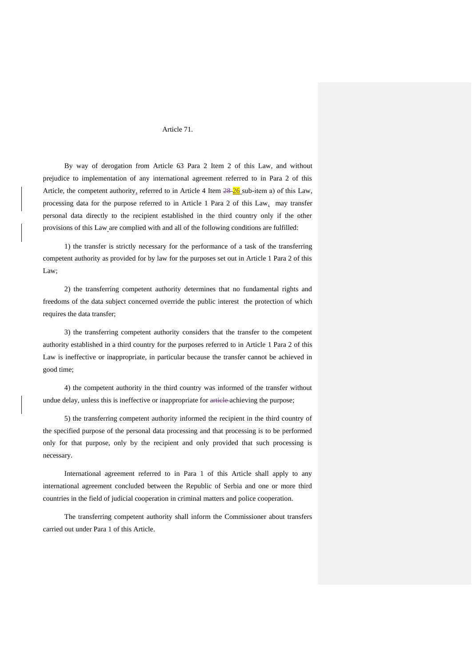### Article 71.

By way of derogation from Article 63 Para 2 Item 2 of this Law, and without prejudice to implementation of any international agreement referred to in Para 2 of this Article, the competent authority, referred to in Article 4 Item  $28-26$  sub-item a) of this Law, processing data for the purpose referred to in Article 1 Para 2 of this Law, may transfer personal data directly to the recipient established in the third country only if the other provisions of this Law are complied with and all of the following conditions are fulfilled:

1) the transfer is strictly necessary for the performance of a task of the transferring competent authority as provided for by law for the purposes set out in Article 1 Para 2 of this Law;

2) the transferring competent authority determines that no fundamental rights and freedoms of the data subject concerned override the public interest the protection of which requires the data transfer;

3) the transferring competent authority considers that the transfer to the competent authority established in a third country for the purposes referred to in Article 1 Para 2 of this Law is ineffective or inappropriate, in particular because the transfer cannot be achieved in good time;

4) the competent authority in the third country was informed of the transfer without undue delay, unless this is ineffective or inappropriate for article-achieving the purpose;

5) the transferring competent authority informed the recipient in the third country of the specified purpose of the personal data processing and that processing is to be performed only for that purpose, only by the recipient and only provided that such processing is necessary.

International agreement referred to in Para 1 of this Article shall apply to any international agreement concluded between the Republic of Serbia and one or more third countries in the field of judicial cooperation in criminal matters and police cooperation.

The transferring competent authority shall inform the Commissioner about transfers carried out under Para 1 of this Article.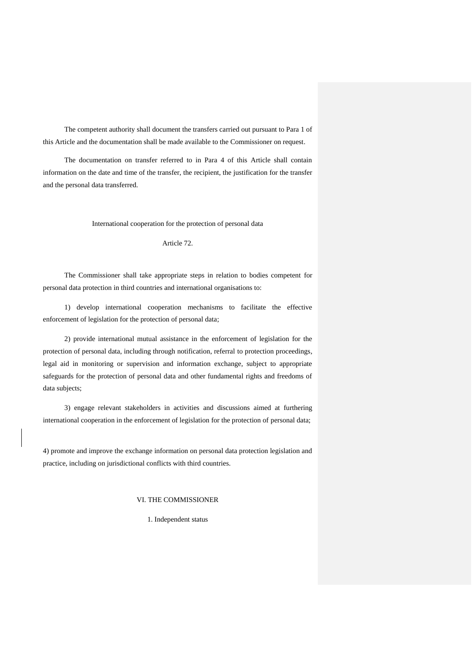The competent authority shall document the transfers carried out pursuant to Para 1 of this Article and the documentation shall be made available to the Commissioner on request.

The documentation on transfer referred to in Para 4 of this Article shall contain information on the date and time of the transfer, the recipient, the justification for the transfer and the personal data transferred.

International cooperation for the protection of personal data

Article 72.

The Commissioner shall take appropriate steps in relation to bodies competent for personal data protection in third countries and international organisations to:

1) develop international cooperation mechanisms to facilitate the effective enforcement of legislation for the protection of personal data;

2) provide international mutual assistance in the enforcement of legislation for the protection of personal data, including through notification, referral to protection proceedings, legal aid in monitoring or supervision and information exchange, subject to appropriate safeguards for the protection of personal data and other fundamental rights and freedoms of data subjects;

3) engage relevant stakeholders in activities and discussions aimed at furthering international cooperation in the enforcement of legislation for the protection of personal data;

4) promote and improve the exchange information on personal data protection legislation and practice, including on jurisdictional conflicts with third countries.

## VI. THE COMMISSIONER

1. Independent status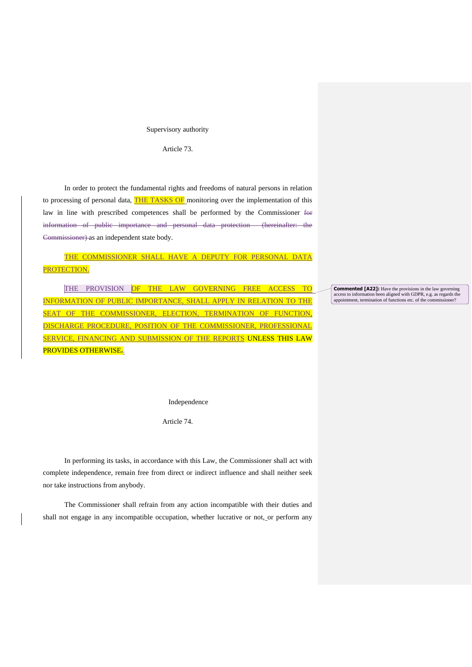### Supervisory authority

Article 73.

In order to protect the fundamental rights and freedoms of natural persons in relation to processing of personal data, THE TASKS OF monitoring over the implementation of this law in line with prescribed competences shall be performed by the Commissioner for information of public importance and personal data protection (hereinafter: the Commissioner) as an independent state body.

THE COMMISSIONER SHALL HAVE A DEPUTY FOR PERSONAL DATA PROTECTION.

THE PROVISION OF THE LAW GOVERNING FREE ACCESS TO INFORMATION OF PUBLIC IMPORTANCE, SHALL APPLY IN RELATION TO THE SEAT OF THE COMMISSIONER, ELECTION, TERMINATION OF FUNCTION, DISCHARGE PROCEDURE, POSITION OF THE COMMISSIONER, PROFESSIONAL SERVICE, FINANCING AND SUBMISSION OF THE REPORTS UNLESS THIS LAW PROVIDES OTHERWISE,

**Commented [A22]:** Have the provisions in the law governing access to information been aligned with GDPR, e.g. as regards the appointment, termination of functions etc. of the commissioner?

Independence

Article 74.

In performing its tasks, in accordance with this Law, the Commissioner shall act with complete independence, remain free from direct or indirect influence and shall neither seek nor take instructions from anybody.

The Commissioner shall refrain from any action incompatible with their duties and shall not engage in any incompatible occupation, whether lucrative or not, or perform any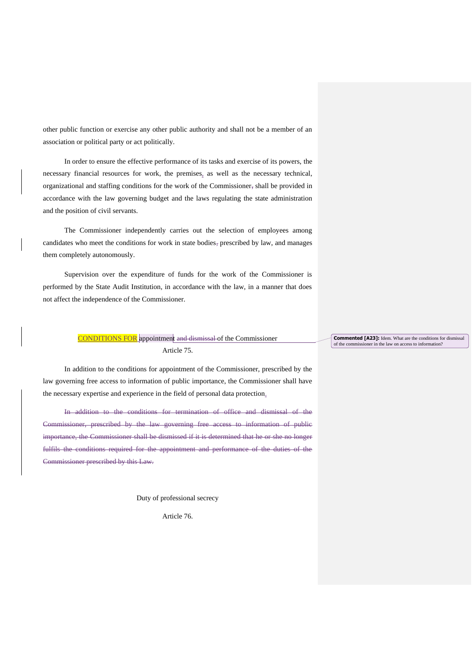other public function or exercise any other public authority and shall not be a member of an association or political party or act politically.

In order to ensure the effective performance of its tasks and exercise of its powers, the necessary financial resources for work, the premises, as well as the necessary technical, organizational and staffing conditions for the work of the Commissioner, shall be provided in accordance with the law governing budget and the laws regulating the state administration and the position of civil servants.

The Commissioner independently carries out the selection of employees among candidates who meet the conditions for work in state bodies, prescribed by law, and manages them completely autonomously.

Supervision over the expenditure of funds for the work of the Commissioner is performed by the State Audit Institution, in accordance with the law, in a manner that does not affect the independence of the Commissioner.

## CONDITIONS FOR appointment and dismissal of the Commissioner Article 75.

In addition to the conditions for appointment of the Commissioner, prescribed by the law governing free access to information of public importance, the Commissioner shall have the necessary expertise and experience in the field of personal data protection.

In addition to the conditions for termination of office and dismissal of the Commissioner, prescribed by the law governing free access to information of public importance, the Commissioner shall be dismissed if it is determined that he or she no longer fulfils the conditions required for the appointment and performance of the duties of the Commissioner prescribed by this Law.

Duty of professional secrecy

Article 76.

# **Commented [A23]:** Idem. What are the conditions for dismissal of the commissioner in the law on access to information?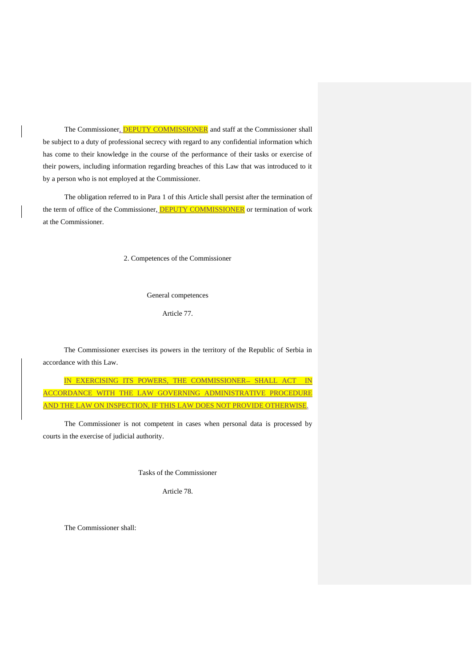The Commissioner, **DEPUTY COMMISSIONER** and staff at the Commissioner shall be subject to a duty of professional secrecy with regard to any confidential information which has come to their knowledge in the course of the performance of their tasks or exercise of their powers, including information regarding breaches of this Law that was introduced to it by a person who is not employed at the Commissioner.

The obligation referred to in Para 1 of this Article shall persist after the termination of the term of office of the Commissioner, **DEPUTY COMMISSIONER** or termination of work at the Commissioner.

2. Competences of the Commissioner

General competences

Article 77.

The Commissioner exercises its powers in the territory of the Republic of Serbia in accordance with this Law.

IN EXERCISING ITS POWERS, THE COMMISSIONER- SHALL ACT IN ACCORDANCE WITH THE LAW GOVERNING ADMINISTRATIVE PROCEDURE AND THE LAW ON INSPECTION, IF THIS LAW DOES NOT PROVIDE OTHERWISE.

The Commissioner is not competent in cases when personal data is processed by courts in the exercise of judicial authority.

Tasks of the Commissioner

Article 78.

The Commissioner shall: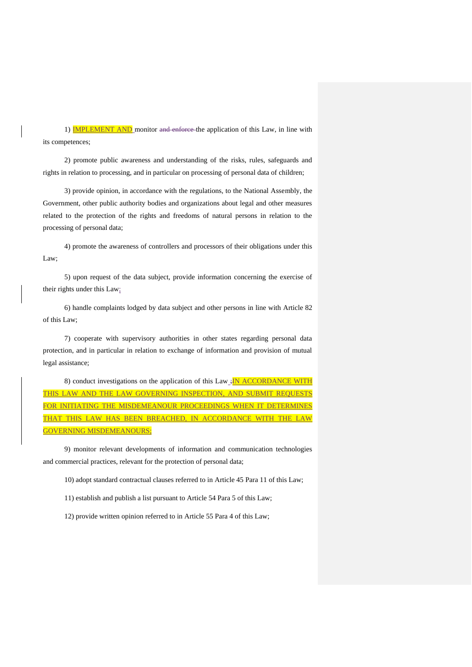1) **IMPLEMENT AND** monitor and enforce the application of this Law, in line with its competences;

2) promote public awareness and understanding of the risks, rules, safeguards and rights in relation to processing, and in particular on processing of personal data of children;

3) provide opinion, in accordance with the regulations, to the National Assembly, the Government, other public authority bodies and organizations about legal and other measures related to the protection of the rights and freedoms of natural persons in relation to the processing of personal data;

4) promote the awareness of controllers and processors of their obligations under this Law;

5) upon request of the data subject, provide information concerning the exercise of their rights under this Law;

6) handle complaints lodged by data subject and other persons in line with Article 82 of this Law;

7) cooperate with supervisory authorities in other states regarding personal data protection, and in particular in relation to exchange of information and provision of mutual legal assistance;

8) conduct investigations on the application of this  $Law_{\frac{1}{2}}$  M ACCORDANCE WITH THIS LAW AND THE LAW GOVERNING INSPECTION, AND SUBMIT REQUE FOR INITIATING THE MISDEMEANOUR PROCEEDINGS WHEN IT DETERMINES THAT THIS LAW HAS BEEN BREACHED, IN ACCORDANCE WITH THE LAW GOVERNING MISDEMEANOURS;

9) monitor relevant developments of information and communication technologies and commercial practices, relevant for the protection of personal data;

10) adopt standard contractual clauses referred to in Article 45 Para 11 of this Law;

11) establish and publish a list pursuant to Article 54 Para 5 of this Law;

12) provide written opinion referred to in Article 55 Para 4 of this Law;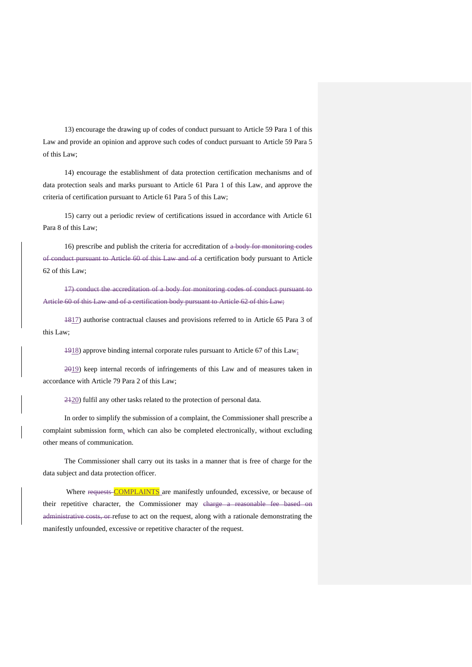13) encourage the drawing up of codes of conduct pursuant to Article 59 Para 1 of this Law and provide an opinion and approve such codes of conduct pursuant to Article 59 Para 5 of this Law;

14) encourage the establishment of data protection certification mechanisms and of data protection seals and marks pursuant to Article 61 Para 1 of this Law, and approve the criteria of certification pursuant to Article 61 Para 5 of this Law;

15) carry out a periodic review of certifications issued in accordance with Article 61 Para 8 of this Law;

16) prescribe and publish the criteria for accreditation of a body for monitoring codes of conduct pursuant to Article 60 of this Law and of a certification body pursuant to Article 62 of this Law;

17) conduct the accreditation of a body for monitoring codes of conduct pursuant to Article 60 of this Law and of a certification body pursuant to Article 62 of this Law;

1817) authorise contractual clauses and provisions referred to in Article 65 Para 3 of this Law;

1918) approve binding internal corporate rules pursuant to Article 67 of this Law;

2019) keep internal records of infringements of this Law and of measures taken in accordance with Article 79 Para 2 of this Law;

2120) fulfil any other tasks related to the protection of personal data.

In order to simplify the submission of a complaint, the Commissioner shall prescribe a complaint submission form, which can also be completed electronically, without excluding other means of communication.

The Commissioner shall carry out its tasks in a manner that is free of charge for the data subject and data protection officer.

Where requests-COMPLAINTS are manifestly unfounded, excessive, or because of their repetitive character, the Commissioner may charge a reasonable fee based on administrative costs, or refuse to act on the request, along with a rationale demonstrating the manifestly unfounded, excessive or repetitive character of the request.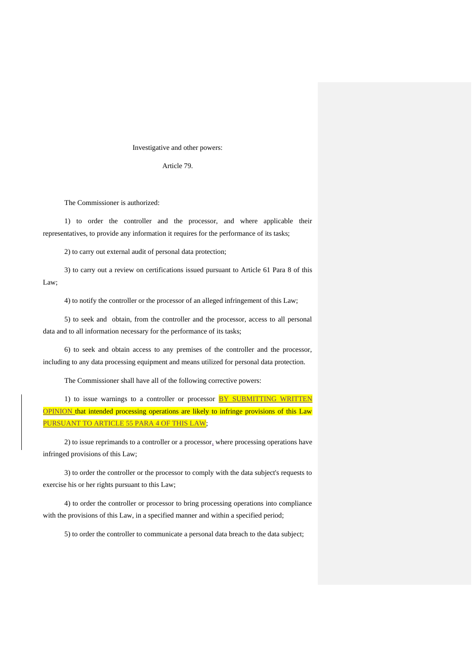### Investigative and other powers:

Article 79.

The Commissioner is authorized:

1) to order the controller and the processor, and where applicable their representatives, to provide any information it requires for the performance of its tasks;

2) to carry out external audit of personal data protection;

3) to carry out a review on certifications issued pursuant to Article 61 Para 8 of this Law;

4) to notify the controller or the processor of an alleged infringement of this Law;

5) to seek and obtain, from the controller and the processor, access to all personal data and to all information necessary for the performance of its tasks;

6) to seek and obtain access to any premises of the controller and the processor, including to any data processing equipment and means utilized for personal data protection.

The Commissioner shall have all of the following corrective powers:

1) to issue warnings to a controller or processor BY SUBMITTING WRITTEN OPINION that intended processing operations are likely to infringe provisions of this Law PURSUANT TO ARTICLE 55 PARA 4 OF THIS LAW;

2) to issue reprimands to a controller or a processor, where processing operations have infringed provisions of this Law;

3) to order the controller or the processor to comply with the data subject's requests to exercise his or her rights pursuant to this Law;

4) to order the controller or processor to bring processing operations into compliance with the provisions of this Law, in a specified manner and within a specified period;

5) to order the controller to communicate a personal data breach to the data subject;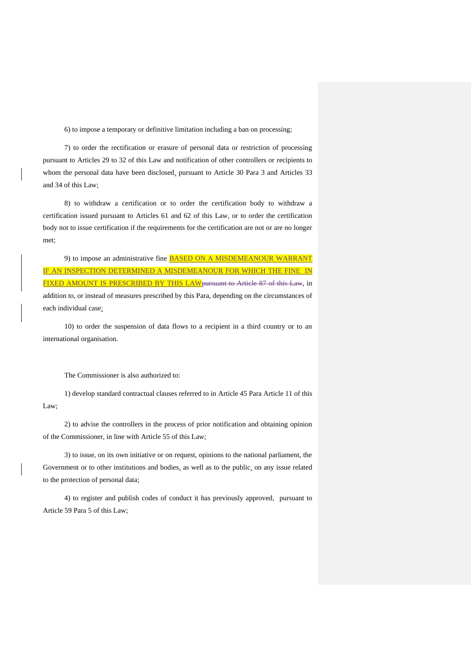6) to impose a temporary or definitive limitation including a ban on processing;

7) to order the rectification or erasure of personal data or restriction of processing pursuant to Articles 29 to 32 of this Law and notification of other controllers or recipients to whom the personal data have been disclosed, pursuant to Article 30 Para 3 and Articles 33 and 34 of this Law;

8) to withdraw a certification or to order the certification body to withdraw a certification issued pursuant to Articles 61 and 62 of this Law, or to order the certification body not to issue certification if the requirements for the certification are not or are no longer met;

9) to impose an administrative fine **BASED ON A MISDEMEANOUR WARRANT** IF AN INSPECTION DETERMINED A MISDEMEANOUR FOR WHICH THE FINE IN FIXED AMOUNT IS PRESCRIBED BY THIS LAW pursuant to Article 87 of this Law, in addition to, or instead of measures prescribed by this Para, depending on the circumstances of each individual case;

10) to order the suspension of data flows to a recipient in a third country or to an international organisation.

The Commissioner is also authorized to:

1) develop standard contractual clauses referred to in Article 45 Para Article 11 of this Law;

2) to advise the controllers in the process of prior notification and obtaining opinion of the Commissioner, in line with Article 55 of this Law;

3) to issue, on its own initiative or on request, opinions to the national parliament, the Government or to other institutions and bodies, as well as to the public, on any issue related to the protection of personal data;

4) to register and publish codes of conduct it has previously approved, pursuant to Article 59 Para 5 of this Law;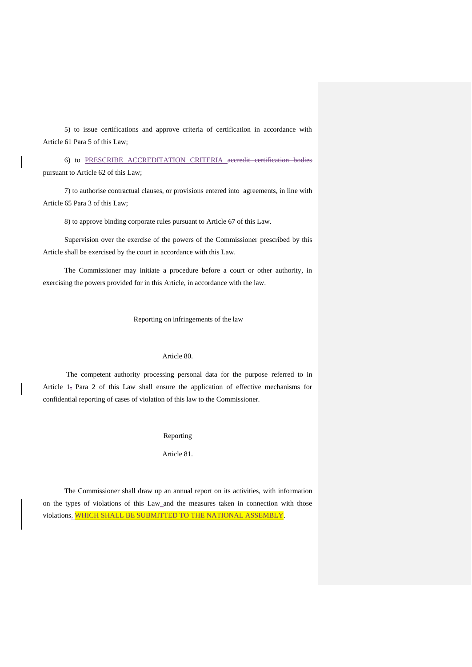5) to issue certifications and approve criteria of certification in accordance with Article 61 Para 5 of this Law;

6) to PRESCRIBE ACCREDITATION CRITERIA accredit certification bodies pursuant to Article 62 of this Law;

7) to authorise contractual clauses, or provisions entered into agreements, in line with Article 65 Para 3 of this Law;

8) to approve binding corporate rules pursuant to Article 67 of this Law.

Supervision over the exercise of the powers of the Commissioner prescribed by this Article shall be exercised by the court in accordance with this Law.

The Commissioner may initiate a procedure before a court or other authority, in exercising the powers provided for in this Article, in accordance with the law.

Reporting on infringements of the law

### Article 80.

The competent authority processing personal data for the purpose referred to in Article 1, Para 2 of this Law shall ensure the application of effective mechanisms for confidential reporting of cases of violation of this law to the Commissioner.

Reporting

Article 81.

The Commissioner shall draw up an annual report on its activities, with information on the types of violations of this Law\_and the measures taken in connection with those violations, WHICH SHALL BE SUBMITTED TO THE NATIONAL ASSEMBLY.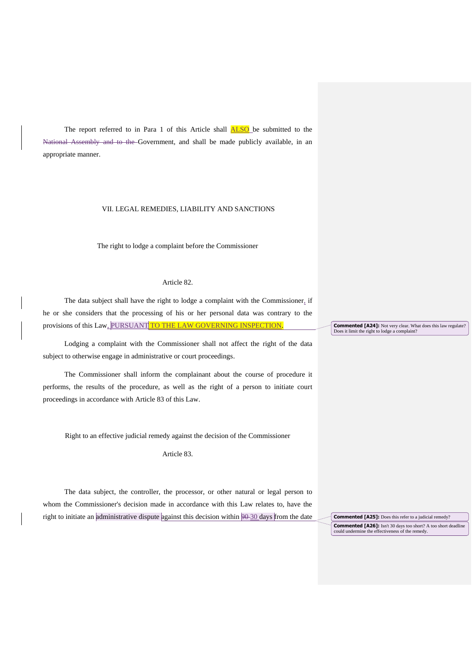The report referred to in Para 1 of this Article shall **ALSO** be submitted to the National Assembly and to the Government, and shall be made publicly available, in an appropriate manner.

### VII. LEGAL REMEDIES, LIABILITY AND SANCTIONS

The right to lodge a complaint before the Commissioner

### Article 82.

The data subject shall have the right to lodge a complaint with the Commissioner, if he or she considers that the processing of his or her personal data was contrary to the provisions of this Law, PURSUANT TO THE LAW GOVERNING INSPECTION.

Lodging a complaint with the Commissioner shall not affect the right of the data subject to otherwise engage in administrative or court proceedings.

The Commissioner shall inform the complainant about the course of procedure it performs, the results of the procedure, as well as the right of a person to initiate court proceedings in accordance with Article 83 of this Law.

Right to an effective judicial remedy against the decision of the Commissioner

Article 83.

The data subject, the controller, the processor, or other natural or legal person to whom the Commissioner's decision made in accordance with this Law relates to, have the right to initiate an administrative dispute against this decision within 90-30 days from the date **Commented [A24]:** Not very clear. What does this law regulate? Does it limit the right to lodge a complaint?

**Commented [A25]:** Does this refer to a judicial remedy? **Commented [A26]:** Isn't 30 days too short? A too short deadline could undermine the effectiveness of the remedy.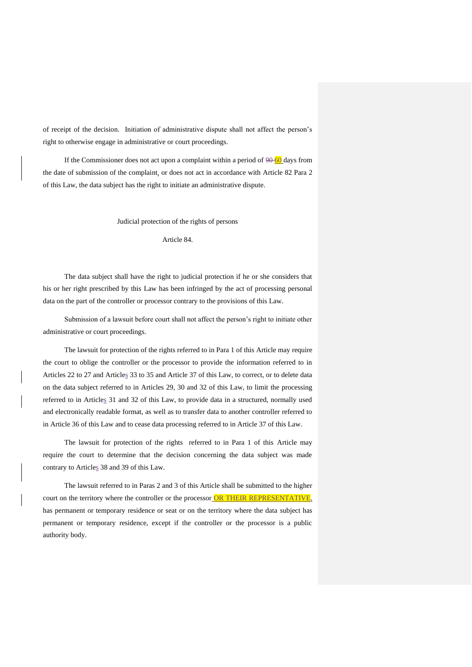of receipt of the decision. Initiation of administrative dispute shall not affect the person's right to otherwise engage in administrative or court proceedings.

If the Commissioner does not act upon a complaint within a period of  $90\overline{60}$  days from the date of submission of the complaint, or does not act in accordance with Article 82 Para 2 of this Law, the data subject has the right to initiate an administrative dispute.

Judicial protection of the rights of persons

Article 84.

The data subject shall have the right to judicial protection if he or she considers that his or her right prescribed by this Law has been infringed by the act of processing personal data on the part of the controller or processor contrary to the provisions of this Law.

Submission of a lawsuit before court shall not affect the person's right to initiate other administrative or court proceedings.

The lawsuit for protection of the rights referred to in Para 1 of this Article may require the court to oblige the controller or the processor to provide the information referred to in Articles 22 to 27 and Articles 33 to 35 and Article 37 of this Law, to correct, or to delete data on the data subject referred to in Articles 29, 30 and 32 of this Law, to limit the processing referred to in Articles 31 and 32 of this Law, to provide data in a structured, normally used and electronically readable format, as well as to transfer data to another controller referred to in Article 36 of this Law and to cease data processing referred to in Article 37 of this Law.

The lawsuit for protection of the rights referred to in Para 1 of this Article may require the court to determine that the decision concerning the data subject was made contrary to Articles 38 and 39 of this Law.

The lawsuit referred to in Paras 2 and 3 of this Article shall be submitted to the higher court on the territory where the controller or the processor OR THEIR REPRESENTATIVE, has permanent or temporary residence or seat or on the territory where the data subject has permanent or temporary residence, except if the controller or the processor is a public authority body.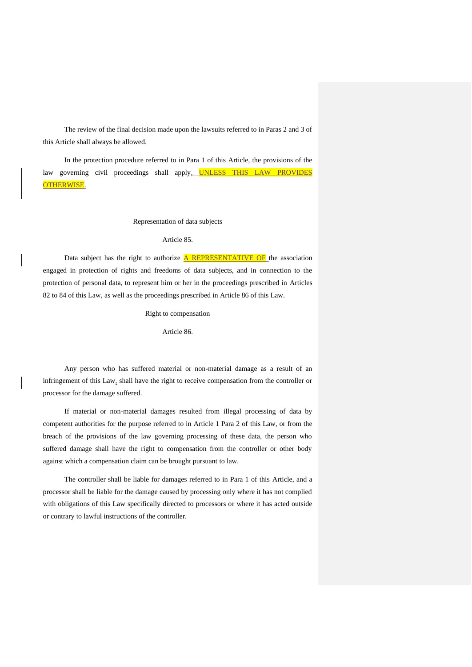The review of the final decision made upon the lawsuits referred to in Paras 2 and 3 of this Article shall always be allowed.

In the protection procedure referred to in Para 1 of this Article, the provisions of the law governing civil proceedings shall apply, UNLESS THIS LAW PROVIDES OTHERWISE.

### Representation of data subjects

#### Article 85.

Data subject has the right to authorize  $\overline{A}$  REPRESENTATIVE OF the association engaged in protection of rights and freedoms of data subjects, and in connection to the protection of personal data, to represent him or her in the proceedings prescribed in Articles 82 to 84 of this Law, as well as the proceedings prescribed in Article 86 of this Law.

### Right to compensation

Article 86.

Any person who has suffered material or non-material damage as a result of an infringement of this Law, shall have the right to receive compensation from the controller or processor for the damage suffered.

If material or non-material damages resulted from illegal processing of data by competent authorities for the purpose referred to in Article 1 Para 2 of this Law, or from the breach of the provisions of the law governing processing of these data, the person who suffered damage shall have the right to compensation from the controller or other body against which a compensation claim can be brought pursuant to law.

The controller shall be liable for damages referred to in Para 1 of this Article, and a processor shall be liable for the damage caused by processing only where it has not complied with obligations of this Law specifically directed to processors or where it has acted outside or contrary to lawful instructions of the controller.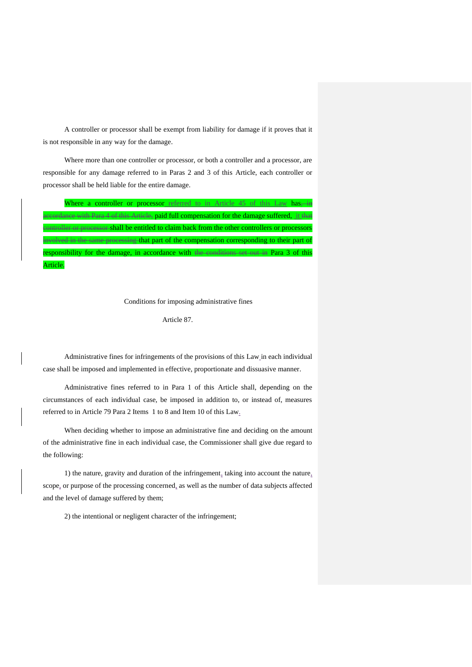A controller or processor shall be exempt from liability for damage if it proves that it is not responsible in any way for the damage.

Where more than one controller or processor, or both a controller and a processor, are responsible for any damage referred to in Paras 2 and 3 of this Article, each controller or processor shall be held liable for the entire damage.

|          |  | Where a controller or processor referred to in Article 45 of this Law has                        |  |  |  |
|----------|--|--------------------------------------------------------------------------------------------------|--|--|--|
|          |  | accordance with Para 4 of this Article, paid full compensation for the damage suffered, it that  |  |  |  |
|          |  | controller or processor-shall be entitled to claim back from the other controllers or processors |  |  |  |
|          |  | involved in the same processing that part of the compensation corresponding to their part of     |  |  |  |
|          |  | responsibility for the damage, in accordance with the conditions set out in Para 3 of this       |  |  |  |
| Article. |  |                                                                                                  |  |  |  |

Conditions for imposing administrative fines

Article 87.

Administrative fines for infringements of the provisions of this Law in each individual case shall be imposed and implemented in effective, proportionate and dissuasive manner.

Administrative fines referred to in Para 1 of this Article shall, depending on the circumstances of each individual case, be imposed in addition to, or instead of, measures referred to in Article 79 Para 2 Items 1 to 8 and Item 10 of this Law.

When deciding whether to impose an administrative fine and deciding on the amount of the administrative fine in each individual case, the Commissioner shall give due regard to the following:

1) the nature, gravity and duration of the infringement, taking into account the nature, scope, or purpose of the processing concerned, as well as the number of data subjects affected and the level of damage suffered by them;

2) the intentional or negligent character of the infringement;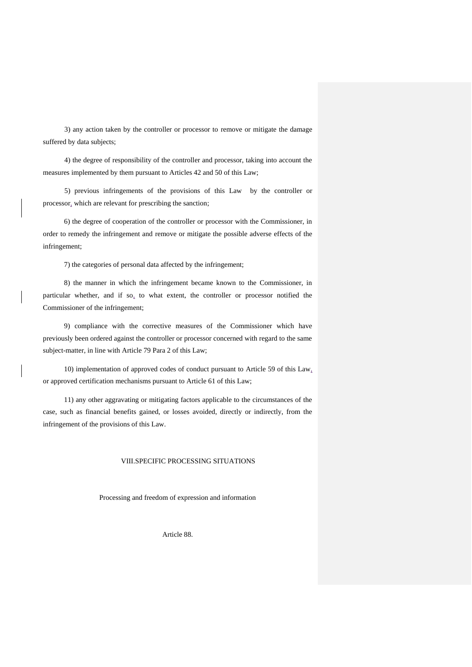3) any action taken by the controller or processor to remove or mitigate the damage suffered by data subjects;

4) the degree of responsibility of the controller and processor, taking into account the measures implemented by them pursuant to Articles 42 and 50 of this Law;

5) previous infringements of the provisions of this Law by the controller or processor, which are relevant for prescribing the sanction;

6) the degree of cooperation of the controller or processor with the Commissioner, in order to remedy the infringement and remove or mitigate the possible adverse effects of the infringement;

7) the categories of personal data affected by the infringement;

8) the manner in which the infringement became known to the Commissioner, in particular whether, and if so, to what extent, the controller or processor notified the Commissioner of the infringement;

9) compliance with the corrective measures of the Commissioner which have previously been ordered against the controller or processor concerned with regard to the same subject-matter, in line with Article 79 Para 2 of this Law;

10) implementation of approved codes of conduct pursuant to Article 59 of this Law, or approved certification mechanisms pursuant to Article 61 of this Law;

11) any other aggravating or mitigating factors applicable to the circumstances of the case, such as financial benefits gained, or losses avoided, directly or indirectly, from the infringement of the provisions of this Law.

## VIII.SPECIFIC PROCESSING SITUATIONS

Processing and freedom of expression and information

Article 88.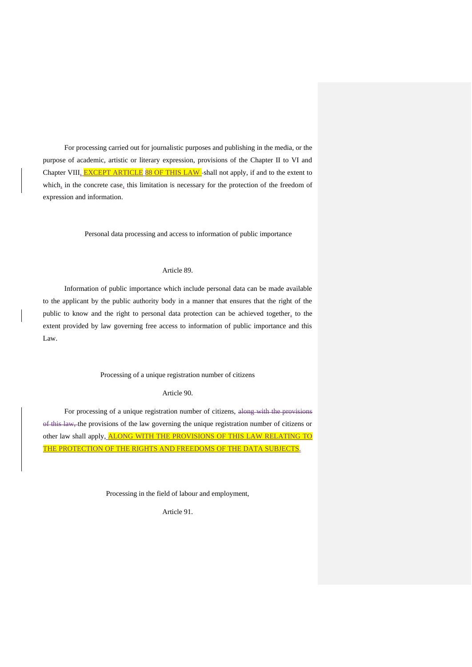For processing carried out for journalistic purposes and publishing in the media, or the purpose of academic, artistic or literary expression, provisions of the Chapter II to VI and Chapter VIII, **EXCEPT ARTICLE 88 OF THIS LAW**-shall not apply, if and to the extent to which, in the concrete case, this limitation is necessary for the protection of the freedom of expression and information.

Personal data processing and access to information of public importance

### Article 89.

Information of public importance which include personal data can be made available to the applicant by the public authority body in a manner that ensures that the right of the public to know and the right to personal data protection can be achieved together, to the extent provided by law governing free access to information of public importance and this Law.

## Processing of a unique registration number of citizens

### Article 90.

For processing of a unique registration number of citizens, along with the provisions of this law, the provisions of the law governing the unique registration number of citizens or other law shall apply, ALONG WITH THE PROVISIONS OF THIS LAW RELATING TO THE PROTECTION OF THE RIGHTS AND FREEDOMS OF THE DATA SUBJECTS.

Processing in the field of labour and employment,

Article 91.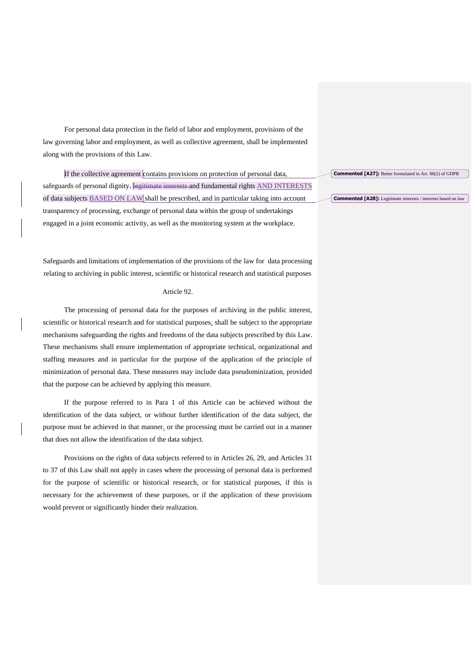For personal data protection in the field of labor and employment, provisions of the law governing labor and employment, as well as collective agreement, shall be implemented along with the provisions of this Law.

If the collective agreement contains provisions on protection of personal data, safeguards of personal dignity, legitimate interests and fundamental rights AND INTERESTS of data subjects BASED ON LAW shall be prescribed, and in particular taking into account transparency of processing, exchange of personal data within the group of undertakings engaged in a joint economic activity, as well as the monitoring system at the workplace.

Safeguards and limitations of implementation of the provisions of the law for data processing relating to archiving in public interest, scientific or historical research and statistical purposes

## Article 92.

The processing of personal data for the purposes of archiving in the public interest, scientific or historical research and for statistical purposes, shall be subject to the appropriate mechanisms safeguarding the rights and freedoms of the data subjects prescribed by this Law. These mechanisms shall ensure implementation of appropriate technical, organizational and staffing measures and in particular for the purpose of the application of the principle of minimization of personal data. These measures may include data pseudominization, provided that the purpose can be achieved by applying this measure.

If the purpose referred to in Para 1 of this Article can be achieved without the identification of the data subject, or without further identification of the data subject, the purpose must be achieved in that manner, or the processing must be carried out in a manner that does not allow the identification of the data subject.

Provisions on the rights of data subjects referred to in Articles 26, 29, and Articles 31 to 37 of this Law shall not apply in cases where the processing of personal data is performed for the purpose of scientific or historical research, or for statistical purposes, if this is necessary for the achievement of these purposes, or if the application of these provisions would prevent or significantly hinder their realization.

**Commented [A27]:** Better formulated in Art. 88(2) of GDPR

**Commented [A28]:** Legitimate interests / interests based on law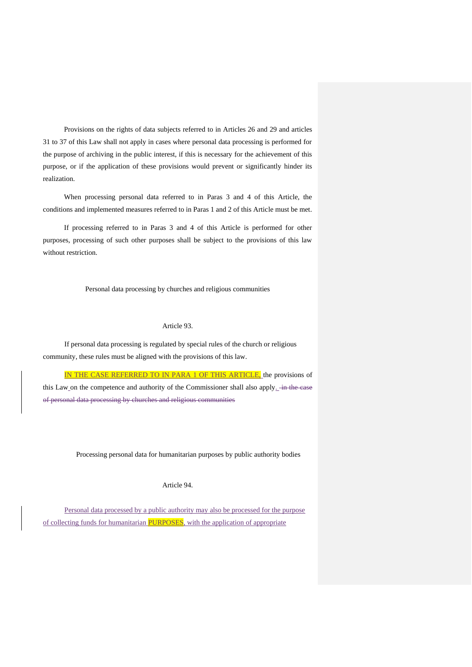Provisions on the rights of data subjects referred to in Articles 26 and 29 and articles 31 to 37 of this Law shall not apply in cases where personal data processing is performed for the purpose of archiving in the public interest, if this is necessary for the achievement of this purpose, or if the application of these provisions would prevent or significantly hinder its realization.

When processing personal data referred to in Paras 3 and 4 of this Article, the conditions and implemented measures referred to in Paras 1 and 2 of this Article must be met.

If processing referred to in Paras 3 and 4 of this Article is performed for other purposes, processing of such other purposes shall be subject to the provisions of this law without restriction.

Personal data processing by churches and religious communities

## Article 93.

If personal data processing is regulated by special rules of the church or religious community, these rules must be aligned with the provisions of this law.

IN THE CASE REFERRED TO IN PARA 1 OF THIS ARTICLE, the provisions of this Law on the competence and authority of the Commissioner shall also apply.  $\frac{1}{2}$  in the case of personal data processing by churches and religious communities

Processing personal data for humanitarian purposes by public authority bodies

## Article 94.

Personal data processed by a public authority may also be processed for the purpose of collecting funds for humanitarian **PURPOSES**, with the application of appropriate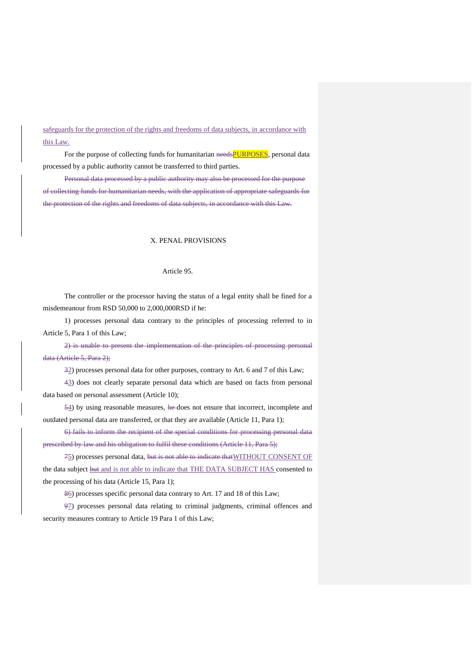safeguards for the protection of the rights and freedoms of data subjects, in accordance with this Law.

For the purpose of collecting funds for humanitarian needsPURPOSES, personal data processed by a public authority cannot be transferred to third parties.

Personal data processed by a public authority may also be processed for the purpose of collecting funds for humanitarian needs, with the application of appropriate safeguards for the protection of the rights and freedoms of data subjects, in accordance with this Law.

## Х. PENAL PROVISIONS

### Article 95.

The controller or the processor having the status of a legal entity shall be fined for a misdemeanour from RSD 50,000 to 2,000,000RSD if he:

1) processes personal data contrary to the principles of processing referred to in Article 5, Para 1 of this Law;

2) is unable to present the implementation of the principles of processing personal data (Article 5, Para 2);

32) processes personal data for other purposes, contrary to Art. 6 and 7 of this Law;

43) does not clearly separate personal data which are based on facts from personal data based on personal assessment (Article 10);

54) by using reasonable measures, he does not ensure that incorrect, incomplete and outdated personal data are transferred, or that they are available (Article 11, Para 1);

6) fails to inform the recipient of the special conditions for processing personal data prescribed by law and his obligation to fulfil these conditions (Article 11, Para 5);

75) processes personal data, but is not able to indicate thatWITHOUT CONSENT OF the data subject **but** and is not able to indicate that THE DATA SUBJECT HAS consented to the processing of his data (Article 15, Para 1);

86) processes specific personal data contrary to Art. 17 and 18 of this Law;

97) processes personal data relating to criminal judgments, criminal offences and security measures contrary to Article 19 Para 1 of this Law;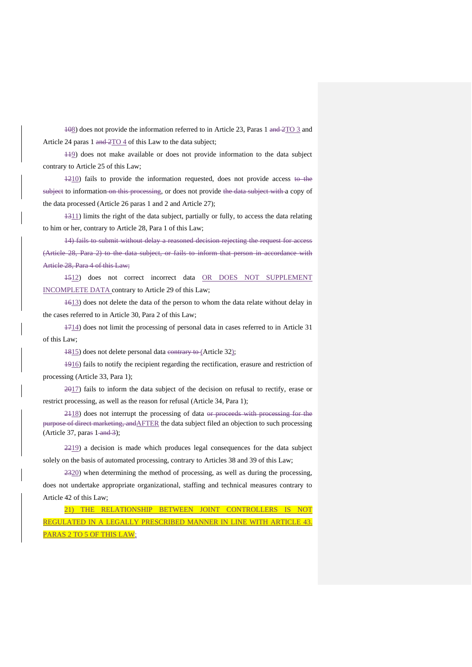108) does not provide the information referred to in Article 23, Paras 1 and 2TO 3 and Article 24 paras 1 and  $2TO 4$  of this Law to the data subject;

119) does not make available or does not provide information to the data subject contrary to Article 25 of this Law;

 $1210$ ) fails to provide the information requested, does not provide access to the subject to information on this processing, or does not provide the data subject with a copy of the data processed (Article 26 paras 1 and 2 and Article 27);

1311) limits the right of the data subject, partially or fully, to access the data relating to him or her, contrary to Article 28, Para 1 of this Law;

14) fails to submit without delay a reasoned decision rejecting the request for access (Article 28, Para 2) to the data subject, or fails to inform that person in accordance with Article 28, Para 4 of this Law;

1512) does not correct incorrect data OR DOES NOT SUPPLEMENT INCOMPLETE DATA contrary to Article 29 of this Law;

1613) does not delete the data of the person to whom the data relate without delay in the cases referred to in Article 30, Para 2 of this Law;

1714) does not limit the processing of personal data in cases referred to in Article 31 of this Law;

1815) does not delete personal data contrary to (Article 32);

1916) fails to notify the recipient regarding the rectification, erasure and restriction of processing (Article 33, Para 1);

 $2017$ ) fails to inform the data subject of the decision on refusal to rectify, erase or restrict processing, as well as the reason for refusal (Article 34, Para 1);

2118) does not interrupt the processing of data or proceeds with processing for the purpose of direct marketing, andAFTER the data subject filed an objection to such processing (Article 37, paras  $1$ -and 3);

2219) a decision is made which produces legal consequences for the data subject solely on the basis of automated processing, contrary to Articles 38 and 39 of this Law;

2320) when determining the method of processing, as well as during the processing, does not undertake appropriate organizational, staffing and technical measures contrary to Article 42 of this Law;

21) THE RELATIONSHIP BETWEEN JOINT CONTROLLERS IS NOT REGULATED IN A LEGALLY PRESCRIBED MANNER IN LINE WITH ARTICLE 43. PARAS 2 TO 5 OF THIS LAW;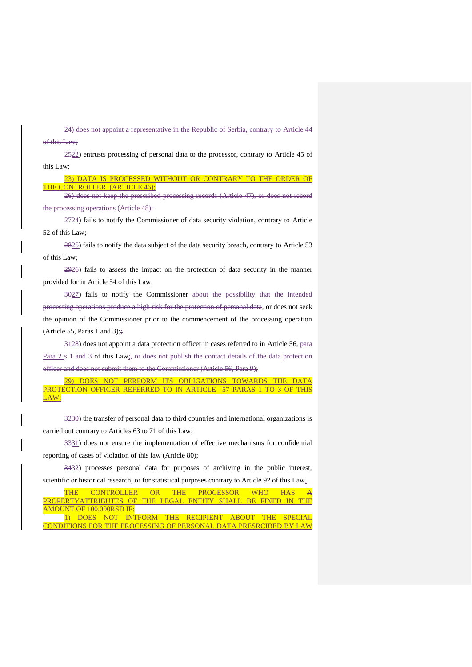24) does not appoint a representative in the Republic of Serbia, contrary to Article 44

of this Law;

2522) entrusts processing of personal data to the processor, contrary to Article 45 of this Law;

23) DATA IS PROCESSED WITHOUT OR CONTRARY TO THE ORDER OF THE CONTROLLER (ARTICLE 46);

26) does not keep the prescribed processing records (Article 47), or does not record the processing operations (Article 48);

2724) fails to notify the Commissioner of data security violation, contrary to Article 52 of this Law;

2825) fails to notify the data subject of the data security breach, contrary to Article 53 of this Law;

2926) fails to assess the impact on the protection of data security in the manner provided for in Article 54 of this Law;

3027) fails to notify the Commissioner about the possibility that the intended processing operations produce a high risk for the protection of personal data, or does not seek the opinion of the Commissioner prior to the commencement of the processing operation (Article 55, Paras 1 and 3); $\frac{1}{2}$ 

3128) does not appoint a data protection officer in cases referred to in Article 56, para Para  $2 s 1$  and  $3 o f$  this Law<sub>is</sub> or does not publish the contact details of the data protection officer and does not submit them to the Commissioner (Article 56, Para 9);

29) DOES NOT PERFORM ITS OBLIGATIONS TOWARDS THE DATA PROTECTION OFFICER REFERRED TO IN ARTICLE 57 PARAS 1 TO 3 OF THIS LAW;

3230) the transfer of personal data to third countries and international organizations is carried out contrary to Articles 63 to 71 of this Law;

3331) does not ensure the implementation of effective mechanisms for confidential reporting of cases of violation of this law (Article 80);

3432) processes personal data for purposes of archiving in the public interest, scientific or historical research, or for statistical purposes contrary to Article 92 of this Law.

|                          |  |  |  | THE CONTROLLER OR THE PROCESSOR WHO HAS A                        |  |  |  |  |
|--------------------------|--|--|--|------------------------------------------------------------------|--|--|--|--|
|                          |  |  |  | PROPERTYATTRIBUTES OF THE LEGAL ENTITY SHALL BE FINED IN THE     |  |  |  |  |
| AMOUNT OF 100,000RSD IF: |  |  |  |                                                                  |  |  |  |  |
|                          |  |  |  | 1) DOES NOT INTFORM THE RECIPIENT ABOUT THE SPECIAL              |  |  |  |  |
|                          |  |  |  | CONDITIONS FOR THE PROCESSING OF PERSONAL DATA PRESRCIBED BY LAW |  |  |  |  |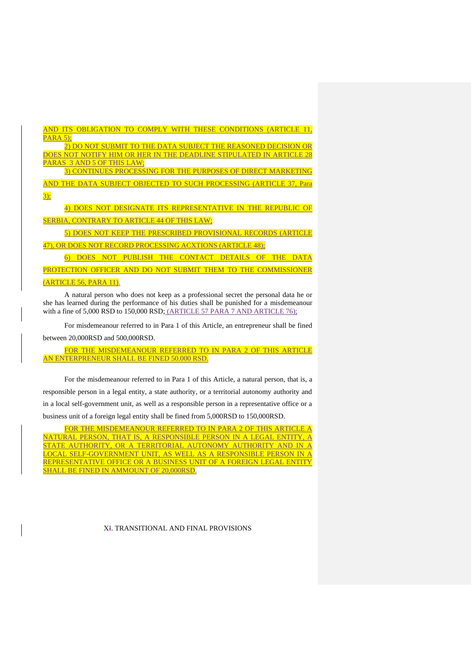AND ITS OBLIGATION TO COMPLY WITH THESE CONDITIONS (ARTICLE 11, PARA 5);

2) DO NOT SUBMIT TO THE DATA SUBJECT THE REASONED DECISION OR DOES NOT NOTIFY HIM OR HER IN THE DEADLINE STIPULATED IN ARTICLE 28 PARAS 3 AND 5 OF THIS LAW;

3) CONTINUES PROCESSING FOR THE PURPOSES OF DIRECT MARKETING

AND THE DATA SUBJECT OBJECTED TO SUCH PROCESSING (ARTICLE 37, Para 3);

4) DOES NOT DESIGNATE ITS REPRESENTATIVE IN THE REPUBLIC OF SERBIA, CONTRARY TO ARTICLE 44 OF THIS LAW;

5) DOES NOT KEEP THE PRESCRIBED PROVISIONAL RECORDS (ARTICLE

47), OR DOES NOT RECORD PROCESSING ACXTIONS (ARTICLE 48);

6) DOES NOT PUBLISH THE CONTACT DETAILS OF THE DATA PROTECTION OFFICER AND DO NOT SUBMIT THEM TO THE COMMISSIONER (ARTICLE 56, PARA 11).

A natural person who does not keep as a professional secret the personal data he or she has learned during the performance of his duties shall be punished for a misdemeanour with a fine of 5,000 RSD to 150,000 RSD; (ARTICLE 57 PARA 7 AND ARTICLE 76);

For misdemeanour referred to in Para 1 of this Article, an entrepreneur shall be fined between 20,000RSD and 500,000RSD.

FOR THE MISDEMEANOUR REFERRED TO IN PARA 2 OF THIS ARTICLE AN ENTERPRENEUR SHALL BE FINED 50.000 RSD.

For the misdemeanour referred to in Para 1 of this Article, a natural person, that is, a responsible person in a legal entity, a state authority, or a territorial autonomy authority and in a local self-government unit, as well as a responsible person in a representative office or a business unit of a foreign legal entity shall be fined from 5,000RSD to 150,000RSD.

FOR THE MISDEMEANOUR REFERRED TO IN PARA 2 OF THIS ARTICLE NATURAL PERSON, THAT IS, A RESPONSIBLE PERSON IN A LEGAL ENTITY, A STATE AUTHORITY, OR A TERRITORIAL AUTONOMY AUTHORITY AND IN A LOCAL SELF-GOVERNMENT UNIT, AS WELL AS A RESPONSIBLE PERSON IN A REPRESENTATIVE OFFICE OR A BUSINESS UNIT OF A FOREIGN LEGAL ENTITY SHALL BE FINED IN AMMOUNT OF 20,000RSD.

### X<sub>I</sub>. TRANSITIONAL AND FINAL PROVISIONS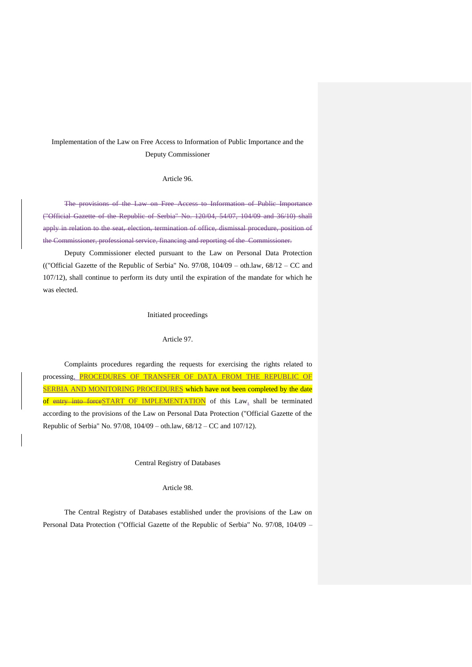# Implementation of the Law on Free Access to Information of Public Importance and the Deputy Commissioner

## Article 96.

The provisions of the Law on Free Access to Information of Public Importance ("Official Gazette of the Republic of Serbia" No. 120/04, 54/07, 104/09 and 36/10) shall apply in relation to the seat, election, termination of office, dismissal procedure, position of the Commissioner, professional service, financing and reporting of the Commissioner.

Deputy Commissioner elected pursuant to the Law on Personal Data Protection (("Official Gazette of the Republic of Serbia" No. 97/08, 104/09 – oth.law, 68/12 – CC and 107/12), shall continue to perform its duty until the expiration of the mandate for which he was elected.

### Initiated proceedings

#### Article 97.

Complaints procedures regarding the requests for exercising the rights related to processing, PROCEDURES OF TRANSFER OF DATA FROM THE REPUBLIC OF SERBIA AND MONITORING PROCEDURES which have not been completed by the date of entry into forceSTART OF IMPLEMENTATION of this Law, shall be terminated according to the provisions of the Law on Personal Data Protection ("Official Gazette of the Republic of Serbia" No. 97/08, 104/09 – oth.law, 68/12 – CC and 107/12).

## Central Registry of Databases

### Article 98.

The Central Registry of Databases established under the provisions of the Law on Personal Data Protection ("Official Gazette of the Republic of Serbia" No. 97/08, 104/09 –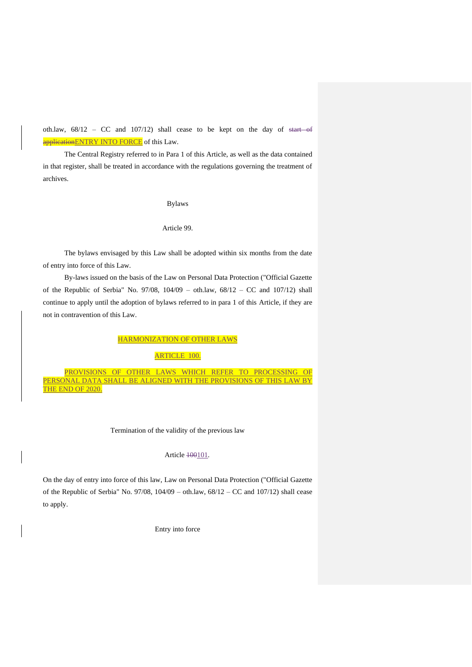oth.law,  $68/12$  – CC and  $107/12$ ) shall cease to be kept on the day of start of applicationENTRY INTO FORCE of this Law.

The Central Registry referred to in Para 1 of this Article, as well as the data contained in that register, shall be treated in accordance with the regulations governing the treatment of archives.

Bylaws

Article 99.

The bylaws envisaged by this Law shall be adopted within six months from the date of entry into force of this Law.

By-laws issued on the basis of the Law on Personal Data Protection ("Official Gazette of the Republic of Serbia" No. 97/08, 104/09 – oth.law, 68/12 – CC and 107/12) shall continue to apply until the adoption of bylaws referred to in para 1 of this Article, if they are not in contravention of this Law.

HARMONIZATION OF OTHER LAWS

## ARTICLE 100.

PROVISIONS OF OTHER LAWS WHICH REFER TO PRO PERSONAL DATA SHALL BE ALIGNED WITH THE PROVISIONS OF THIS LAW BY THE END OF 2020.

Termination of the validity of the previous law

## Article 100101.

On the day of entry into force of this law, Law on Personal Data Protection ("Official Gazette of the Republic of Serbia" No. 97/08, 104/09 – oth.law, 68/12 – CC and 107/12) shall cease to apply.

Entry into force